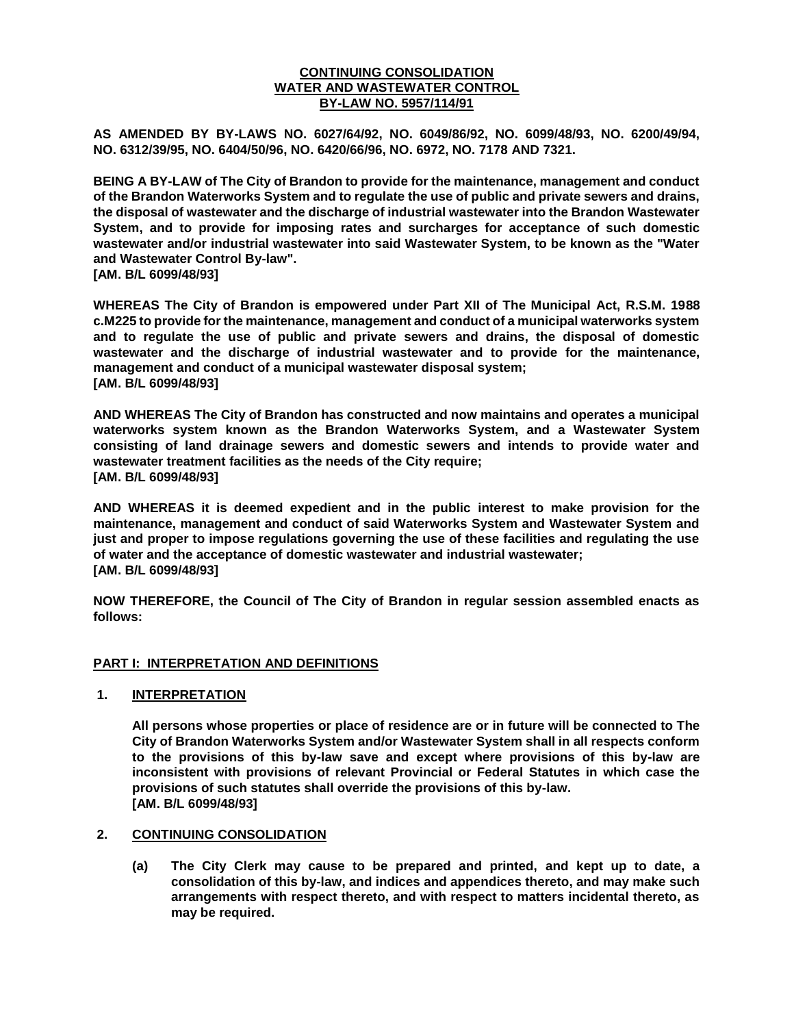## **CONTINUING CONSOLIDATION WATER AND WASTEWATER CONTROL BY-LAW NO. 5957/114/91**

**AS AMENDED BY BY-LAWS NO. 6027/64/92, NO. 6049/86/92, NO. 6099/48/93, NO. 6200/49/94, NO. 6312/39/95, NO. 6404/50/96, NO. 6420/66/96, NO. 6972, NO. 7178 AND 7321.**

**BEING A BY-LAW of The City of Brandon to provide for the maintenance, management and conduct of the Brandon Waterworks System and to regulate the use of public and private sewers and drains, the disposal of wastewater and the discharge of industrial wastewater into the Brandon Wastewater System, and to provide for imposing rates and surcharges for acceptance of such domestic wastewater and/or industrial wastewater into said Wastewater System, to be known as the "Water and Wastewater Control By-law".**

**[AM. B/L 6099/48/93]**

**WHEREAS The City of Brandon is empowered under Part XII of The Municipal Act, R.S.M. 1988 c.M225 to provide for the maintenance, management and conduct of a municipal waterworks system and to regulate the use of public and private sewers and drains, the disposal of domestic wastewater and the discharge of industrial wastewater and to provide for the maintenance, management and conduct of a municipal wastewater disposal system; [AM. B/L 6099/48/93]**

**AND WHEREAS The City of Brandon has constructed and now maintains and operates a municipal waterworks system known as the Brandon Waterworks System, and a Wastewater System consisting of land drainage sewers and domestic sewers and intends to provide water and wastewater treatment facilities as the needs of the City require; [AM. B/L 6099/48/93]**

**AND WHEREAS it is deemed expedient and in the public interest to make provision for the maintenance, management and conduct of said Waterworks System and Wastewater System and just and proper to impose regulations governing the use of these facilities and regulating the use of water and the acceptance of domestic wastewater and industrial wastewater; [AM. B/L 6099/48/93]**

**NOW THEREFORE, the Council of The City of Brandon in regular session assembled enacts as follows:**

## **PART I: INTERPRETATION AND DEFINITIONS**

#### **1. INTERPRETATION**

**All persons whose properties or place of residence are or in future will be connected to The City of Brandon Waterworks System and/or Wastewater System shall in all respects conform to the provisions of this by-law save and except where provisions of this by-law are inconsistent with provisions of relevant Provincial or Federal Statutes in which case the provisions of such statutes shall override the provisions of this by-law. [AM. B/L 6099/48/93]**

#### **2. CONTINUING CONSOLIDATION**

**(a) The City Clerk may cause to be prepared and printed, and kept up to date, a consolidation of this by-law, and indices and appendices thereto, and may make such arrangements with respect thereto, and with respect to matters incidental thereto, as may be required.**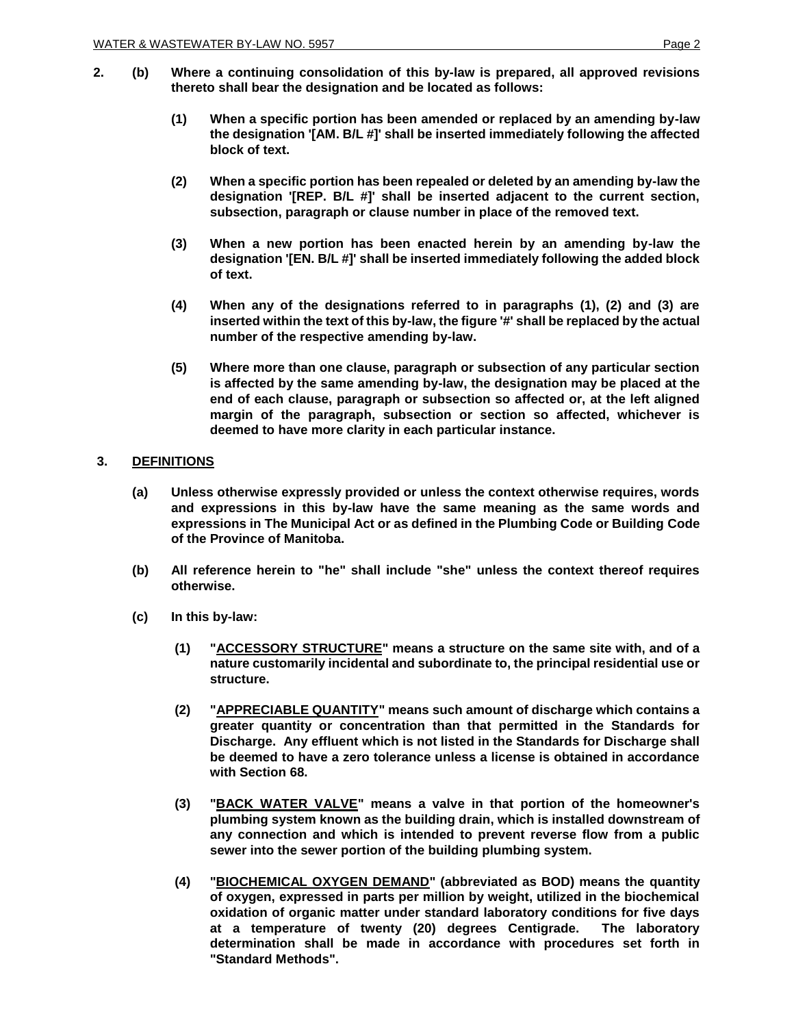- **2. (b) Where a continuing consolidation of this by-law is prepared, all approved revisions thereto shall bear the designation and be located as follows:**
	- **(1) When a specific portion has been amended or replaced by an amending by-law the designation '[AM. B/L #]' shall be inserted immediately following the affected block of text.**
	- **(2) When a specific portion has been repealed or deleted by an amending by-law the designation '[REP. B/L #]' shall be inserted adjacent to the current section, subsection, paragraph or clause number in place of the removed text.**
	- **(3) When a new portion has been enacted herein by an amending by-law the designation '[EN. B/L #]' shall be inserted immediately following the added block of text.**
	- **(4) When any of the designations referred to in paragraphs (1), (2) and (3) are**  inserted within the text of this by-law, the figure '#' shall be replaced by the actual **number of the respective amending by-law.**
	- **(5) Where more than one clause, paragraph or subsection of any particular section is affected by the same amending by-law, the designation may be placed at the end of each clause, paragraph or subsection so affected or, at the left aligned margin of the paragraph, subsection or section so affected, whichever is deemed to have more clarity in each particular instance.**

## **3. DEFINITIONS**

- **(a) Unless otherwise expressly provided or unless the context otherwise requires, words and expressions in this by-law have the same meaning as the same words and expressions in The Municipal Act or as defined in the Plumbing Code or Building Code of the Province of Manitoba.**
- **(b) All reference herein to "he" shall include "she" unless the context thereof requires otherwise.**
- **(c) In this by-law:**
	- **(1) "ACCESSORY STRUCTURE" means a structure on the same site with, and of a nature customarily incidental and subordinate to, the principal residential use or structure.**
	- **(2) "APPRECIABLE QUANTITY" means such amount of discharge which contains a greater quantity or concentration than that permitted in the Standards for Discharge. Any effluent which is not listed in the Standards for Discharge shall be deemed to have a zero tolerance unless a license is obtained in accordance with Section 68.**
	- **(3) "BACK WATER VALVE" means a valve in that portion of the homeowner's plumbing system known as the building drain, which is installed downstream of any connection and which is intended to prevent reverse flow from a public sewer into the sewer portion of the building plumbing system.**
	- **(4) "BIOCHEMICAL OXYGEN DEMAND" (abbreviated as BOD) means the quantity of oxygen, expressed in parts per million by weight, utilized in the biochemical oxidation of organic matter under standard laboratory conditions for five days at a temperature of twenty (20) degrees Centigrade. The laboratory determination shall be made in accordance with procedures set forth in "Standard Methods".**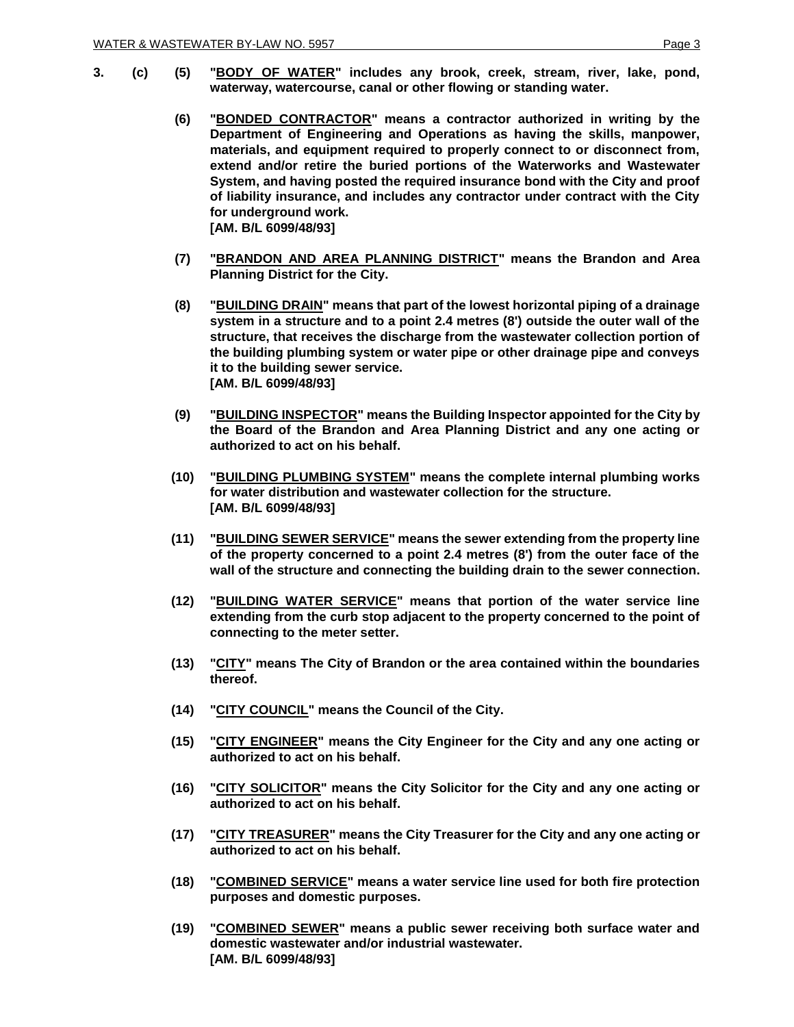- **3. (c) (5) "BODY OF WATER" includes any brook, creek, stream, river, lake, pond, waterway, watercourse, canal or other flowing or standing water.**
	- **(6) "BONDED CONTRACTOR" means a contractor authorized in writing by the Department of Engineering and Operations as having the skills, manpower, materials, and equipment required to properly connect to or disconnect from, extend and/or retire the buried portions of the Waterworks and Wastewater System, and having posted the required insurance bond with the City and proof of liability insurance, and includes any contractor under contract with the City for underground work. [AM. B/L 6099/48/93]**
	- **(7) "BRANDON AND AREA PLANNING DISTRICT" means the Brandon and Area Planning District for the City.**
	- **(8) "BUILDING DRAIN" means that part of the lowest horizontal piping of a drainage system in a structure and to a point 2.4 metres (8') outside the outer wall of the structure, that receives the discharge from the wastewater collection portion of the building plumbing system or water pipe or other drainage pipe and conveys it to the building sewer service. [AM. B/L 6099/48/93]**
	- **(9) "BUILDING INSPECTOR" means the Building Inspector appointed for the City by the Board of the Brandon and Area Planning District and any one acting or authorized to act on his behalf.**
	- **(10) "BUILDING PLUMBING SYSTEM" means the complete internal plumbing works for water distribution and wastewater collection for the structure. [AM. B/L 6099/48/93]**
	- **(11) "BUILDING SEWER SERVICE" means the sewer extending from the property line of the property concerned to a point 2.4 metres (8') from the outer face of the wall of the structure and connecting the building drain to the sewer connection.**
	- **(12) "BUILDING WATER SERVICE" means that portion of the water service line extending from the curb stop adjacent to the property concerned to the point of connecting to the meter setter.**
	- **(13) "CITY" means The City of Brandon or the area contained within the boundaries thereof.**
	- **(14) "CITY COUNCIL" means the Council of the City.**
	- **(15) "CITY ENGINEER" means the City Engineer for the City and any one acting or authorized to act on his behalf.**
	- **(16) "CITY SOLICITOR" means the City Solicitor for the City and any one acting or authorized to act on his behalf.**
	- **(17) "CITY TREASURER" means the City Treasurer for the City and any one acting or authorized to act on his behalf.**
	- **(18) "COMBINED SERVICE" means a water service line used for both fire protection purposes and domestic purposes.**
	- **(19) "COMBINED SEWER" means a public sewer receiving both surface water and domestic wastewater and/or industrial wastewater. [AM. B/L 6099/48/93]**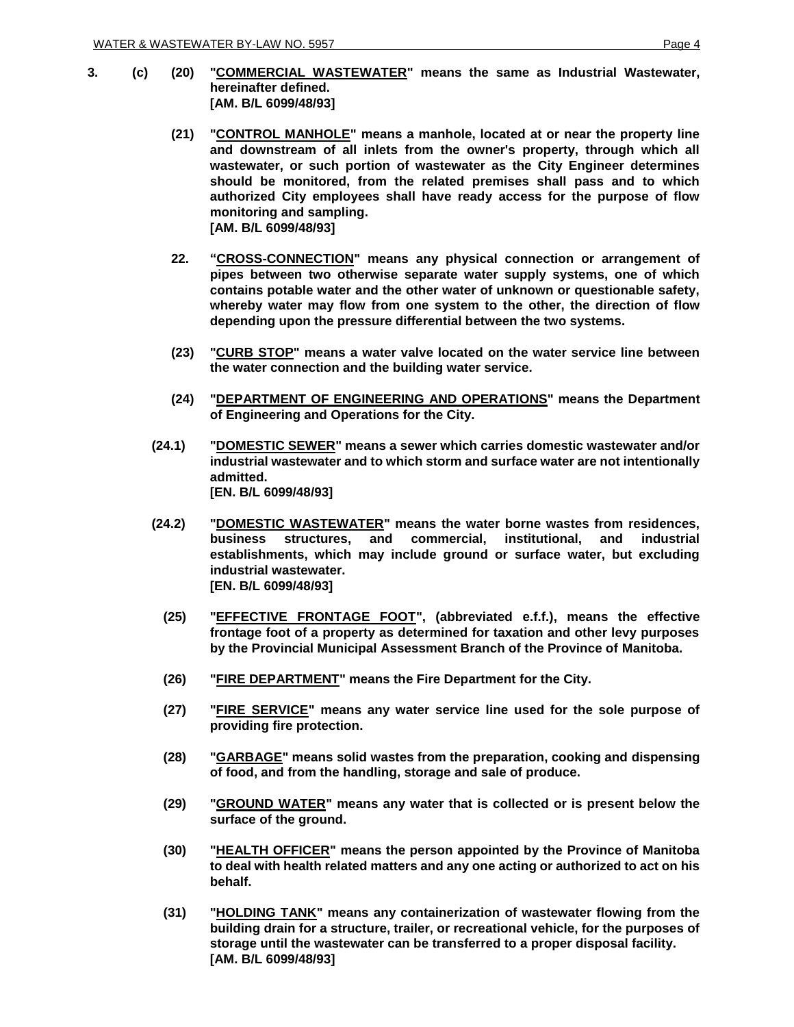- **3. (c) (20) "COMMERCIAL WASTEWATER" means the same as Industrial Wastewater, hereinafter defined. [AM. B/L 6099/48/93]**
	- **(21) "CONTROL MANHOLE" means a manhole, located at or near the property line and downstream of all inlets from the owner's property, through which all wastewater, or such portion of wastewater as the City Engineer determines should be monitored, from the related premises shall pass and to which authorized City employees shall have ready access for the purpose of flow monitoring and sampling. [AM. B/L 6099/48/93]**
	- **22. "CROSS-CONNECTION" means any physical connection or arrangement of pipes between two otherwise separate water supply systems, one of which contains potable water and the other water of unknown or questionable safety, whereby water may flow from one system to the other, the direction of flow depending upon the pressure differential between the two systems.**
	- **(23) "CURB STOP" means a water valve located on the water service line between the water connection and the building water service.**
	- **(24) "DEPARTMENT OF ENGINEERING AND OPERATIONS" means the Department of Engineering and Operations for the City.**
	- **(24.1) "DOMESTIC SEWER" means a sewer which carries domestic wastewater and/or industrial wastewater and to which storm and surface water are not intentionally admitted. [EN. B/L 6099/48/93]**
	- **(24.2) "DOMESTIC WASTEWATER" means the water borne wastes from residences, business structures, and commercial, institutional, and industrial establishments, which may include ground or surface water, but excluding industrial wastewater. [EN. B/L 6099/48/93]**
		- **(25) "EFFECTIVE FRONTAGE FOOT", (abbreviated e.f.f.), means the effective frontage foot of a property as determined for taxation and other levy purposes by the Provincial Municipal Assessment Branch of the Province of Manitoba.**
		- **(26) "FIRE DEPARTMENT" means the Fire Department for the City.**
		- **(27) "FIRE SERVICE" means any water service line used for the sole purpose of providing fire protection.**
		- **(28) "GARBAGE" means solid wastes from the preparation, cooking and dispensing of food, and from the handling, storage and sale of produce.**
		- **(29) "GROUND WATER" means any water that is collected or is present below the surface of the ground.**
		- **(30) "HEALTH OFFICER" means the person appointed by the Province of Manitoba to deal with health related matters and any one acting or authorized to act on his behalf.**
		- **(31) "HOLDING TANK" means any containerization of wastewater flowing from the building drain for a structure, trailer, or recreational vehicle, for the purposes of storage until the wastewater can be transferred to a proper disposal facility. [AM. B/L 6099/48/93]**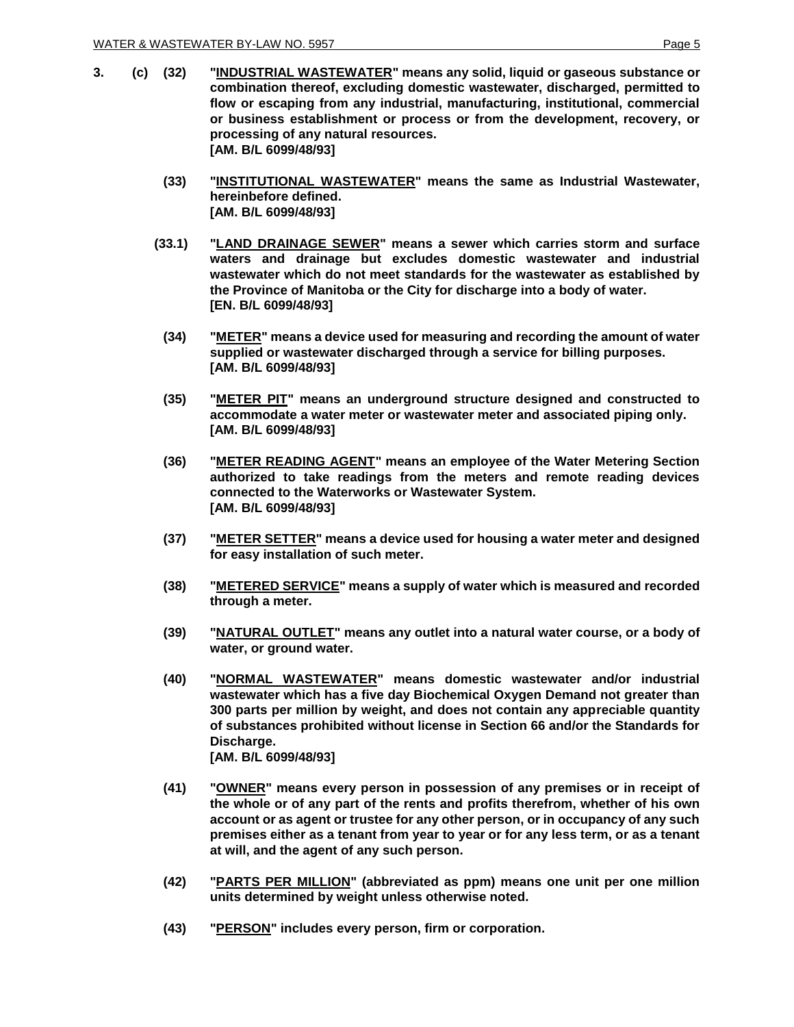- **3. (c) (32) "INDUSTRIAL WASTEWATER" means any solid, liquid or gaseous substance or combination thereof, excluding domestic wastewater, discharged, permitted to flow or escaping from any industrial, manufacturing, institutional, commercial or business establishment or process or from the development, recovery, or processing of any natural resources. [AM. B/L 6099/48/93]**
	- **(33) "INSTITUTIONAL WASTEWATER" means the same as Industrial Wastewater, hereinbefore defined. [AM. B/L 6099/48/93]**
	- **(33.1) "LAND DRAINAGE SEWER" means a sewer which carries storm and surface waters and drainage but excludes domestic wastewater and industrial wastewater which do not meet standards for the wastewater as established by the Province of Manitoba or the City for discharge into a body of water. [EN. B/L 6099/48/93]**
		- **(34) "METER" means a device used for measuring and recording the amount of water supplied or wastewater discharged through a service for billing purposes. [AM. B/L 6099/48/93]**
		- **(35) "METER PIT" means an underground structure designed and constructed to accommodate a water meter or wastewater meter and associated piping only. [AM. B/L 6099/48/93]**
		- **(36) "METER READING AGENT" means an employee of the Water Metering Section authorized to take readings from the meters and remote reading devices connected to the Waterworks or Wastewater System. [AM. B/L 6099/48/93]**
		- **(37) "METER SETTER" means a device used for housing a water meter and designed for easy installation of such meter.**
		- **(38) "METERED SERVICE" means a supply of water which is measured and recorded through a meter.**
		- **(39) "NATURAL OUTLET" means any outlet into a natural water course, or a body of water, or ground water.**
		- **(40) "NORMAL WASTEWATER" means domestic wastewater and/or industrial wastewater which has a five day Biochemical Oxygen Demand not greater than 300 parts per million by weight, and does not contain any appreciable quantity of substances prohibited without license in Section 66 and/or the Standards for Discharge. [AM. B/L 6099/48/93]**
		- **(41) "OWNER" means every person in possession of any premises or in receipt of the whole or of any part of the rents and profits therefrom, whether of his own account or as agent or trustee for any other person, or in occupancy of any such premises either as a tenant from year to year or for any less term, or as a tenant at will, and the agent of any such person.**
		- **(42) "PARTS PER MILLION" (abbreviated as ppm) means one unit per one million units determined by weight unless otherwise noted.**
		- **(43) "PERSON" includes every person, firm or corporation.**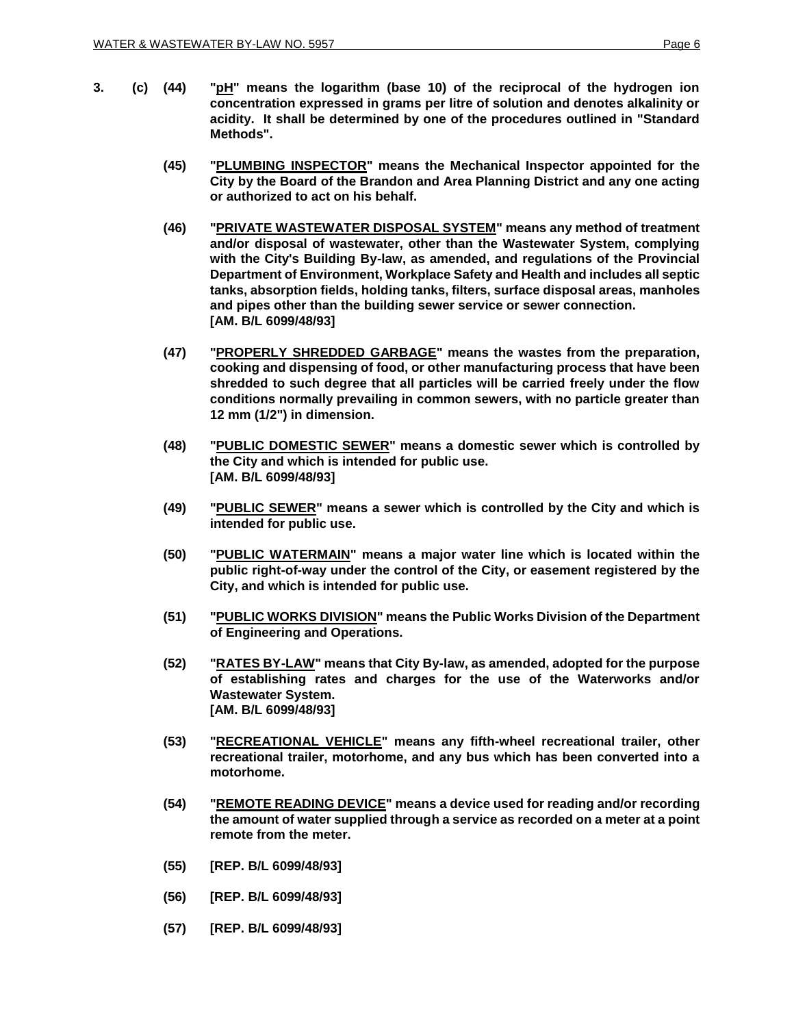- **3. (c) (44) "pH" means the logarithm (base 10) of the reciprocal of the hydrogen ion concentration expressed in grams per litre of solution and denotes alkalinity or acidity. It shall be determined by one of the procedures outlined in "Standard Methods".**
	- **(45) "PLUMBING INSPECTOR" means the Mechanical Inspector appointed for the City by the Board of the Brandon and Area Planning District and any one acting or authorized to act on his behalf.**
	- **(46) "PRIVATE WASTEWATER DISPOSAL SYSTEM" means any method of treatment and/or disposal of wastewater, other than the Wastewater System, complying with the City's Building By-law, as amended, and regulations of the Provincial Department of Environment, Workplace Safety and Health and includes all septic tanks, absorption fields, holding tanks, filters, surface disposal areas, manholes and pipes other than the building sewer service or sewer connection. [AM. B/L 6099/48/93]**
	- **(47) "PROPERLY SHREDDED GARBAGE" means the wastes from the preparation, cooking and dispensing of food, or other manufacturing process that have been shredded to such degree that all particles will be carried freely under the flow conditions normally prevailing in common sewers, with no particle greater than 12 mm (1/2") in dimension.**
	- **(48) "PUBLIC DOMESTIC SEWER" means a domestic sewer which is controlled by the City and which is intended for public use. [AM. B/L 6099/48/93]**
	- **(49) "PUBLIC SEWER" means a sewer which is controlled by the City and which is intended for public use.**
	- **(50) "PUBLIC WATERMAIN" means a major water line which is located within the public right-of-way under the control of the City, or easement registered by the City, and which is intended for public use.**
	- **(51) "PUBLIC WORKS DIVISION" means the Public Works Division of the Department of Engineering and Operations.**
	- **(52) "RATES BY-LAW" means that City By-law, as amended, adopted for the purpose of establishing rates and charges for the use of the Waterworks and/or Wastewater System. [AM. B/L 6099/48/93]**
	- **(53) "RECREATIONAL VEHICLE" means any fifth-wheel recreational trailer, other recreational trailer, motorhome, and any bus which has been converted into a motorhome.**
	- **(54) "REMOTE READING DEVICE" means a device used for reading and/or recording the amount of water supplied through a service as recorded on a meter at a point remote from the meter.**
	- **(55) [REP. B/L 6099/48/93]**
	- **(56) [REP. B/L 6099/48/93]**
	- **(57) [REP. B/L 6099/48/93]**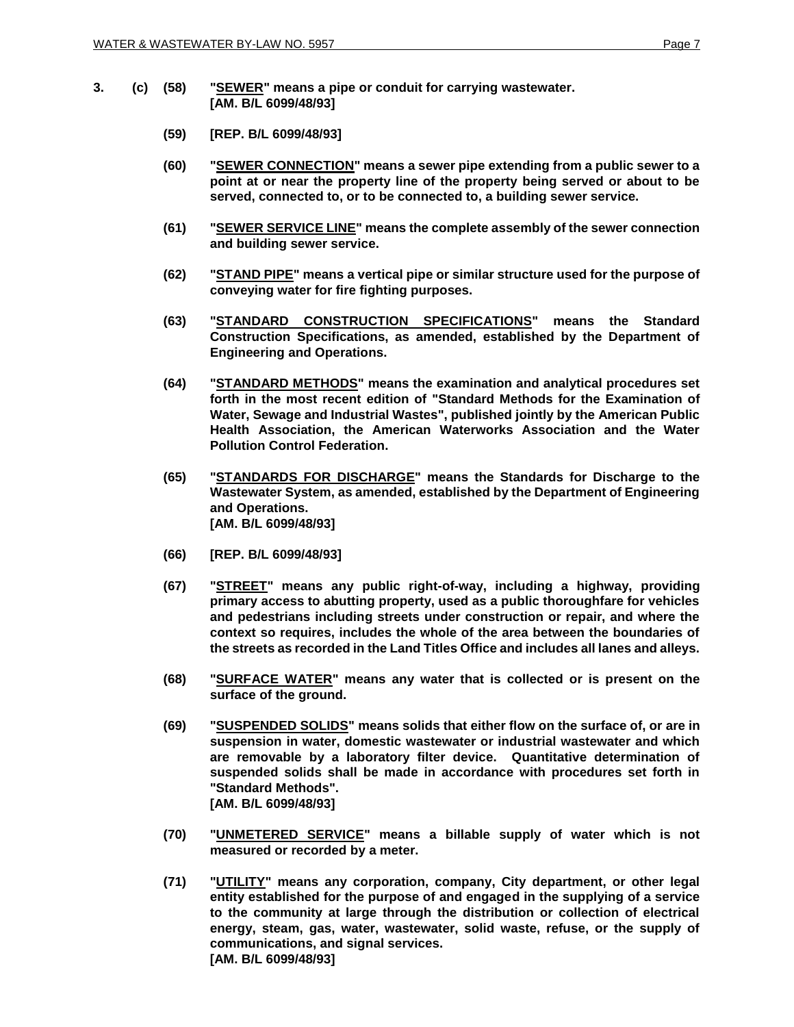- **3. (c) (58) "SEWER" means a pipe or conduit for carrying wastewater. [AM. B/L 6099/48/93]**
	- **(59) [REP. B/L 6099/48/93]**
	- **(60) "SEWER CONNECTION" means a sewer pipe extending from a public sewer to a point at or near the property line of the property being served or about to be served, connected to, or to be connected to, a building sewer service.**
	- **(61) "SEWER SERVICE LINE" means the complete assembly of the sewer connection and building sewer service.**
	- **(62) "STAND PIPE" means a vertical pipe or similar structure used for the purpose of conveying water for fire fighting purposes.**
	- **(63) "STANDARD CONSTRUCTION SPECIFICATIONS" means the Standard Construction Specifications, as amended, established by the Department of Engineering and Operations.**
	- **(64) "STANDARD METHODS" means the examination and analytical procedures set forth in the most recent edition of "Standard Methods for the Examination of Water, Sewage and Industrial Wastes", published jointly by the American Public Health Association, the American Waterworks Association and the Water Pollution Control Federation.**
	- **(65) "STANDARDS FOR DISCHARGE" means the Standards for Discharge to the Wastewater System, as amended, established by the Department of Engineering and Operations. [AM. B/L 6099/48/93]**
	- **(66) [REP. B/L 6099/48/93]**
	- **(67) "STREET" means any public right-of-way, including a highway, providing primary access to abutting property, used as a public thoroughfare for vehicles and pedestrians including streets under construction or repair, and where the context so requires, includes the whole of the area between the boundaries of the streets as recorded in the Land Titles Office and includes all lanes and alleys.**
	- **(68) "SURFACE WATER" means any water that is collected or is present on the surface of the ground.**
	- **(69) "SUSPENDED SOLIDS" means solids that either flow on the surface of, or are in suspension in water, domestic wastewater or industrial wastewater and which are removable by a laboratory filter device. Quantitative determination of suspended solids shall be made in accordance with procedures set forth in "Standard Methods". [AM. B/L 6099/48/93]**
	- **(70) "UNMETERED SERVICE" means a billable supply of water which is not measured or recorded by a meter.**
	- **(71) "UTILITY" means any corporation, company, City department, or other legal entity established for the purpose of and engaged in the supplying of a service to the community at large through the distribution or collection of electrical energy, steam, gas, water, wastewater, solid waste, refuse, or the supply of communications, and signal services. [AM. B/L 6099/48/93]**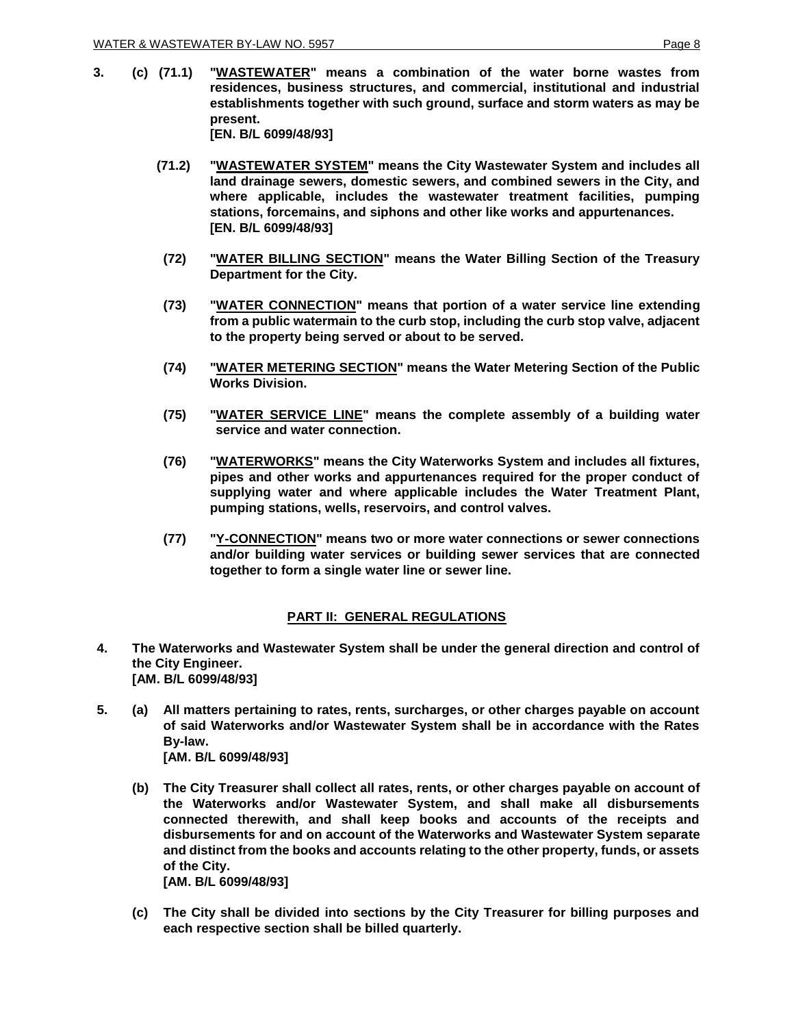**3. (c) (71.1) "WASTEWATER" means a combination of the water borne wastes from residences, business structures, and commercial, institutional and industrial establishments together with such ground, surface and storm waters as may be present. [EN. B/L 6099/48/93]**

> **(71.2) "WASTEWATER SYSTEM" means the City Wastewater System and includes all land drainage sewers, domestic sewers, and combined sewers in the City, and where applicable, includes the wastewater treatment facilities, pumping stations, forcemains, and siphons and other like works and appurtenances. [EN. B/L 6099/48/93]**

- **(72) "WATER BILLING SECTION" means the Water Billing Section of the Treasury Department for the City.**
- **(73) "WATER CONNECTION" means that portion of a water service line extending from a public watermain to the curb stop, including the curb stop valve, adjacent to the property being served or about to be served.**
- **(74) "WATER METERING SECTION" means the Water Metering Section of the Public Works Division.**
- **(75) "WATER SERVICE LINE" means the complete assembly of a building water service and water connection.**
- **(76) "WATERWORKS" means the City Waterworks System and includes all fixtures, pipes and other works and appurtenances required for the proper conduct of supplying water and where applicable includes the Water Treatment Plant, pumping stations, wells, reservoirs, and control valves.**
- **(77) "Y-CONNECTION" means two or more water connections or sewer connections and/or building water services or building sewer services that are connected together to form a single water line or sewer line.**

## **PART II: GENERAL REGULATIONS**

- **4. The Waterworks and Wastewater System shall be under the general direction and control of the City Engineer. [AM. B/L 6099/48/93]**
- **5. (a) All matters pertaining to rates, rents, surcharges, or other charges payable on account of said Waterworks and/or Wastewater System shall be in accordance with the Rates By-law. [AM. B/L 6099/48/93]**
	- **(b) The City Treasurer shall collect all rates, rents, or other charges payable on account of the Waterworks and/or Wastewater System, and shall make all disbursements connected therewith, and shall keep books and accounts of the receipts and disbursements for and on account of the Waterworks and Wastewater System separate and distinct from the books and accounts relating to the other property, funds, or assets of the City.**

**[AM. B/L 6099/48/93]**

**(c) The City shall be divided into sections by the City Treasurer for billing purposes and each respective section shall be billed quarterly.**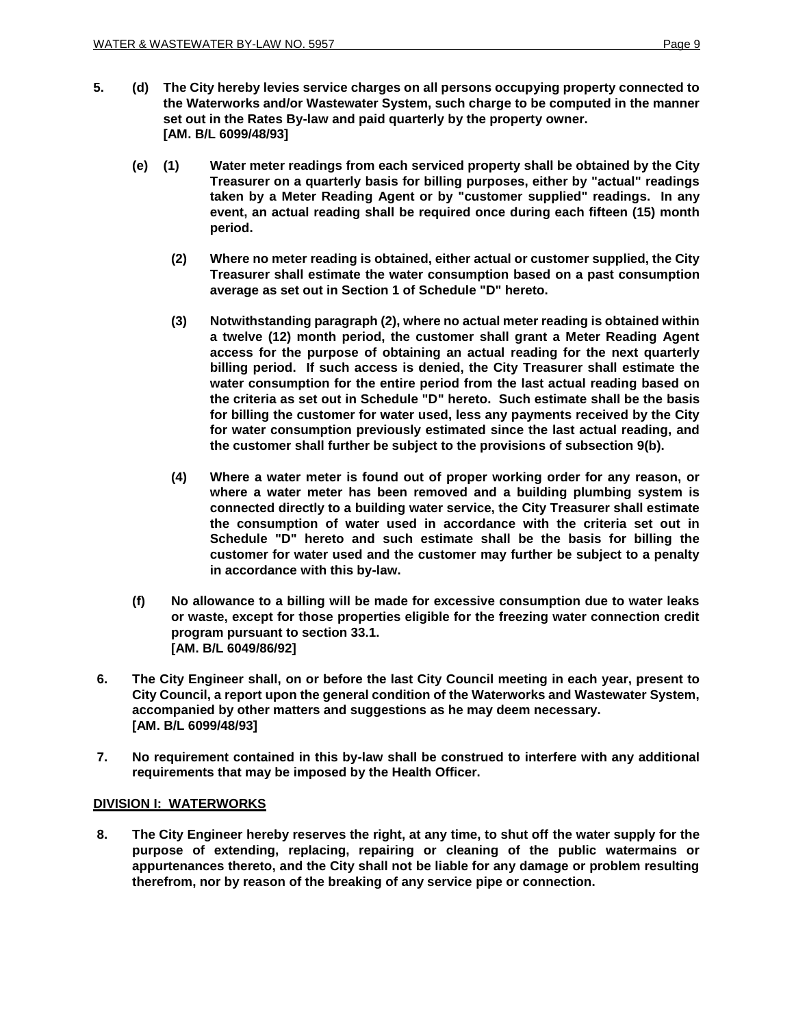- **5. (d) The City hereby levies service charges on all persons occupying property connected to the Waterworks and/or Wastewater System, such charge to be computed in the manner set out in the Rates By-law and paid quarterly by the property owner. [AM. B/L 6099/48/93]**
	- **(e) (1) Water meter readings from each serviced property shall be obtained by the City Treasurer on a quarterly basis for billing purposes, either by "actual" readings taken by a Meter Reading Agent or by "customer supplied" readings. In any event, an actual reading shall be required once during each fifteen (15) month period.**
		- **(2) Where no meter reading is obtained, either actual or customer supplied, the City Treasurer shall estimate the water consumption based on a past consumption average as set out in Section 1 of Schedule "D" hereto.**
		- **(3) Notwithstanding paragraph (2), where no actual meter reading is obtained within a twelve (12) month period, the customer shall grant a Meter Reading Agent access for the purpose of obtaining an actual reading for the next quarterly billing period. If such access is denied, the City Treasurer shall estimate the water consumption for the entire period from the last actual reading based on the criteria as set out in Schedule "D" hereto. Such estimate shall be the basis for billing the customer for water used, less any payments received by the City for water consumption previously estimated since the last actual reading, and the customer shall further be subject to the provisions of subsection 9(b).**
		- **(4) Where a water meter is found out of proper working order for any reason, or where a water meter has been removed and a building plumbing system is connected directly to a building water service, the City Treasurer shall estimate the consumption of water used in accordance with the criteria set out in Schedule "D" hereto and such estimate shall be the basis for billing the customer for water used and the customer may further be subject to a penalty in accordance with this by-law.**
	- **(f) No allowance to a billing will be made for excessive consumption due to water leaks or waste, except for those properties eligible for the freezing water connection credit program pursuant to section 33.1. [AM. B/L 6049/86/92]**
- **6. The City Engineer shall, on or before the last City Council meeting in each year, present to City Council, a report upon the general condition of the Waterworks and Wastewater System, accompanied by other matters and suggestions as he may deem necessary. [AM. B/L 6099/48/93]**
- **7. No requirement contained in this by-law shall be construed to interfere with any additional requirements that may be imposed by the Health Officer.**

## **DIVISION I: WATERWORKS**

**8. The City Engineer hereby reserves the right, at any time, to shut off the water supply for the purpose of extending, replacing, repairing or cleaning of the public watermains or appurtenances thereto, and the City shall not be liable for any damage or problem resulting therefrom, nor by reason of the breaking of any service pipe or connection.**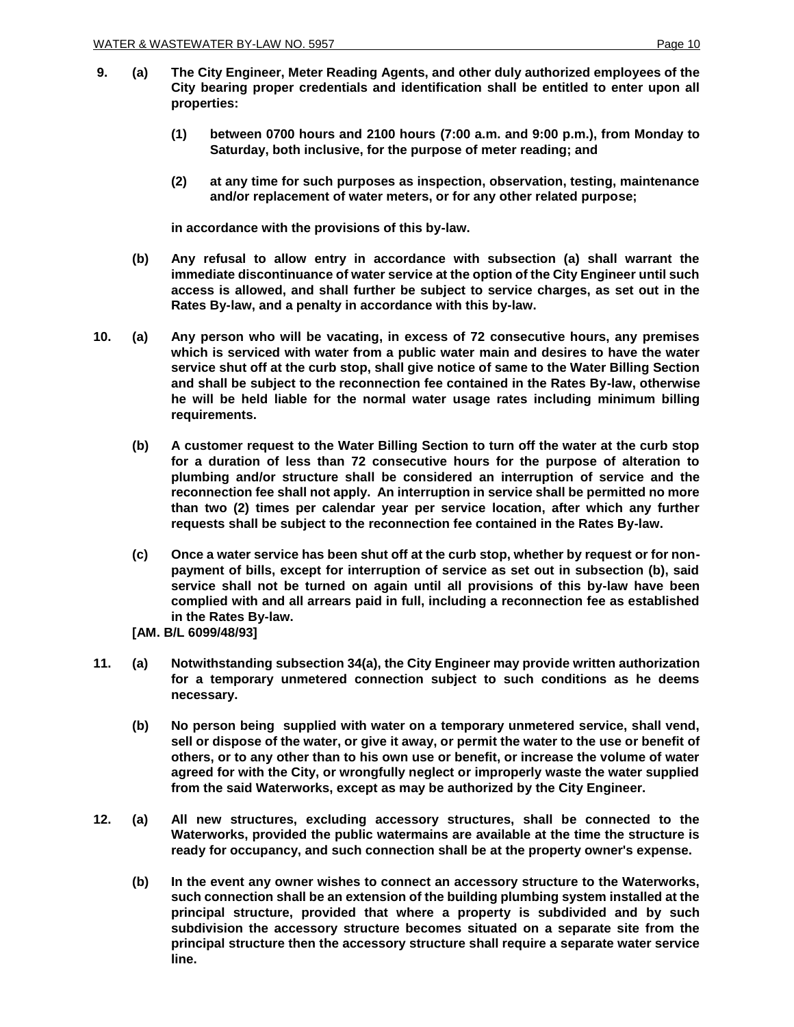- **9. (a) The City Engineer, Meter Reading Agents, and other duly authorized employees of the City bearing proper credentials and identification shall be entitled to enter upon all properties:**
	- **(1) between 0700 hours and 2100 hours (7:00 a.m. and 9:00 p.m.), from Monday to Saturday, both inclusive, for the purpose of meter reading; and**
	- **(2) at any time for such purposes as inspection, observation, testing, maintenance and/or replacement of water meters, or for any other related purpose;**

**in accordance with the provisions of this by-law.**

- **(b) Any refusal to allow entry in accordance with subsection (a) shall warrant the immediate discontinuance of water service at the option of the City Engineer until such access is allowed, and shall further be subject to service charges, as set out in the Rates By-law, and a penalty in accordance with this by-law.**
- **10. (a) Any person who will be vacating, in excess of 72 consecutive hours, any premises which is serviced with water from a public water main and desires to have the water service shut off at the curb stop, shall give notice of same to the Water Billing Section and shall be subject to the reconnection fee contained in the Rates By-law, otherwise he will be held liable for the normal water usage rates including minimum billing requirements.**
	- **(b) A customer request to the Water Billing Section to turn off the water at the curb stop for a duration of less than 72 consecutive hours for the purpose of alteration to plumbing and/or structure shall be considered an interruption of service and the reconnection fee shall not apply. An interruption in service shall be permitted no more than two (2) times per calendar year per service location, after which any further requests shall be subject to the reconnection fee contained in the Rates By-law.**
	- **(c) Once a water service has been shut off at the curb stop, whether by request or for nonpayment of bills, except for interruption of service as set out in subsection (b), said service shall not be turned on again until all provisions of this by-law have been complied with and all arrears paid in full, including a reconnection fee as established in the Rates By-law.**
	- **[AM. B/L 6099/48/93]**
- **11. (a) Notwithstanding subsection 34(a), the City Engineer may provide written authorization for a temporary unmetered connection subject to such conditions as he deems necessary.**
	- **(b) No person being supplied with water on a temporary unmetered service, shall vend, sell or dispose of the water, or give it away, or permit the water to the use or benefit of others, or to any other than to his own use or benefit, or increase the volume of water agreed for with the City, or wrongfully neglect or improperly waste the water supplied from the said Waterworks, except as may be authorized by the City Engineer.**
- **12. (a) All new structures, excluding accessory structures, shall be connected to the Waterworks, provided the public watermains are available at the time the structure is ready for occupancy, and such connection shall be at the property owner's expense.**
	- **(b) In the event any owner wishes to connect an accessory structure to the Waterworks, such connection shall be an extension of the building plumbing system installed at the principal structure, provided that where a property is subdivided and by such subdivision the accessory structure becomes situated on a separate site from the principal structure then the accessory structure shall require a separate water service line.**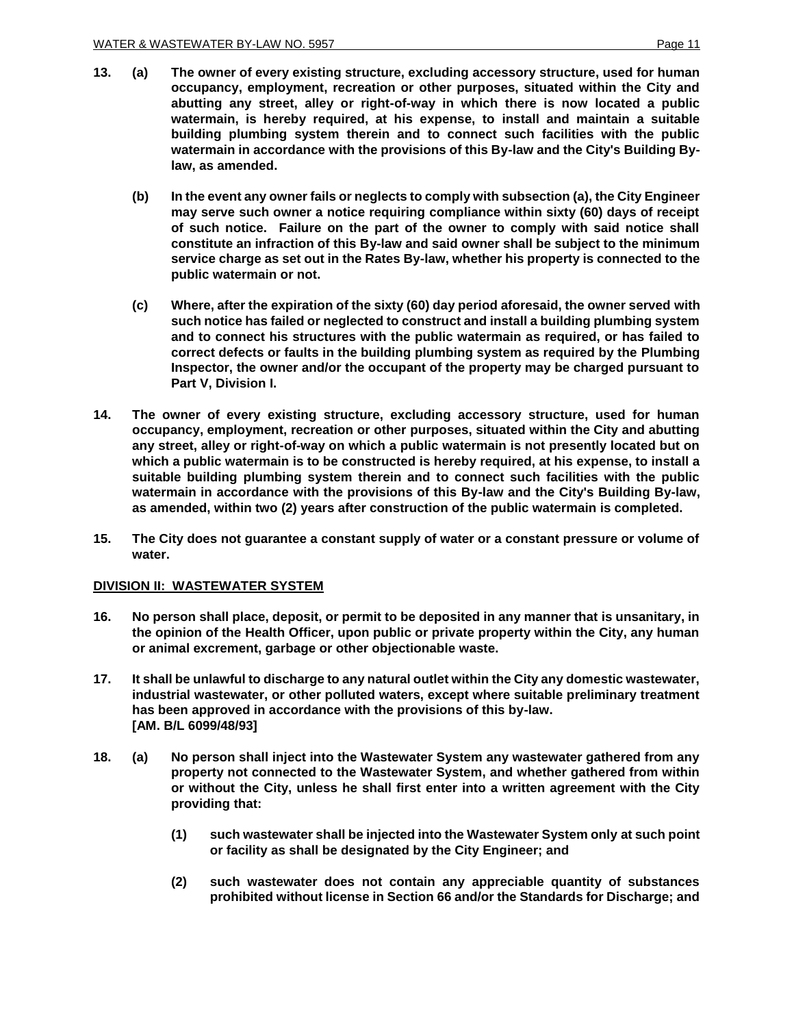- **13. (a) The owner of every existing structure, excluding accessory structure, used for human occupancy, employment, recreation or other purposes, situated within the City and abutting any street, alley or right-of-way in which there is now located a public watermain, is hereby required, at his expense, to install and maintain a suitable building plumbing system therein and to connect such facilities with the public watermain in accordance with the provisions of this By-law and the City's Building Bylaw, as amended.**
	- **(b) In the event any owner fails or neglects to comply with subsection (a), the City Engineer may serve such owner a notice requiring compliance within sixty (60) days of receipt of such notice. Failure on the part of the owner to comply with said notice shall constitute an infraction of this By-law and said owner shall be subject to the minimum service charge as set out in the Rates By-law, whether his property is connected to the public watermain or not.**
	- **(c) Where, after the expiration of the sixty (60) day period aforesaid, the owner served with such notice has failed or neglected to construct and install a building plumbing system and to connect his structures with the public watermain as required, or has failed to correct defects or faults in the building plumbing system as required by the Plumbing Inspector, the owner and/or the occupant of the property may be charged pursuant to Part V, Division I.**
- **14. The owner of every existing structure, excluding accessory structure, used for human occupancy, employment, recreation or other purposes, situated within the City and abutting any street, alley or right-of-way on which a public watermain is not presently located but on which a public watermain is to be constructed is hereby required, at his expense, to install a suitable building plumbing system therein and to connect such facilities with the public watermain in accordance with the provisions of this By-law and the City's Building By-law, as amended, within two (2) years after construction of the public watermain is completed.**
- **15. The City does not guarantee a constant supply of water or a constant pressure or volume of water.**

### **DIVISION II: WASTEWATER SYSTEM**

- **16. No person shall place, deposit, or permit to be deposited in any manner that is unsanitary, in the opinion of the Health Officer, upon public or private property within the City, any human or animal excrement, garbage or other objectionable waste.**
- **17. It shall be unlawful to discharge to any natural outlet within the City any domestic wastewater, industrial wastewater, or other polluted waters, except where suitable preliminary treatment has been approved in accordance with the provisions of this by-law. [AM. B/L 6099/48/93]**
- **18. (a) No person shall inject into the Wastewater System any wastewater gathered from any property not connected to the Wastewater System, and whether gathered from within or without the City, unless he shall first enter into a written agreement with the City providing that:**
	- **(1) such wastewater shall be injected into the Wastewater System only at such point or facility as shall be designated by the City Engineer; and**
	- **(2) such wastewater does not contain any appreciable quantity of substances prohibited without license in Section 66 and/or the Standards for Discharge; and**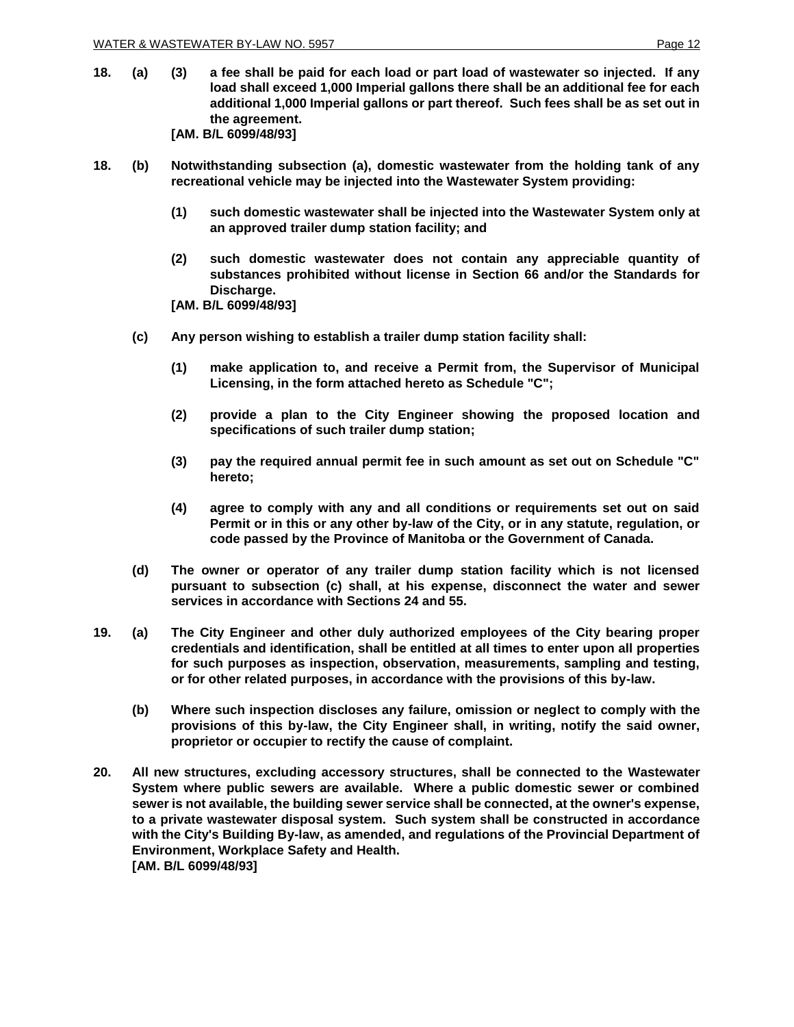- **18. (a) (3) a fee shall be paid for each load or part load of wastewater so injected. If any load shall exceed 1,000 Imperial gallons there shall be an additional fee for each additional 1,000 Imperial gallons or part thereof. Such fees shall be as set out in the agreement. [AM. B/L 6099/48/93]**
- **18. (b) Notwithstanding subsection (a), domestic wastewater from the holding tank of any recreational vehicle may be injected into the Wastewater System providing:**
	- **(1) such domestic wastewater shall be injected into the Wastewater System only at an approved trailer dump station facility; and**
	- **(2) such domestic wastewater does not contain any appreciable quantity of substances prohibited without license in Section 66 and/or the Standards for Discharge.**

**[AM. B/L 6099/48/93]**

- **(c) Any person wishing to establish a trailer dump station facility shall:**
	- **(1) make application to, and receive a Permit from, the Supervisor of Municipal Licensing, in the form attached hereto as Schedule "C";**
	- **(2) provide a plan to the City Engineer showing the proposed location and specifications of such trailer dump station;**
	- **(3) pay the required annual permit fee in such amount as set out on Schedule "C" hereto;**
	- **(4) agree to comply with any and all conditions or requirements set out on said Permit or in this or any other by-law of the City, or in any statute, regulation, or code passed by the Province of Manitoba or the Government of Canada.**
- **(d) The owner or operator of any trailer dump station facility which is not licensed pursuant to subsection (c) shall, at his expense, disconnect the water and sewer services in accordance with Sections 24 and 55.**
- **19. (a) The City Engineer and other duly authorized employees of the City bearing proper credentials and identification, shall be entitled at all times to enter upon all properties for such purposes as inspection, observation, measurements, sampling and testing, or for other related purposes, in accordance with the provisions of this by-law.**
	- **(b) Where such inspection discloses any failure, omission or neglect to comply with the provisions of this by-law, the City Engineer shall, in writing, notify the said owner, proprietor or occupier to rectify the cause of complaint.**
- **20. All new structures, excluding accessory structures, shall be connected to the Wastewater System where public sewers are available. Where a public domestic sewer or combined sewer is not available, the building sewer service shall be connected, at the owner's expense, to a private wastewater disposal system. Such system shall be constructed in accordance with the City's Building By-law, as amended, and regulations of the Provincial Department of Environment, Workplace Safety and Health. [AM. B/L 6099/48/93]**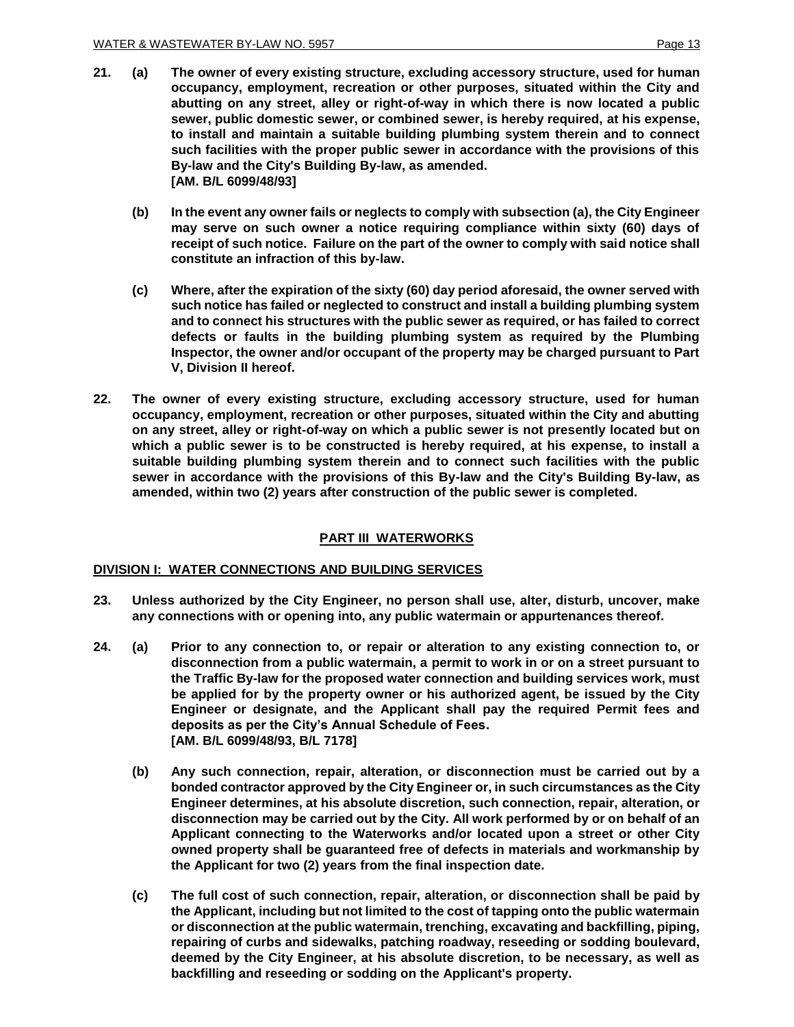- **21. (a) The owner of every existing structure, excluding accessory structure, used for human occupancy, employment, recreation or other purposes, situated within the City and abutting on any street, alley or right-of-way in which there is now located a public sewer, public domestic sewer, or combined sewer, is hereby required, at his expense, to install and maintain a suitable building plumbing system therein and to connect such facilities with the proper public sewer in accordance with the provisions of this By-law and the City's Building By-law, as amended. [AM. B/L 6099/48/93]**
	- **(b) In the event any owner fails or neglects to comply with subsection (a), the City Engineer may serve on such owner a notice requiring compliance within sixty (60) days of receipt of such notice. Failure on the part of the owner to comply with said notice shall constitute an infraction of this by-law.**
	- **(c) Where, after the expiration of the sixty (60) day period aforesaid, the owner served with such notice has failed or neglected to construct and install a building plumbing system and to connect his structures with the public sewer as required, or has failed to correct defects or faults in the building plumbing system as required by the Plumbing Inspector, the owner and/or occupant of the property may be charged pursuant to Part V, Division II hereof.**
- **22. The owner of every existing structure, excluding accessory structure, used for human occupancy, employment, recreation or other purposes, situated within the City and abutting on any street, alley or right-of-way on which a public sewer is not presently located but on which a public sewer is to be constructed is hereby required, at his expense, to install a suitable building plumbing system therein and to connect such facilities with the public sewer in accordance with the provisions of this By-law and the City's Building By-law, as amended, within two (2) years after construction of the public sewer is completed.**

## **PART III WATERWORKS**

#### **DIVISION I: WATER CONNECTIONS AND BUILDING SERVICES**

- **23. Unless authorized by the City Engineer, no person shall use, alter, disturb, uncover, make any connections with or opening into, any public watermain or appurtenances thereof.**
- **24. (a) Prior to any connection to, or repair or alteration to any existing connection to, or disconnection from a public watermain, a permit to work in or on a street pursuant to the Traffic By-law for the proposed water connection and building services work, must be applied for by the property owner or his authorized agent, be issued by the City Engineer or designate, and the Applicant shall pay the required Permit fees and deposits as per the City's Annual Schedule of Fees. [AM. B/L 6099/48/93, B/L 7178]**
	- **(b) Any such connection, repair, alteration, or disconnection must be carried out by a bonded contractor approved by the City Engineer or, in such circumstances as the City Engineer determines, at his absolute discretion, such connection, repair, alteration, or disconnection may be carried out by the City. All work performed by or on behalf of an Applicant connecting to the Waterworks and/or located upon a street or other City owned property shall be guaranteed free of defects in materials and workmanship by the Applicant for two (2) years from the final inspection date.**
	- **(c) The full cost of such connection, repair, alteration, or disconnection shall be paid by the Applicant, including but not limited to the cost of tapping onto the public watermain or disconnection at the public watermain, trenching, excavating and backfilling, piping, repairing of curbs and sidewalks, patching roadway, reseeding or sodding boulevard, deemed by the City Engineer, at his absolute discretion, to be necessary, as well as backfilling and reseeding or sodding on the Applicant's property.**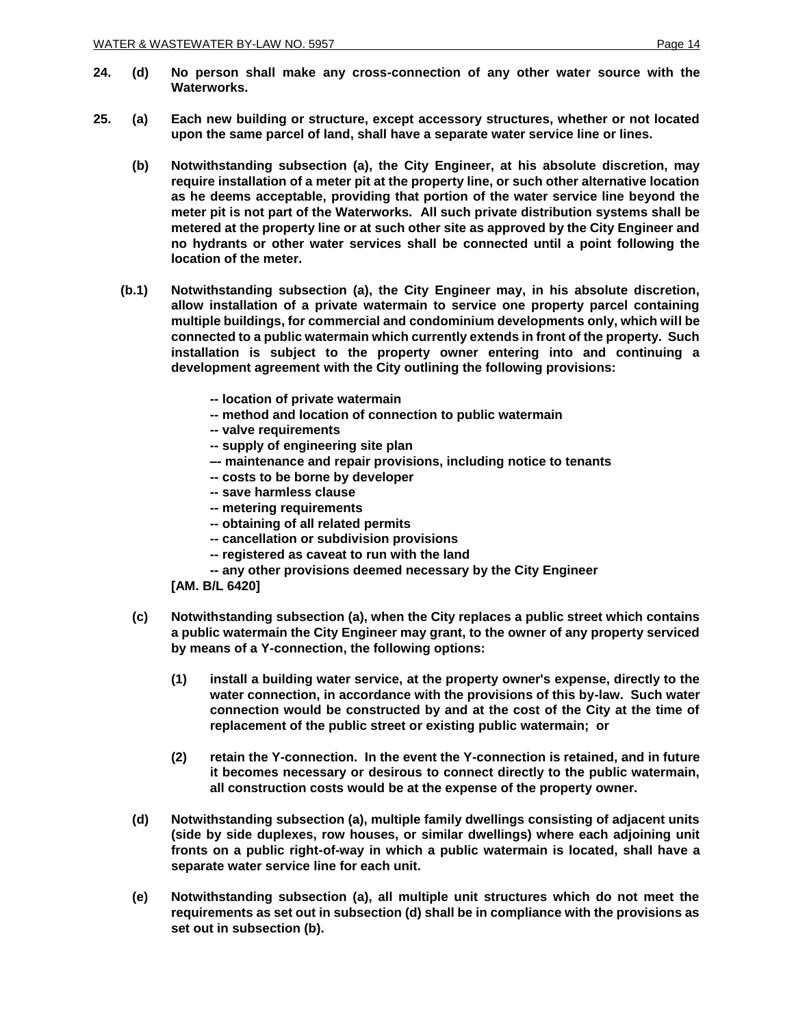- **24. (d) No person shall make any cross-connection of any other water source with the Waterworks.**
- **25. (a) Each new building or structure, except accessory structures, whether or not located upon the same parcel of land, shall have a separate water service line or lines.** 
	- **(b) Notwithstanding subsection (a), the City Engineer, at his absolute discretion, may require installation of a meter pit at the property line, or such other alternative location as he deems acceptable, providing that portion of the water service line beyond the meter pit is not part of the Waterworks. All such private distribution systems shall be metered at the property line or at such other site as approved by the City Engineer and no hydrants or other water services shall be connected until a point following the location of the meter.**
	- **(b.1) Notwithstanding subsection (a), the City Engineer may, in his absolute discretion, allow installation of a private watermain to service one property parcel containing multiple buildings, for commercial and condominium developments only, which will be connected to a public watermain which currently extends in front of the property. Such installation is subject to the property owner entering into and continuing a development agreement with the City outlining the following provisions:**
		- **-- location of private watermain**
		- **-- method and location of connection to public watermain**
		- **-- valve requirements**
		- **-- supply of engineering site plan**
		- **–- maintenance and repair provisions, including notice to tenants**
		- **-- costs to be borne by developer**
		- **-- save harmless clause**
		- **-- metering requirements**
		- **-- obtaining of all related permits**
		- **-- cancellation or subdivision provisions**
		- **-- registered as caveat to run with the land**
		- **-- any other provisions deemed necessary by the City Engineer**
		- **[AM. B/L 6420]**
		- **(c) Notwithstanding subsection (a), when the City replaces a public street which contains a public watermain the City Engineer may grant, to the owner of any property serviced by means of a Y-connection, the following options:** 
			- **(1) install a building water service, at the property owner's expense, directly to the water connection, in accordance with the provisions of this by-law. Such water connection would be constructed by and at the cost of the City at the time of replacement of the public street or existing public watermain; or**
			- **(2) retain the Y-connection. In the event the Y-connection is retained, and in future it becomes necessary or desirous to connect directly to the public watermain, all construction costs would be at the expense of the property owner.**
		- **(d) Notwithstanding subsection (a), multiple family dwellings consisting of adjacent units (side by side duplexes, row houses, or similar dwellings) where each adjoining unit fronts on a public right-of-way in which a public watermain is located, shall have a separate water service line for each unit.**
		- **(e) Notwithstanding subsection (a), all multiple unit structures which do not meet the requirements as set out in subsection (d) shall be in compliance with the provisions as set out in subsection (b).**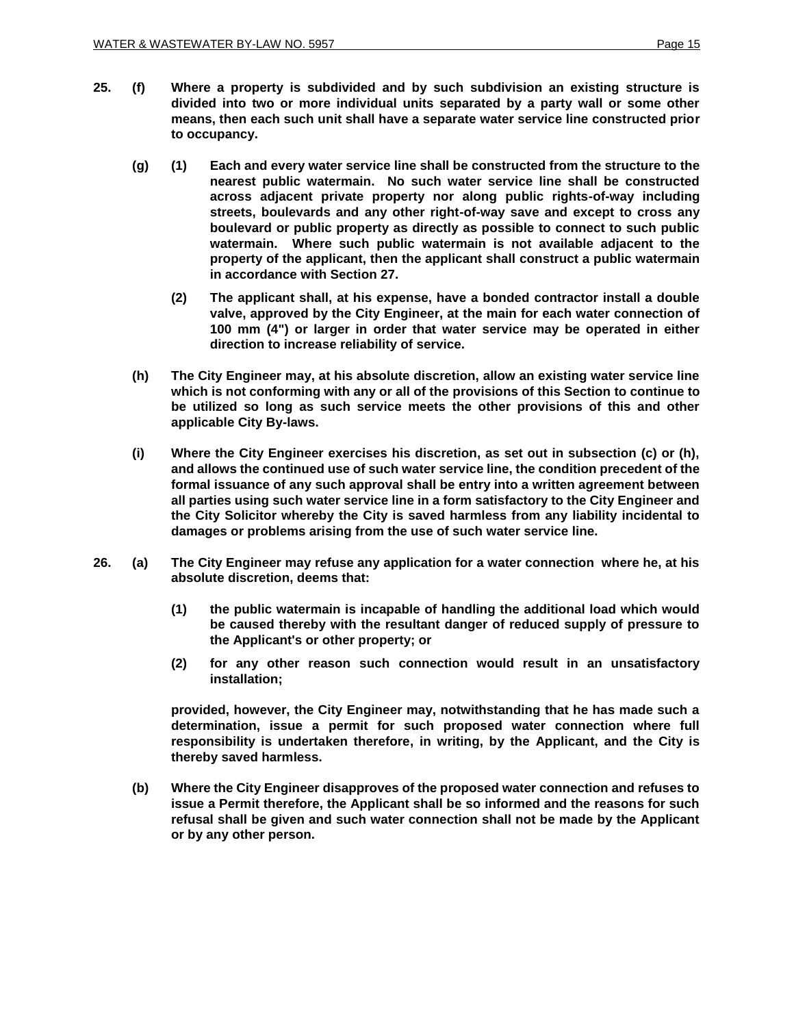- **(g) (1) Each and every water service line shall be constructed from the structure to the nearest public watermain. No such water service line shall be constructed across adjacent private property nor along public rights-of-way including streets, boulevards and any other right-of-way save and except to cross any boulevard or public property as directly as possible to connect to such public watermain. Where such public watermain is not available adjacent to the property of the applicant, then the applicant shall construct a public watermain in accordance with Section 27.** 
	- **(2) The applicant shall, at his expense, have a bonded contractor install a double valve, approved by the City Engineer, at the main for each water connection of 100 mm (4") or larger in order that water service may be operated in either direction to increase reliability of service.**
- **(h) The City Engineer may, at his absolute discretion, allow an existing water service line which is not conforming with any or all of the provisions of this Section to continue to be utilized so long as such service meets the other provisions of this and other applicable City By-laws.**
- **(i) Where the City Engineer exercises his discretion, as set out in subsection (c) or (h), and allows the continued use of such water service line, the condition precedent of the formal issuance of any such approval shall be entry into a written agreement between all parties using such water service line in a form satisfactory to the City Engineer and the City Solicitor whereby the City is saved harmless from any liability incidental to damages or problems arising from the use of such water service line.**
- **26. (a) The City Engineer may refuse any application for a water connection where he, at his absolute discretion, deems that:**
	- **(1) the public watermain is incapable of handling the additional load which would be caused thereby with the resultant danger of reduced supply of pressure to the Applicant's or other property; or**
	- **(2) for any other reason such connection would result in an unsatisfactory installation;**

**provided, however, the City Engineer may, notwithstanding that he has made such a determination, issue a permit for such proposed water connection where full responsibility is undertaken therefore, in writing, by the Applicant, and the City is thereby saved harmless.**

**(b) Where the City Engineer disapproves of the proposed water connection and refuses to issue a Permit therefore, the Applicant shall be so informed and the reasons for such refusal shall be given and such water connection shall not be made by the Applicant or by any other person.**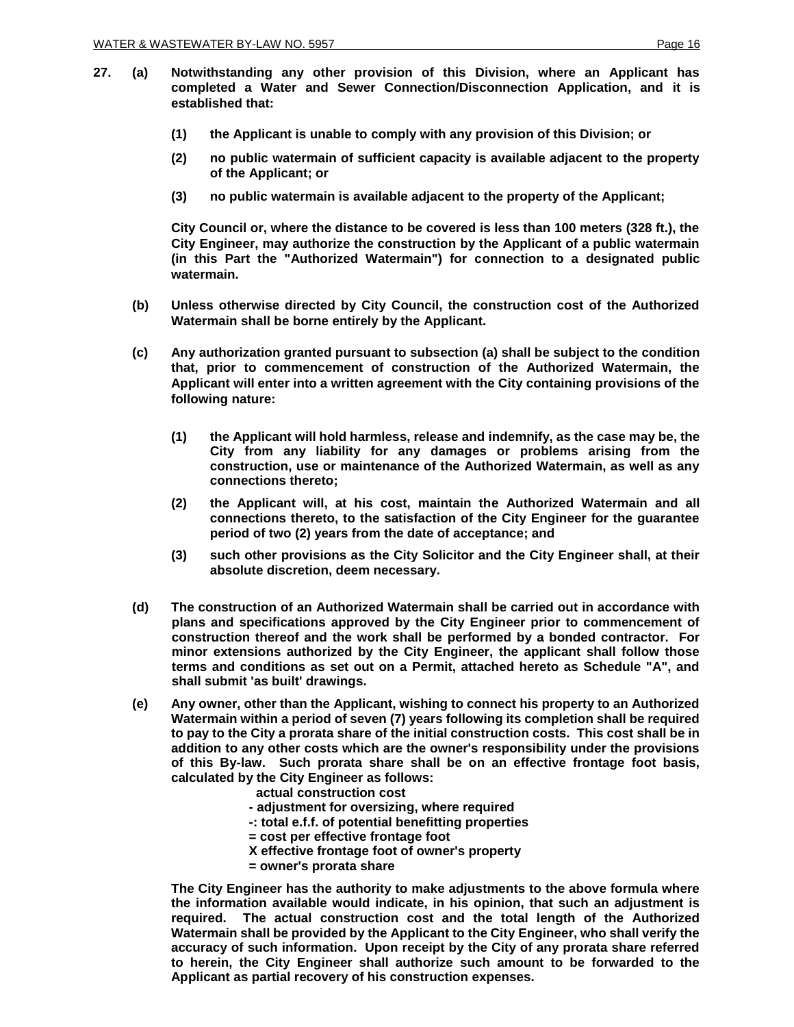- **27. (a) Notwithstanding any other provision of this Division, where an Applicant has completed a Water and Sewer Connection/Disconnection Application, and it is established that:**
	- **(1) the Applicant is unable to comply with any provision of this Division; or**
	- **(2) no public watermain of sufficient capacity is available adjacent to the property of the Applicant; or**
	- **(3) no public watermain is available adjacent to the property of the Applicant;**

**City Council or, where the distance to be covered is less than 100 meters (328 ft.), the City Engineer, may authorize the construction by the Applicant of a public watermain (in this Part the "Authorized Watermain") for connection to a designated public watermain.**

- **(b) Unless otherwise directed by City Council, the construction cost of the Authorized Watermain shall be borne entirely by the Applicant.**
- **(c) Any authorization granted pursuant to subsection (a) shall be subject to the condition that, prior to commencement of construction of the Authorized Watermain, the Applicant will enter into a written agreement with the City containing provisions of the following nature:**
	- **(1) the Applicant will hold harmless, release and indemnify, as the case may be, the City from any liability for any damages or problems arising from the construction, use or maintenance of the Authorized Watermain, as well as any connections thereto;**
	- **(2) the Applicant will, at his cost, maintain the Authorized Watermain and all connections thereto, to the satisfaction of the City Engineer for the guarantee period of two (2) years from the date of acceptance; and**
	- **(3) such other provisions as the City Solicitor and the City Engineer shall, at their absolute discretion, deem necessary.**
- **(d) The construction of an Authorized Watermain shall be carried out in accordance with plans and specifications approved by the City Engineer prior to commencement of construction thereof and the work shall be performed by a bonded contractor. For minor extensions authorized by the City Engineer, the applicant shall follow those terms and conditions as set out on a Permit, attached hereto as Schedule "A", and shall submit 'as built' drawings.**
- **(e) Any owner, other than the Applicant, wishing to connect his property to an Authorized Watermain within a period of seven (7) years following its completion shall be required to pay to the City a prorata share of the initial construction costs. This cost shall be in addition to any other costs which are the owner's responsibility under the provisions of this By-law. Such prorata share shall be on an effective frontage foot basis, calculated by the City Engineer as follows:**

 **actual construction cost** 

- **- adjustment for oversizing, where required**
- **-: total e.f.f. of potential benefitting properties**
- **= cost per effective frontage foot**
- **X effective frontage foot of owner's property**
- **= owner's prorata share**

**The City Engineer has the authority to make adjustments to the above formula where the information available would indicate, in his opinion, that such an adjustment is required. The actual construction cost and the total length of the Authorized Watermain shall be provided by the Applicant to the City Engineer, who shall verify the accuracy of such information. Upon receipt by the City of any prorata share referred to herein, the City Engineer shall authorize such amount to be forwarded to the Applicant as partial recovery of his construction expenses.**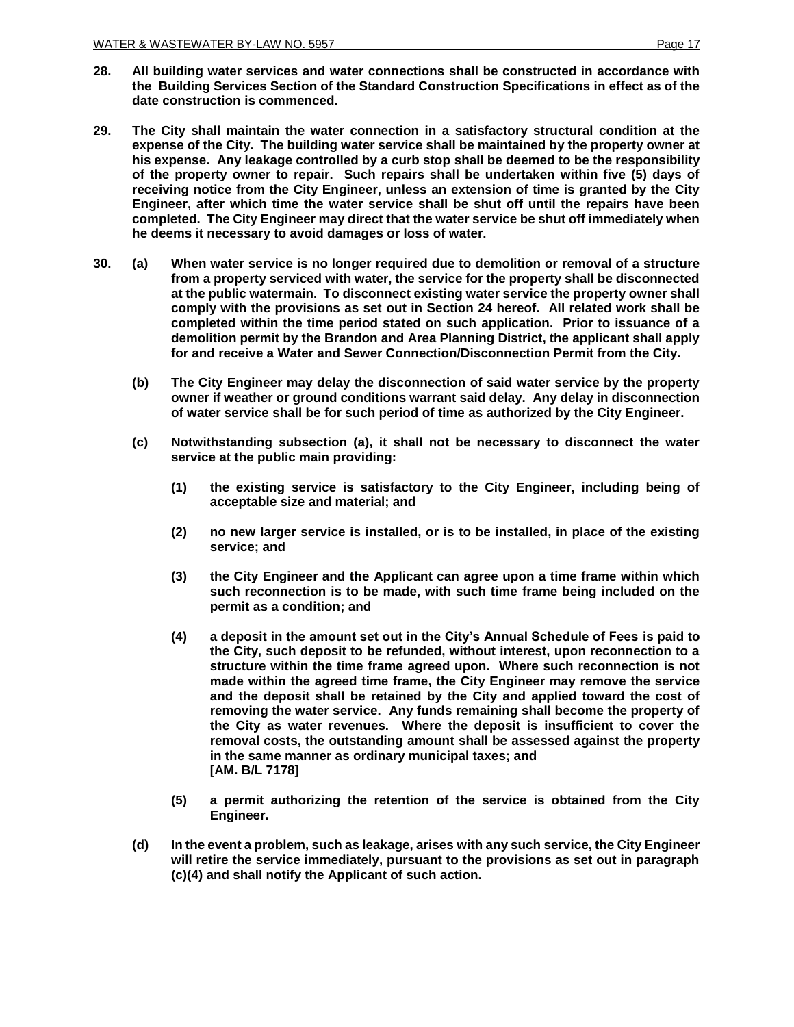- **28. All building water services and water connections shall be constructed in accordance with the Building Services Section of the Standard Construction Specifications in effect as of the date construction is commenced.**
- **29. The City shall maintain the water connection in a satisfactory structural condition at the expense of the City. The building water service shall be maintained by the property owner at his expense. Any leakage controlled by a curb stop shall be deemed to be the responsibility of the property owner to repair. Such repairs shall be undertaken within five (5) days of receiving notice from the City Engineer, unless an extension of time is granted by the City Engineer, after which time the water service shall be shut off until the repairs have been completed. The City Engineer may direct that the water service be shut off immediately when he deems it necessary to avoid damages or loss of water.**
- **30. (a) When water service is no longer required due to demolition or removal of a structure from a property serviced with water, the service for the property shall be disconnected at the public watermain. To disconnect existing water service the property owner shall comply with the provisions as set out in Section 24 hereof. All related work shall be completed within the time period stated on such application. Prior to issuance of a demolition permit by the Brandon and Area Planning District, the applicant shall apply for and receive a Water and Sewer Connection/Disconnection Permit from the City.**
	- **(b) The City Engineer may delay the disconnection of said water service by the property owner if weather or ground conditions warrant said delay. Any delay in disconnection of water service shall be for such period of time as authorized by the City Engineer.**
	- **(c) Notwithstanding subsection (a), it shall not be necessary to disconnect the water service at the public main providing:**
		- **(1) the existing service is satisfactory to the City Engineer, including being of acceptable size and material; and**
		- **(2) no new larger service is installed, or is to be installed, in place of the existing service; and**
		- **(3) the City Engineer and the Applicant can agree upon a time frame within which such reconnection is to be made, with such time frame being included on the permit as a condition; and**
		- **(4) a deposit in the amount set out in the City's Annual Schedule of Fees is paid to the City, such deposit to be refunded, without interest, upon reconnection to a structure within the time frame agreed upon. Where such reconnection is not made within the agreed time frame, the City Engineer may remove the service and the deposit shall be retained by the City and applied toward the cost of removing the water service. Any funds remaining shall become the property of the City as water revenues. Where the deposit is insufficient to cover the removal costs, the outstanding amount shall be assessed against the property in the same manner as ordinary municipal taxes; and [AM. B/L 7178]**
		- **(5) a permit authorizing the retention of the service is obtained from the City Engineer.**
	- **(d) In the event a problem, such as leakage, arises with any such service, the City Engineer will retire the service immediately, pursuant to the provisions as set out in paragraph (c)(4) and shall notify the Applicant of such action.**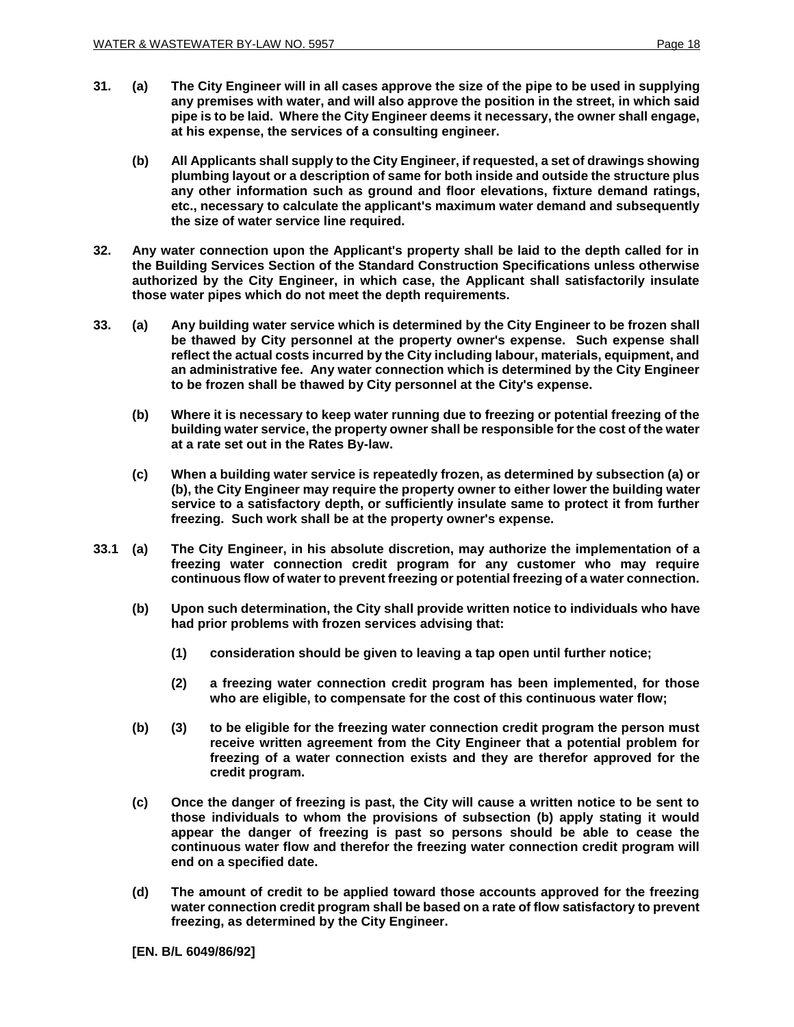- **31. (a) The City Engineer will in all cases approve the size of the pipe to be used in supplying any premises with water, and will also approve the position in the street, in which said pipe is to be laid. Where the City Engineer deems it necessary, the owner shall engage, at his expense, the services of a consulting engineer.**
	- **(b) All Applicants shall supply to the City Engineer, if requested, a set of drawings showing plumbing layout or a description of same for both inside and outside the structure plus any other information such as ground and floor elevations, fixture demand ratings, etc., necessary to calculate the applicant's maximum water demand and subsequently the size of water service line required.**
- **32. Any water connection upon the Applicant's property shall be laid to the depth called for in the Building Services Section of the Standard Construction Specifications unless otherwise authorized by the City Engineer, in which case, the Applicant shall satisfactorily insulate those water pipes which do not meet the depth requirements.**
- **33. (a) Any building water service which is determined by the City Engineer to be frozen shall be thawed by City personnel at the property owner's expense. Such expense shall reflect the actual costs incurred by the City including labour, materials, equipment, and an administrative fee. Any water connection which is determined by the City Engineer to be frozen shall be thawed by City personnel at the City's expense.**
	- **(b) Where it is necessary to keep water running due to freezing or potential freezing of the building water service, the property owner shall be responsible for the cost of the water at a rate set out in the Rates By-law.**
	- **(c) When a building water service is repeatedly frozen, as determined by subsection (a) or (b), the City Engineer may require the property owner to either lower the building water service to a satisfactory depth, or sufficiently insulate same to protect it from further freezing. Such work shall be at the property owner's expense.**
- **33.1 (a) The City Engineer, in his absolute discretion, may authorize the implementation of a freezing water connection credit program for any customer who may require continuous flow of water to prevent freezing or potential freezing of a water connection.**
	- **(b) Upon such determination, the City shall provide written notice to individuals who have had prior problems with frozen services advising that:**
		- **(1) consideration should be given to leaving a tap open until further notice;**
		- **(2) a freezing water connection credit program has been implemented, for those who are eligible, to compensate for the cost of this continuous water flow;**
	- **(b) (3) to be eligible for the freezing water connection credit program the person must receive written agreement from the City Engineer that a potential problem for freezing of a water connection exists and they are therefor approved for the credit program.**
	- **(c) Once the danger of freezing is past, the City will cause a written notice to be sent to those individuals to whom the provisions of subsection (b) apply stating it would appear the danger of freezing is past so persons should be able to cease the continuous water flow and therefor the freezing water connection credit program will end on a specified date.**
	- **(d) The amount of credit to be applied toward those accounts approved for the freezing water connection credit program shall be based on a rate of flow satisfactory to prevent freezing, as determined by the City Engineer.**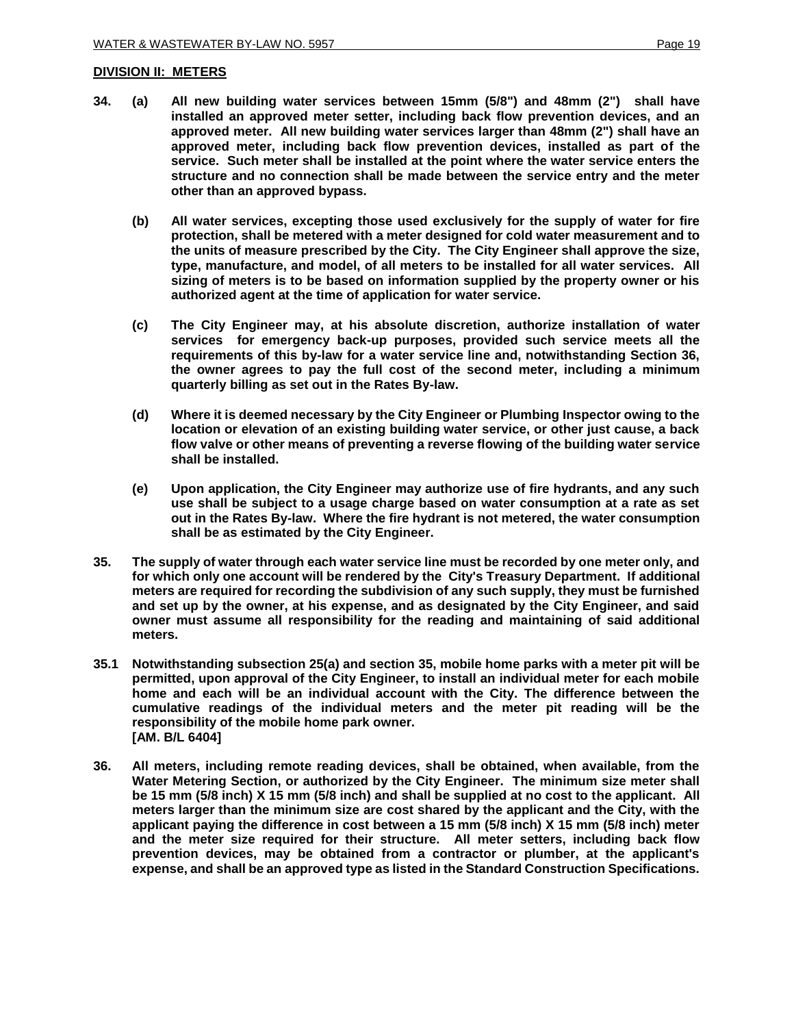#### **DIVISION II: METERS**

- **34. (a) All new building water services between 15mm (5/8") and 48mm (2") shall have installed an approved meter setter, including back flow prevention devices, and an approved meter. All new building water services larger than 48mm (2") shall have an approved meter, including back flow prevention devices, installed as part of the service. Such meter shall be installed at the point where the water service enters the structure and no connection shall be made between the service entry and the meter other than an approved bypass.** 
	- **(b) All water services, excepting those used exclusively for the supply of water for fire protection, shall be metered with a meter designed for cold water measurement and to the units of measure prescribed by the City. The City Engineer shall approve the size, type, manufacture, and model, of all meters to be installed for all water services. All sizing of meters is to be based on information supplied by the property owner or his authorized agent at the time of application for water service.**
	- **(c) The City Engineer may, at his absolute discretion, authorize installation of water services for emergency back-up purposes, provided such service meets all the requirements of this by-law for a water service line and, notwithstanding Section 36, the owner agrees to pay the full cost of the second meter, including a minimum quarterly billing as set out in the Rates By-law.**
	- **(d) Where it is deemed necessary by the City Engineer or Plumbing Inspector owing to the location or elevation of an existing building water service, or other just cause, a back flow valve or other means of preventing a reverse flowing of the building water service shall be installed.**
	- **(e) Upon application, the City Engineer may authorize use of fire hydrants, and any such use shall be subject to a usage charge based on water consumption at a rate as set out in the Rates By-law. Where the fire hydrant is not metered, the water consumption shall be as estimated by the City Engineer.**
- **35. The supply of water through each water service line must be recorded by one meter only, and for which only one account will be rendered by the City's Treasury Department. If additional meters are required for recording the subdivision of any such supply, they must be furnished and set up by the owner, at his expense, and as designated by the City Engineer, and said owner must assume all responsibility for the reading and maintaining of said additional meters.**
- **35.1 Notwithstanding subsection 25(a) and section 35, mobile home parks with a meter pit will be permitted, upon approval of the City Engineer, to install an individual meter for each mobile home and each will be an individual account with the City. The difference between the cumulative readings of the individual meters and the meter pit reading will be the responsibility of the mobile home park owner. [AM. B/L 6404]**
- **36. All meters, including remote reading devices, shall be obtained, when available, from the Water Metering Section, or authorized by the City Engineer. The minimum size meter shall be 15 mm (5/8 inch) X 15 mm (5/8 inch) and shall be supplied at no cost to the applicant. All meters larger than the minimum size are cost shared by the applicant and the City, with the applicant paying the difference in cost between a 15 mm (5/8 inch) X 15 mm (5/8 inch) meter and the meter size required for their structure. All meter setters, including back flow prevention devices, may be obtained from a contractor or plumber, at the applicant's expense, and shall be an approved type as listed in the Standard Construction Specifications.**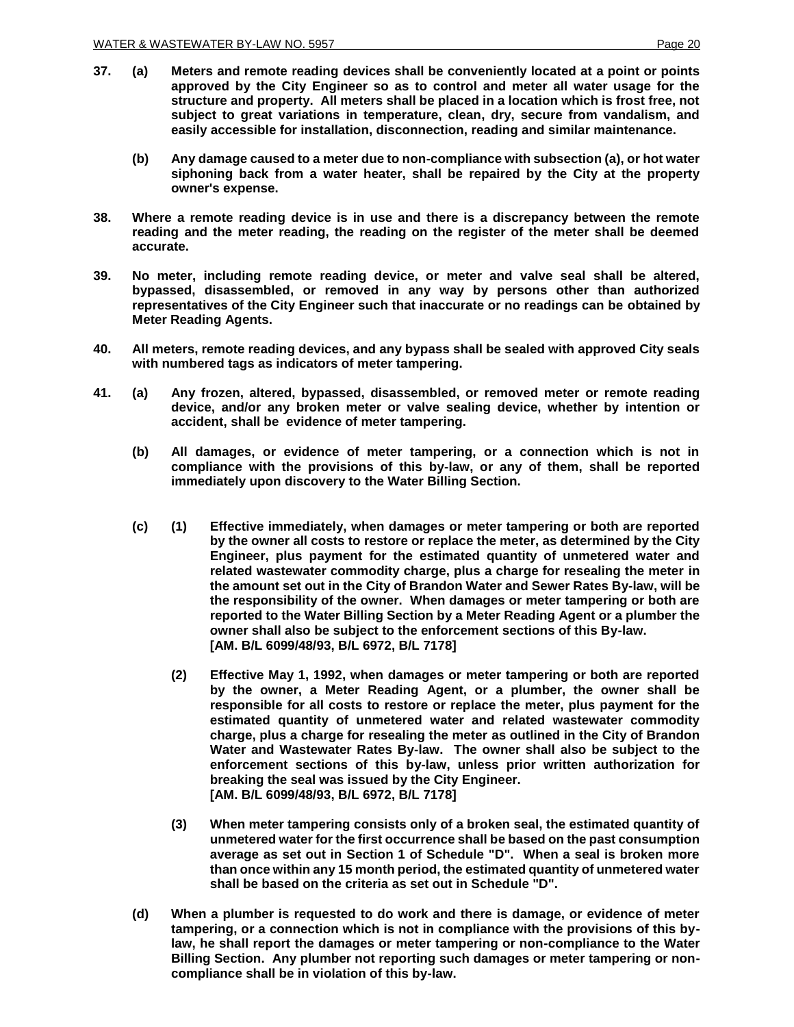- **37. (a) Meters and remote reading devices shall be conveniently located at a point or points approved by the City Engineer so as to control and meter all water usage for the structure and property. All meters shall be placed in a location which is frost free, not subject to great variations in temperature, clean, dry, secure from vandalism, and easily accessible for installation, disconnection, reading and similar maintenance.**
	- **(b) Any damage caused to a meter due to non-compliance with subsection (a), or hot water siphoning back from a water heater, shall be repaired by the City at the property owner's expense.**
- **38. Where a remote reading device is in use and there is a discrepancy between the remote reading and the meter reading, the reading on the register of the meter shall be deemed accurate.**
- **39. No meter, including remote reading device, or meter and valve seal shall be altered, bypassed, disassembled, or removed in any way by persons other than authorized representatives of the City Engineer such that inaccurate or no readings can be obtained by Meter Reading Agents.**
- **40. All meters, remote reading devices, and any bypass shall be sealed with approved City seals with numbered tags as indicators of meter tampering.**
- **41. (a) Any frozen, altered, bypassed, disassembled, or removed meter or remote reading device, and/or any broken meter or valve sealing device, whether by intention or accident, shall be evidence of meter tampering.** 
	- **(b) All damages, or evidence of meter tampering, or a connection which is not in compliance with the provisions of this by-law, or any of them, shall be reported immediately upon discovery to the Water Billing Section.**
	- **(c) (1) Effective immediately, when damages or meter tampering or both are reported by the owner all costs to restore or replace the meter, as determined by the City Engineer, plus payment for the estimated quantity of unmetered water and related wastewater commodity charge, plus a charge for resealing the meter in the amount set out in the City of Brandon Water and Sewer Rates By-law, will be the responsibility of the owner. When damages or meter tampering or both are reported to the Water Billing Section by a Meter Reading Agent or a plumber the owner shall also be subject to the enforcement sections of this By-law. [AM. B/L 6099/48/93, B/L 6972, B/L 7178]**
		- **(2) Effective May 1, 1992, when damages or meter tampering or both are reported by the owner, a Meter Reading Agent, or a plumber, the owner shall be responsible for all costs to restore or replace the meter, plus payment for the estimated quantity of unmetered water and related wastewater commodity charge, plus a charge for resealing the meter as outlined in the City of Brandon Water and Wastewater Rates By-law. The owner shall also be subject to the enforcement sections of this by-law, unless prior written authorization for breaking the seal was issued by the City Engineer. [AM. B/L 6099/48/93, B/L 6972, B/L 7178]**
		- **(3) When meter tampering consists only of a broken seal, the estimated quantity of unmetered water for the first occurrence shall be based on the past consumption average as set out in Section 1 of Schedule "D". When a seal is broken more than once within any 15 month period, the estimated quantity of unmetered water shall be based on the criteria as set out in Schedule "D".**
	- **(d) When a plumber is requested to do work and there is damage, or evidence of meter tampering, or a connection which is not in compliance with the provisions of this bylaw, he shall report the damages or meter tampering or non-compliance to the Water Billing Section. Any plumber not reporting such damages or meter tampering or noncompliance shall be in violation of this by-law.**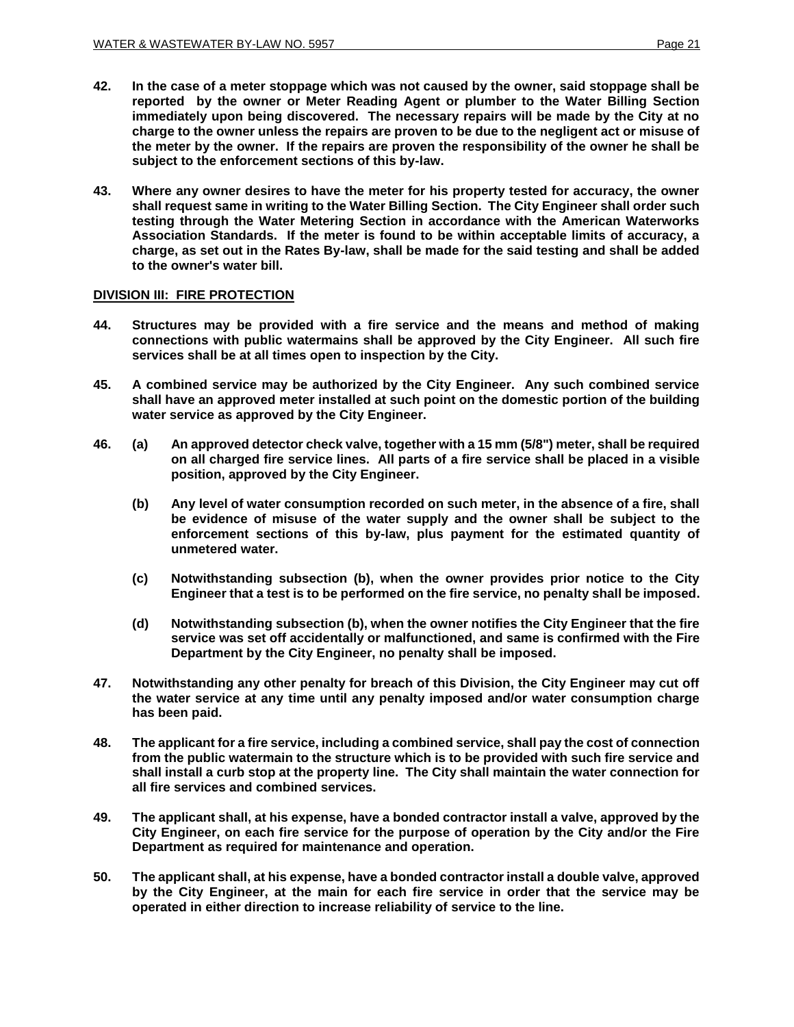**subject to the enforcement sections of this by-law.**

- **42. In the case of a meter stoppage which was not caused by the owner, said stoppage shall be reported by the owner or Meter Reading Agent or plumber to the Water Billing Section immediately upon being discovered. The necessary repairs will be made by the City at no charge to the owner unless the repairs are proven to be due to the negligent act or misuse of the meter by the owner. If the repairs are proven the responsibility of the owner he shall be**
- **43. Where any owner desires to have the meter for his property tested for accuracy, the owner shall request same in writing to the Water Billing Section. The City Engineer shall order such testing through the Water Metering Section in accordance with the American Waterworks Association Standards. If the meter is found to be within acceptable limits of accuracy, a charge, as set out in the Rates By-law, shall be made for the said testing and shall be added to the owner's water bill.**

## **DIVISION III: FIRE PROTECTION**

- **44. Structures may be provided with a fire service and the means and method of making connections with public watermains shall be approved by the City Engineer. All such fire services shall be at all times open to inspection by the City.**
- **45. A combined service may be authorized by the City Engineer. Any such combined service shall have an approved meter installed at such point on the domestic portion of the building water service as approved by the City Engineer.**
- **46. (a) An approved detector check valve, together with a 15 mm (5/8") meter, shall be required on all charged fire service lines. All parts of a fire service shall be placed in a visible position, approved by the City Engineer.** 
	- **(b) Any level of water consumption recorded on such meter, in the absence of a fire, shall be evidence of misuse of the water supply and the owner shall be subject to the enforcement sections of this by-law, plus payment for the estimated quantity of unmetered water.**
	- **(c) Notwithstanding subsection (b), when the owner provides prior notice to the City Engineer that a test is to be performed on the fire service, no penalty shall be imposed.**
	- **(d) Notwithstanding subsection (b), when the owner notifies the City Engineer that the fire service was set off accidentally or malfunctioned, and same is confirmed with the Fire Department by the City Engineer, no penalty shall be imposed.**
- **47. Notwithstanding any other penalty for breach of this Division, the City Engineer may cut off the water service at any time until any penalty imposed and/or water consumption charge has been paid.**
- **48. The applicant for a fire service, including a combined service, shall pay the cost of connection from the public watermain to the structure which is to be provided with such fire service and shall install a curb stop at the property line. The City shall maintain the water connection for all fire services and combined services.**
- **49. The applicant shall, at his expense, have a bonded contractor install a valve, approved by the City Engineer, on each fire service for the purpose of operation by the City and/or the Fire Department as required for maintenance and operation.**
- **50. The applicant shall, at his expense, have a bonded contractor install a double valve, approved by the City Engineer, at the main for each fire service in order that the service may be operated in either direction to increase reliability of service to the line.**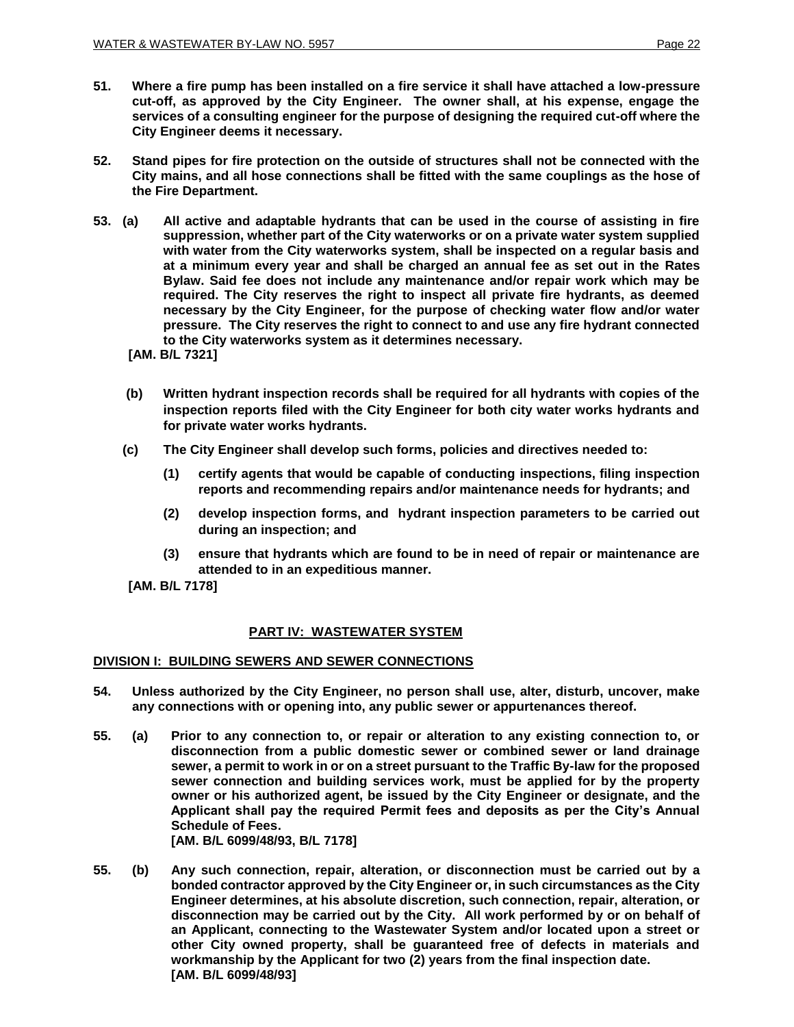- **51. Where a fire pump has been installed on a fire service it shall have attached a low-pressure cut-off, as approved by the City Engineer. The owner shall, at his expense, engage the services of a consulting engineer for the purpose of designing the required cut-off where the City Engineer deems it necessary.**
- **52. Stand pipes for fire protection on the outside of structures shall not be connected with the City mains, and all hose connections shall be fitted with the same couplings as the hose of the Fire Department.**
- **53. (a) All active and adaptable hydrants that can be used in the course of assisting in fire suppression, whether part of the City waterworks or on a private water system supplied with water from the City waterworks system, shall be inspected on a regular basis and at a minimum every year and shall be charged an annual fee as set out in the Rates Bylaw. Said fee does not include any maintenance and/or repair work which may be required. The City reserves the right to inspect all private fire hydrants, as deemed necessary by the City Engineer, for the purpose of checking water flow and/or water pressure. The City reserves the right to connect to and use any fire hydrant connected to the City waterworks system as it determines necessary.** 
	- **[AM. B/L 7321]**
	- **(b) Written hydrant inspection records shall be required for all hydrants with copies of the inspection reports filed with the City Engineer for both city water works hydrants and for private water works hydrants.**
	- **(c) The City Engineer shall develop such forms, policies and directives needed to:** 
		- **(1) certify agents that would be capable of conducting inspections, filing inspection reports and recommending repairs and/or maintenance needs for hydrants; and**
		- **(2) develop inspection forms, and hydrant inspection parameters to be carried out during an inspection; and**
		- **(3) ensure that hydrants which are found to be in need of repair or maintenance are attended to in an expeditious manner.**

**[AM. B/L 7178]**

## **PART IV: WASTEWATER SYSTEM**

#### **DIVISION I: BUILDING SEWERS AND SEWER CONNECTIONS**

- **54. Unless authorized by the City Engineer, no person shall use, alter, disturb, uncover, make any connections with or opening into, any public sewer or appurtenances thereof.**
- **55. (a) Prior to any connection to, or repair or alteration to any existing connection to, or disconnection from a public domestic sewer or combined sewer or land drainage sewer, a permit to work in or on a street pursuant to the Traffic By-law for the proposed sewer connection and building services work, must be applied for by the property owner or his authorized agent, be issued by the City Engineer or designate, and the Applicant shall pay the required Permit fees and deposits as per the City's Annual Schedule of Fees. [AM. B/L 6099/48/93, B/L 7178]**

**55. (b) Any such connection, repair, alteration, or disconnection must be carried out by a bonded contractor approved by the City Engineer or, in such circumstances as the City Engineer determines, at his absolute discretion, such connection, repair, alteration, or disconnection may be carried out by the City. All work performed by or on behalf of an Applicant, connecting to the Wastewater System and/or located upon a street or other City owned property, shall be guaranteed free of defects in materials and workmanship by the Applicant for two (2) years from the final inspection date. [AM. B/L 6099/48/93]**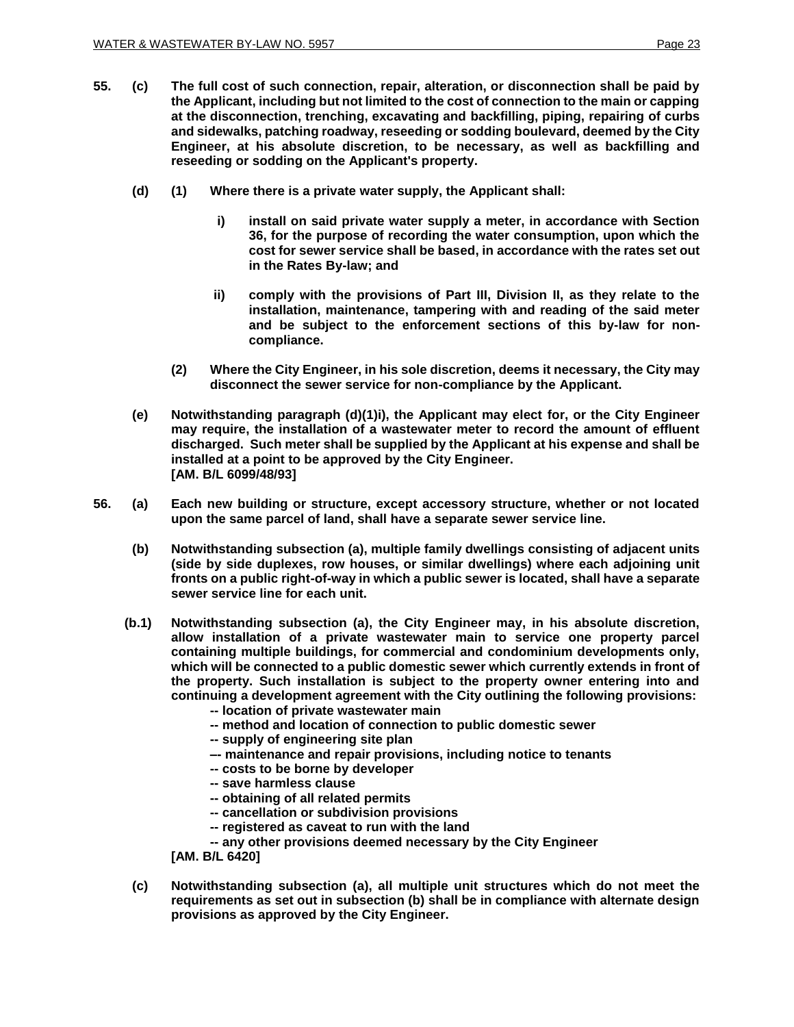- **55. (c) The full cost of such connection, repair, alteration, or disconnection shall be paid by the Applicant, including but not limited to the cost of connection to the main or capping at the disconnection, trenching, excavating and backfilling, piping, repairing of curbs and sidewalks, patching roadway, reseeding or sodding boulevard, deemed by the City Engineer, at his absolute discretion, to be necessary, as well as backfilling and reseeding or sodding on the Applicant's property.**
	- **(d) (1) Where there is a private water supply, the Applicant shall:**
		- **i) install on said private water supply a meter, in accordance with Section 36, for the purpose of recording the water consumption, upon which the cost for sewer service shall be based, in accordance with the rates set out in the Rates By-law; and**
		- **ii) comply with the provisions of Part III, Division II, as they relate to the installation, maintenance, tampering with and reading of the said meter and be subject to the enforcement sections of this by-law for noncompliance.**
		- **(2) Where the City Engineer, in his sole discretion, deems it necessary, the City may disconnect the sewer service for non-compliance by the Applicant.**
	- **(e) Notwithstanding paragraph (d)(1)i), the Applicant may elect for, or the City Engineer may require, the installation of a wastewater meter to record the amount of effluent discharged. Such meter shall be supplied by the Applicant at his expense and shall be installed at a point to be approved by the City Engineer. [AM. B/L 6099/48/93]**
- **56. (a) Each new building or structure, except accessory structure, whether or not located upon the same parcel of land, shall have a separate sewer service line.**
	- **(b) Notwithstanding subsection (a), multiple family dwellings consisting of adjacent units (side by side duplexes, row houses, or similar dwellings) where each adjoining unit fronts on a public right-of-way in which a public sewer is located, shall have a separate sewer service line for each unit.**
	- **(b.1) Notwithstanding subsection (a), the City Engineer may, in his absolute discretion, allow installation of a private wastewater main to service one property parcel containing multiple buildings, for commercial and condominium developments only, which will be connected to a public domestic sewer which currently extends in front of the property. Such installation is subject to the property owner entering into and continuing a development agreement with the City outlining the following provisions:**
		- **-- location of private wastewater main**
		- **-- method and location of connection to public domestic sewer**
		- **-- supply of engineering site plan**
		- **–- maintenance and repair provisions, including notice to tenants**
		- **-- costs to be borne by developer**
		- **-- save harmless clause**
		- **-- obtaining of all related permits**
		- **-- cancellation or subdivision provisions**
		- **-- registered as caveat to run with the land**

**-- any other provisions deemed necessary by the City Engineer**

**[AM. B/L 6420]**

**(c) Notwithstanding subsection (a), all multiple unit structures which do not meet the requirements as set out in subsection (b) shall be in compliance with alternate design provisions as approved by the City Engineer.**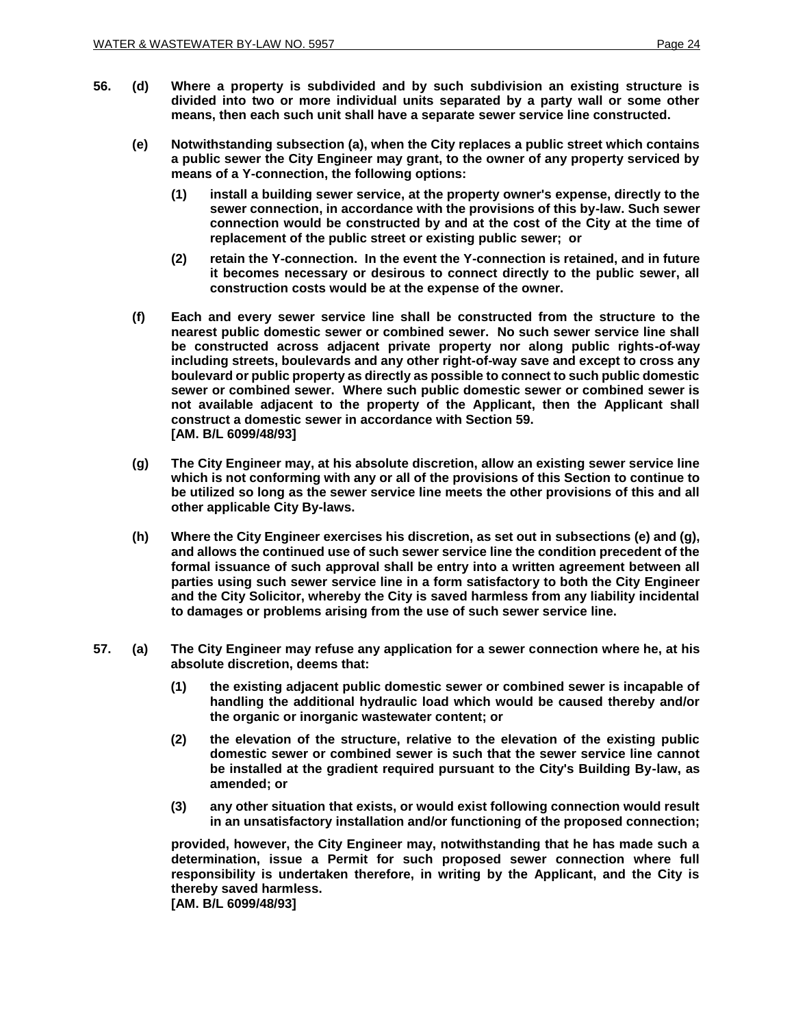- **56. (d) Where a property is subdivided and by such subdivision an existing structure is divided into two or more individual units separated by a party wall or some other means, then each such unit shall have a separate sewer service line constructed.**
	- **(e) Notwithstanding subsection (a), when the City replaces a public street which contains a public sewer the City Engineer may grant, to the owner of any property serviced by means of a Y-connection, the following options:** 
		- **(1) install a building sewer service, at the property owner's expense, directly to the sewer connection, in accordance with the provisions of this by-law. Such sewer connection would be constructed by and at the cost of the City at the time of replacement of the public street or existing public sewer; or**
		- **(2) retain the Y-connection. In the event the Y-connection is retained, and in future it becomes necessary or desirous to connect directly to the public sewer, all construction costs would be at the expense of the owner.**
	- **(f) Each and every sewer service line shall be constructed from the structure to the nearest public domestic sewer or combined sewer. No such sewer service line shall be constructed across adjacent private property nor along public rights-of-way including streets, boulevards and any other right-of-way save and except to cross any boulevard or public property as directly as possible to connect to such public domestic sewer or combined sewer. Where such public domestic sewer or combined sewer is not available adjacent to the property of the Applicant, then the Applicant shall construct a domestic sewer in accordance with Section 59. [AM. B/L 6099/48/93]**
	- **(g) The City Engineer may, at his absolute discretion, allow an existing sewer service line which is not conforming with any or all of the provisions of this Section to continue to be utilized so long as the sewer service line meets the other provisions of this and all other applicable City By-laws.**
	- **(h) Where the City Engineer exercises his discretion, as set out in subsections (e) and (g), and allows the continued use of such sewer service line the condition precedent of the formal issuance of such approval shall be entry into a written agreement between all parties using such sewer service line in a form satisfactory to both the City Engineer and the City Solicitor, whereby the City is saved harmless from any liability incidental to damages or problems arising from the use of such sewer service line.**
- **57. (a) The City Engineer may refuse any application for a sewer connection where he, at his absolute discretion, deems that:**
	- **(1) the existing adjacent public domestic sewer or combined sewer is incapable of handling the additional hydraulic load which would be caused thereby and/or the organic or inorganic wastewater content; or**
	- **(2) the elevation of the structure, relative to the elevation of the existing public domestic sewer or combined sewer is such that the sewer service line cannot be installed at the gradient required pursuant to the City's Building By-law, as amended; or**
	- **(3) any other situation that exists, or would exist following connection would result in an unsatisfactory installation and/or functioning of the proposed connection;**

**provided, however, the City Engineer may, notwithstanding that he has made such a determination, issue a Permit for such proposed sewer connection where full responsibility is undertaken therefore, in writing by the Applicant, and the City is thereby saved harmless.**

**[AM. B/L 6099/48/93]**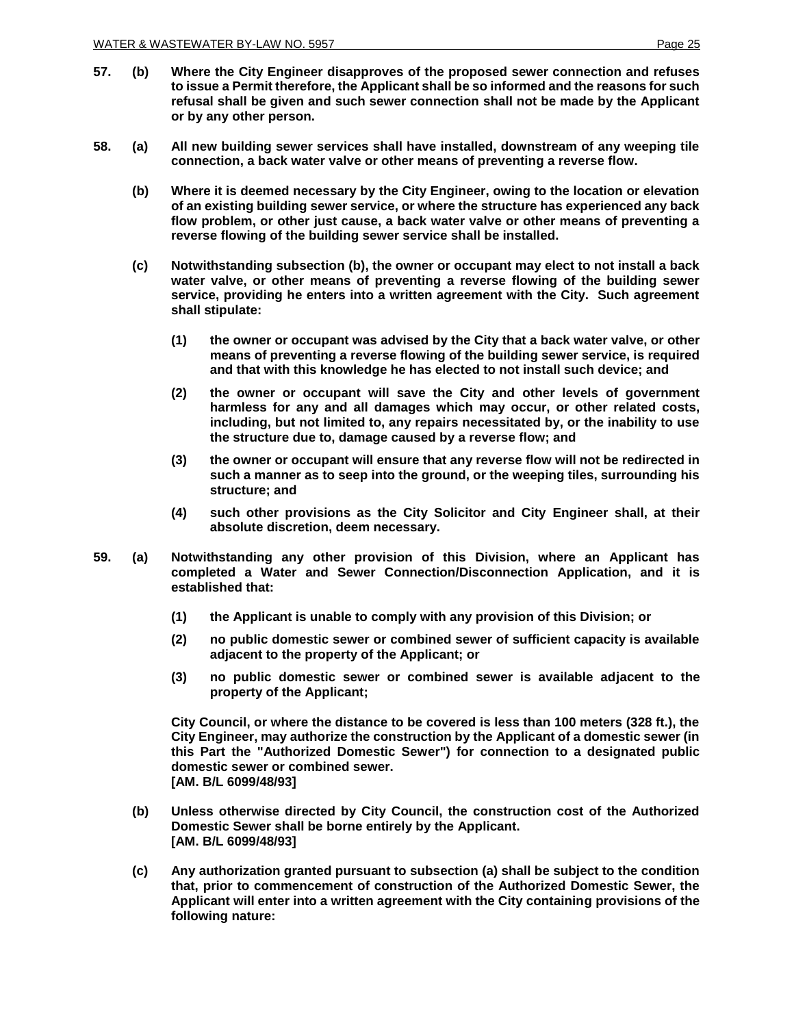- **57. (b) Where the City Engineer disapproves of the proposed sewer connection and refuses to issue a Permit therefore, the Applicant shall be so informed and the reasons for such refusal shall be given and such sewer connection shall not be made by the Applicant or by any other person.**
- **58. (a) All new building sewer services shall have installed, downstream of any weeping tile connection, a back water valve or other means of preventing a reverse flow.**
	- **(b) Where it is deemed necessary by the City Engineer, owing to the location or elevation of an existing building sewer service, or where the structure has experienced any back flow problem, or other just cause, a back water valve or other means of preventing a reverse flowing of the building sewer service shall be installed.**
	- **(c) Notwithstanding subsection (b), the owner or occupant may elect to not install a back water valve, or other means of preventing a reverse flowing of the building sewer service, providing he enters into a written agreement with the City. Such agreement shall stipulate:**
		- **(1) the owner or occupant was advised by the City that a back water valve, or other means of preventing a reverse flowing of the building sewer service, is required and that with this knowledge he has elected to not install such device; and**
		- **(2) the owner or occupant will save the City and other levels of government harmless for any and all damages which may occur, or other related costs, including, but not limited to, any repairs necessitated by, or the inability to use the structure due to, damage caused by a reverse flow; and**
		- **(3) the owner or occupant will ensure that any reverse flow will not be redirected in such a manner as to seep into the ground, or the weeping tiles, surrounding his structure; and**
		- **(4) such other provisions as the City Solicitor and City Engineer shall, at their absolute discretion, deem necessary.**
- **59. (a) Notwithstanding any other provision of this Division, where an Applicant has completed a Water and Sewer Connection/Disconnection Application, and it is established that:**
	- **(1) the Applicant is unable to comply with any provision of this Division; or**
	- **(2) no public domestic sewer or combined sewer of sufficient capacity is available adjacent to the property of the Applicant; or**
	- **(3) no public domestic sewer or combined sewer is available adjacent to the property of the Applicant;**

**City Council, or where the distance to be covered is less than 100 meters (328 ft.), the City Engineer, may authorize the construction by the Applicant of a domestic sewer (in this Part the "Authorized Domestic Sewer") for connection to a designated public domestic sewer or combined sewer. [AM. B/L 6099/48/93]**

- **(b) Unless otherwise directed by City Council, the construction cost of the Authorized Domestic Sewer shall be borne entirely by the Applicant. [AM. B/L 6099/48/93]**
- **(c) Any authorization granted pursuant to subsection (a) shall be subject to the condition that, prior to commencement of construction of the Authorized Domestic Sewer, the Applicant will enter into a written agreement with the City containing provisions of the following nature:**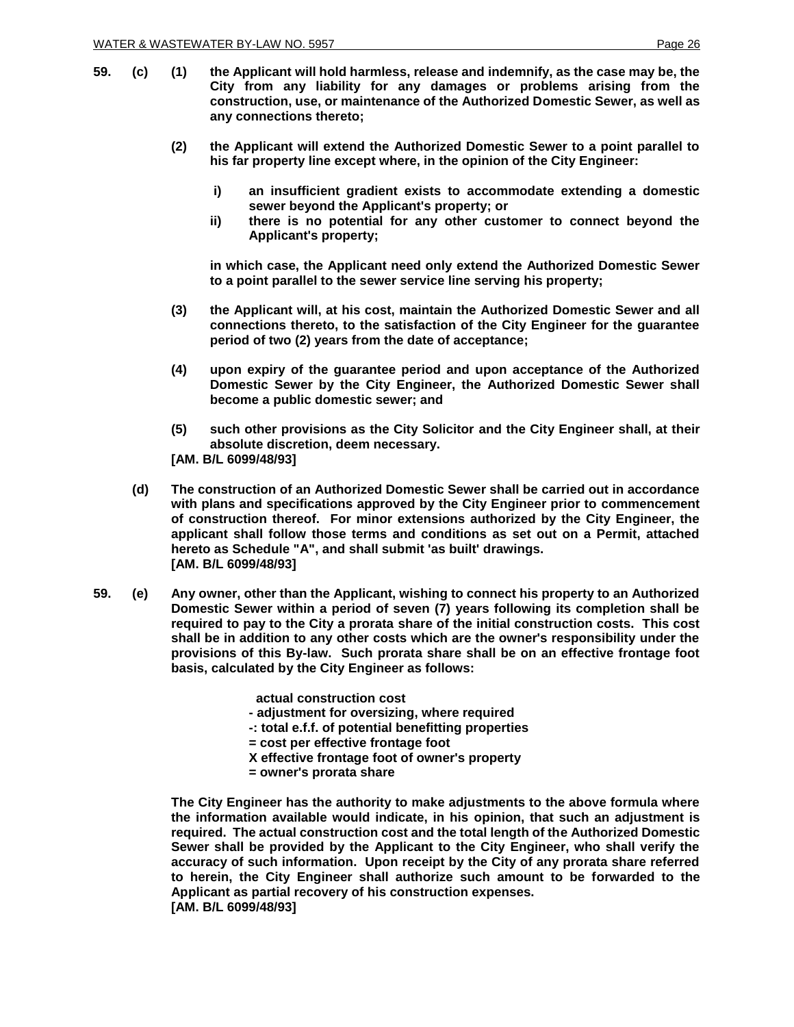- **59. (c) (1) the Applicant will hold harmless, release and indemnify, as the case may be, the City from any liability for any damages or problems arising from the construction, use, or maintenance of the Authorized Domestic Sewer, as well as any connections thereto;**
	- **(2) the Applicant will extend the Authorized Domestic Sewer to a point parallel to his far property line except where, in the opinion of the City Engineer:**
		- **i) an insufficient gradient exists to accommodate extending a domestic sewer beyond the Applicant's property; or**
		- **ii) there is no potential for any other customer to connect beyond the Applicant's property;**

**in which case, the Applicant need only extend the Authorized Domestic Sewer to a point parallel to the sewer service line serving his property;**

- **(3) the Applicant will, at his cost, maintain the Authorized Domestic Sewer and all connections thereto, to the satisfaction of the City Engineer for the guarantee period of two (2) years from the date of acceptance;**
- **(4) upon expiry of the guarantee period and upon acceptance of the Authorized Domestic Sewer by the City Engineer, the Authorized Domestic Sewer shall become a public domestic sewer; and**
- **(5) such other provisions as the City Solicitor and the City Engineer shall, at their absolute discretion, deem necessary. [AM. B/L 6099/48/93]**
- **(d) The construction of an Authorized Domestic Sewer shall be carried out in accordance with plans and specifications approved by the City Engineer prior to commencement of construction thereof. For minor extensions authorized by the City Engineer, the applicant shall follow those terms and conditions as set out on a Permit, attached hereto as Schedule "A", and shall submit 'as built' drawings. [AM. B/L 6099/48/93]**
- **59. (e) Any owner, other than the Applicant, wishing to connect his property to an Authorized Domestic Sewer within a period of seven (7) years following its completion shall be required to pay to the City a prorata share of the initial construction costs. This cost shall be in addition to any other costs which are the owner's responsibility under the provisions of this By-law. Such prorata share shall be on an effective frontage foot basis, calculated by the City Engineer as follows:**

 **actual construction cost**

- **- adjustment for oversizing, where required**
- **-: total e.f.f. of potential benefitting properties**
- **= cost per effective frontage foot**
- **X effective frontage foot of owner's property**
- **= owner's prorata share**

**The City Engineer has the authority to make adjustments to the above formula where the information available would indicate, in his opinion, that such an adjustment is required. The actual construction cost and the total length of the Authorized Domestic Sewer shall be provided by the Applicant to the City Engineer, who shall verify the accuracy of such information. Upon receipt by the City of any prorata share referred to herein, the City Engineer shall authorize such amount to be forwarded to the Applicant as partial recovery of his construction expenses. [AM. B/L 6099/48/93]**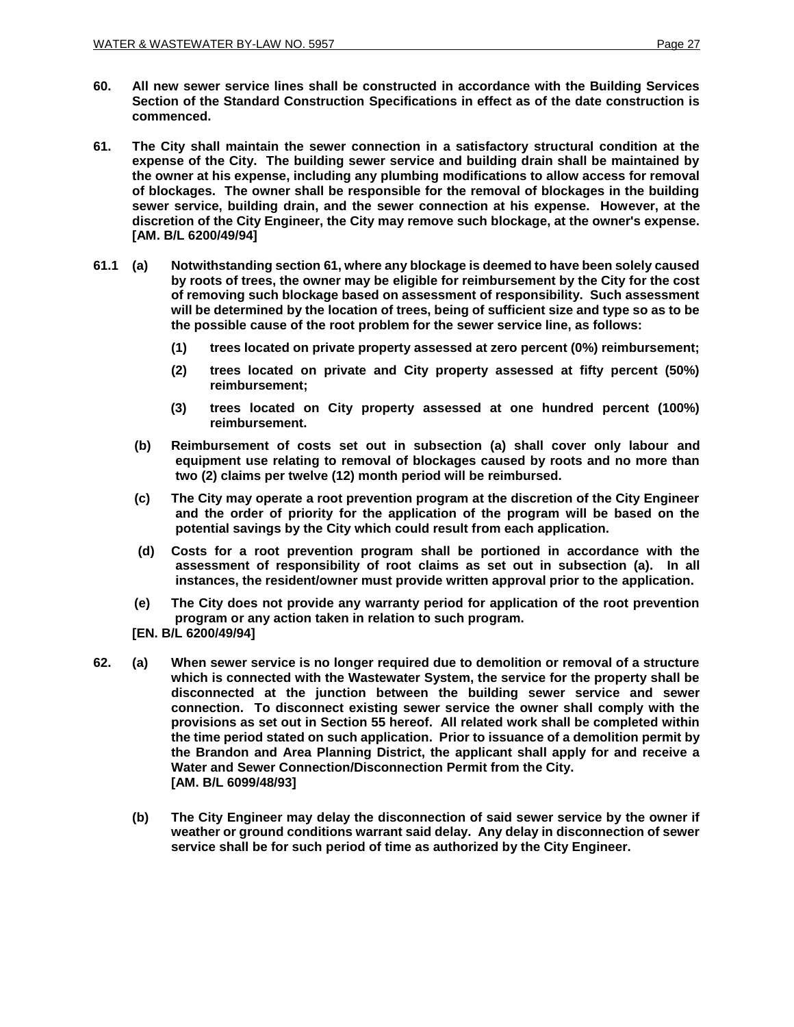- **60. All new sewer service lines shall be constructed in accordance with the Building Services Section of the Standard Construction Specifications in effect as of the date construction is commenced.**
- **61. The City shall maintain the sewer connection in a satisfactory structural condition at the expense of the City. The building sewer service and building drain shall be maintained by the owner at his expense, including any plumbing modifications to allow access for removal of blockages. The owner shall be responsible for the removal of blockages in the building sewer service, building drain, and the sewer connection at his expense. However, at the discretion of the City Engineer, the City may remove such blockage, at the owner's expense. [AM. B/L 6200/49/94]**
- **61.1 (a) Notwithstanding section 61, where any blockage is deemed to have been solely caused by roots of trees, the owner may be eligible for reimbursement by the City for the cost of removing such blockage based on assessment of responsibility. Such assessment will be determined by the location of trees, being of sufficient size and type so as to be the possible cause of the root problem for the sewer service line, as follows:**
	- **(1) trees located on private property assessed at zero percent (0%) reimbursement;**
	- **(2) trees located on private and City property assessed at fifty percent (50%) reimbursement;**
	- **(3) trees located on City property assessed at one hundred percent (100%) reimbursement.**
	- **(b) Reimbursement of costs set out in subsection (a) shall cover only labour and equipment use relating to removal of blockages caused by roots and no more than two (2) claims per twelve (12) month period will be reimbursed.**
	- **(c) The City may operate a root prevention program at the discretion of the City Engineer and the order of priority for the application of the program will be based on the potential savings by the City which could result from each application.**
	- **(d) Costs for a root prevention program shall be portioned in accordance with the assessment of responsibility of root claims as set out in subsection (a). In all instances, the resident/owner must provide written approval prior to the application.**
	- **(e) The City does not provide any warranty period for application of the root prevention program or any action taken in relation to such program.**
	- **[EN. B/L 6200/49/94]**
- **62. (a) When sewer service is no longer required due to demolition or removal of a structure which is connected with the Wastewater System, the service for the property shall be disconnected at the junction between the building sewer service and sewer connection. To disconnect existing sewer service the owner shall comply with the provisions as set out in Section 55 hereof. All related work shall be completed within the time period stated on such application. Prior to issuance of a demolition permit by the Brandon and Area Planning District, the applicant shall apply for and receive a Water and Sewer Connection/Disconnection Permit from the City. [AM. B/L 6099/48/93]**
	- **(b) The City Engineer may delay the disconnection of said sewer service by the owner if weather or ground conditions warrant said delay. Any delay in disconnection of sewer service shall be for such period of time as authorized by the City Engineer.**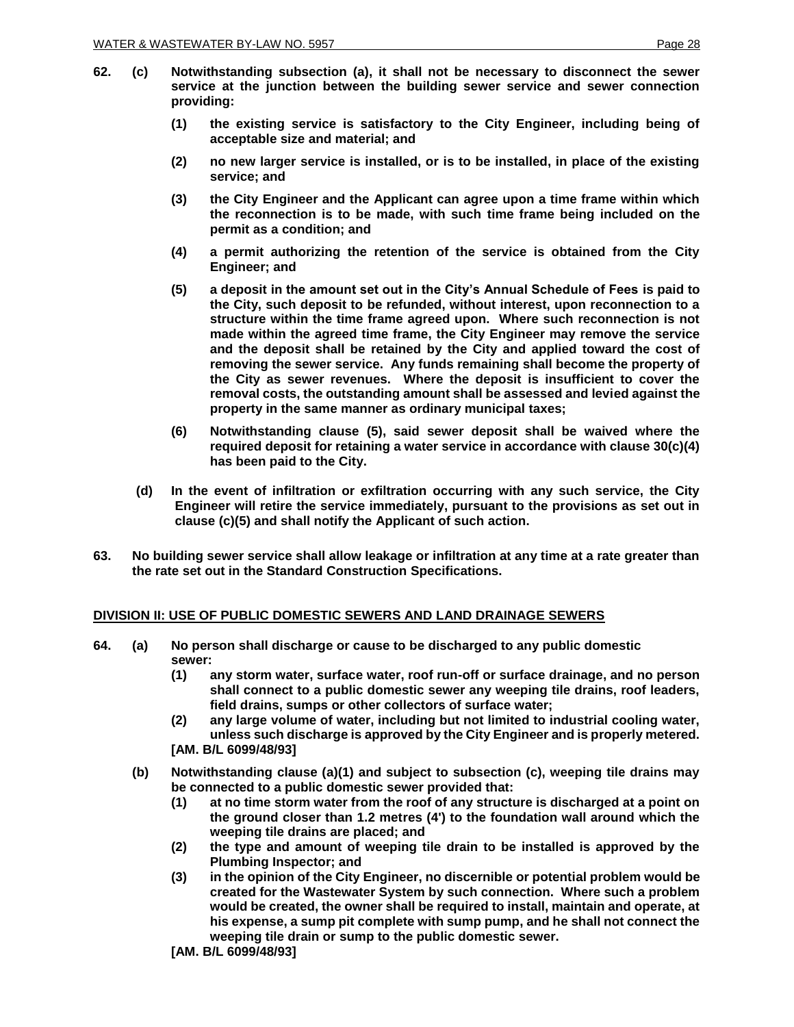- 
- **62. (c) Notwithstanding subsection (a), it shall not be necessary to disconnect the sewer service at the junction between the building sewer service and sewer connection providing:**
	- **(1) the existing service is satisfactory to the City Engineer, including being of acceptable size and material; and**
	- **(2) no new larger service is installed, or is to be installed, in place of the existing service; and**
	- **(3) the City Engineer and the Applicant can agree upon a time frame within which the reconnection is to be made, with such time frame being included on the permit as a condition; and**
	- **(4) a permit authorizing the retention of the service is obtained from the City Engineer; and**
	- **(5) a deposit in the amount set out in the City's Annual Schedule of Fees is paid to the City, such deposit to be refunded, without interest, upon reconnection to a structure within the time frame agreed upon. Where such reconnection is not made within the agreed time frame, the City Engineer may remove the service and the deposit shall be retained by the City and applied toward the cost of removing the sewer service. Any funds remaining shall become the property of the City as sewer revenues. Where the deposit is insufficient to cover the removal costs, the outstanding amount shall be assessed and levied against the property in the same manner as ordinary municipal taxes;**
	- **(6) Notwithstanding clause (5), said sewer deposit shall be waived where the required deposit for retaining a water service in accordance with clause 30(c)(4) has been paid to the City.**
	- **(d) In the event of infiltration or exfiltration occurring with any such service, the City Engineer will retire the service immediately, pursuant to the provisions as set out in clause (c)(5) and shall notify the Applicant of such action.**
- **63. No building sewer service shall allow leakage or infiltration at any time at a rate greater than the rate set out in the Standard Construction Specifications.**

#### **DIVISION II: USE OF PUBLIC DOMESTIC SEWERS AND LAND DRAINAGE SEWERS**

- **64. (a) No person shall discharge or cause to be discharged to any public domestic sewer:**
	- **(1) any storm water, surface water, roof run-off or surface drainage, and no person shall connect to a public domestic sewer any weeping tile drains, roof leaders, field drains, sumps or other collectors of surface water;**
	- **(2) any large volume of water, including but not limited to industrial cooling water, unless such discharge is approved by the City Engineer and is properly metered. [AM. B/L 6099/48/93]**
	- **(b) Notwithstanding clause (a)(1) and subject to subsection (c), weeping tile drains may be connected to a public domestic sewer provided that:**
		- **(1) at no time storm water from the roof of any structure is discharged at a point on the ground closer than 1.2 metres (4') to the foundation wall around which the weeping tile drains are placed; and**
		- **(2) the type and amount of weeping tile drain to be installed is approved by the Plumbing Inspector; and**
		- **(3) in the opinion of the City Engineer, no discernible or potential problem would be created for the Wastewater System by such connection. Where such a problem would be created, the owner shall be required to install, maintain and operate, at his expense, a sump pit complete with sump pump, and he shall not connect the weeping tile drain or sump to the public domestic sewer.**
		- **[AM. B/L 6099/48/93]**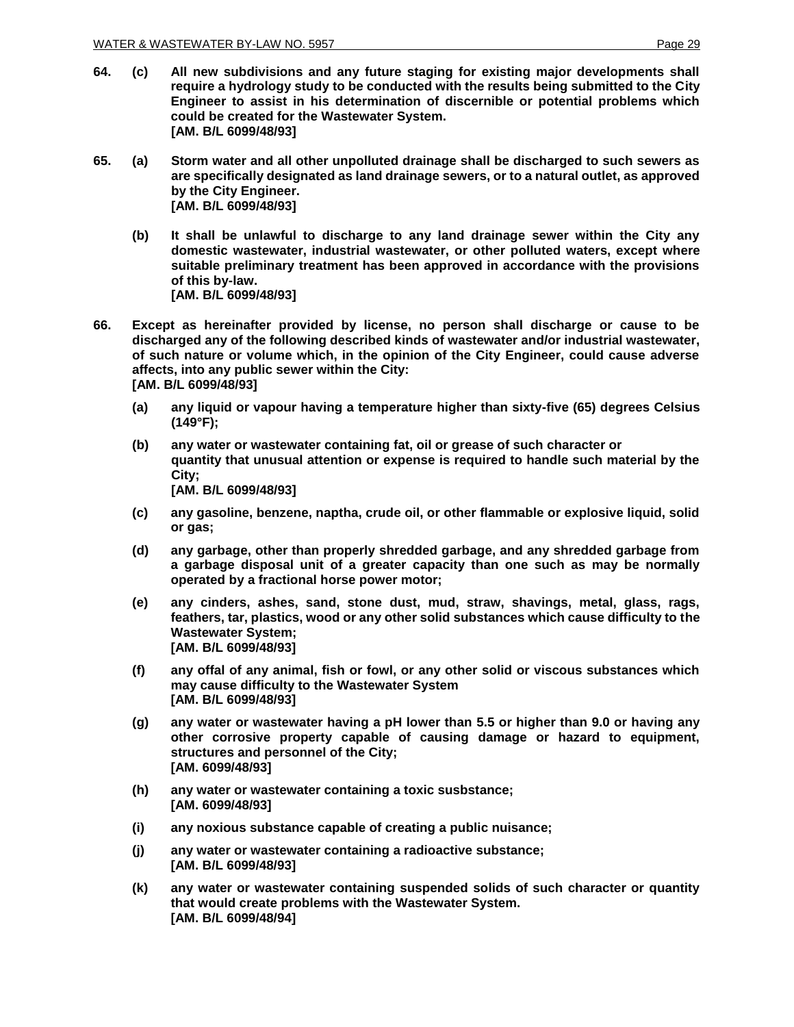- **64. (c) All new subdivisions and any future staging for existing major developments shall require a hydrology study to be conducted with the results being submitted to the City Engineer to assist in his determination of discernible or potential problems which could be created for the Wastewater System. [AM. B/L 6099/48/93]**
- **65. (a) Storm water and all other unpolluted drainage shall be discharged to such sewers as are specifically designated as land drainage sewers, or to a natural outlet, as approved by the City Engineer. [AM. B/L 6099/48/93]**
	- **(b) It shall be unlawful to discharge to any land drainage sewer within the City any domestic wastewater, industrial wastewater, or other polluted waters, except where suitable preliminary treatment has been approved in accordance with the provisions of this by-law. [AM. B/L 6099/48/93]**
- **66. Except as hereinafter provided by license, no person shall discharge or cause to be discharged any of the following described kinds of wastewater and/or industrial wastewater, of such nature or volume which, in the opinion of the City Engineer, could cause adverse affects, into any public sewer within the City: [AM. B/L 6099/48/93]**
	- **(a) any liquid or vapour having a temperature higher than sixty-five (65) degrees Celsius (149°F);**
	- **(b) any water or wastewater containing fat, oil or grease of such character or quantity that unusual attention or expense is required to handle such material by the City; [AM. B/L 6099/48/93]**
	- **(c) any gasoline, benzene, naptha, crude oil, or other flammable or explosive liquid, solid or gas;**
	- **(d) any garbage, other than properly shredded garbage, and any shredded garbage from a garbage disposal unit of a greater capacity than one such as may be normally operated by a fractional horse power motor;**
	- **(e) any cinders, ashes, sand, stone dust, mud, straw, shavings, metal, glass, rags, feathers, tar, plastics, wood or any other solid substances which cause difficulty to the Wastewater System; [AM. B/L 6099/48/93]**
	- **(f) any offal of any animal, fish or fowl, or any other solid or viscous substances which may cause difficulty to the Wastewater System [AM. B/L 6099/48/93]**
	- **(g) any water or wastewater having a pH lower than 5.5 or higher than 9.0 or having any other corrosive property capable of causing damage or hazard to equipment, structures and personnel of the City; [AM. 6099/48/93]**
	- **(h) any water or wastewater containing a toxic susbstance; [AM. 6099/48/93]**
	- **(i) any noxious substance capable of creating a public nuisance;**
	- **(j) any water or wastewater containing a radioactive substance; [AM. B/L 6099/48/93]**
	- **(k) any water or wastewater containing suspended solids of such character or quantity that would create problems with the Wastewater System. [AM. B/L 6099/48/94]**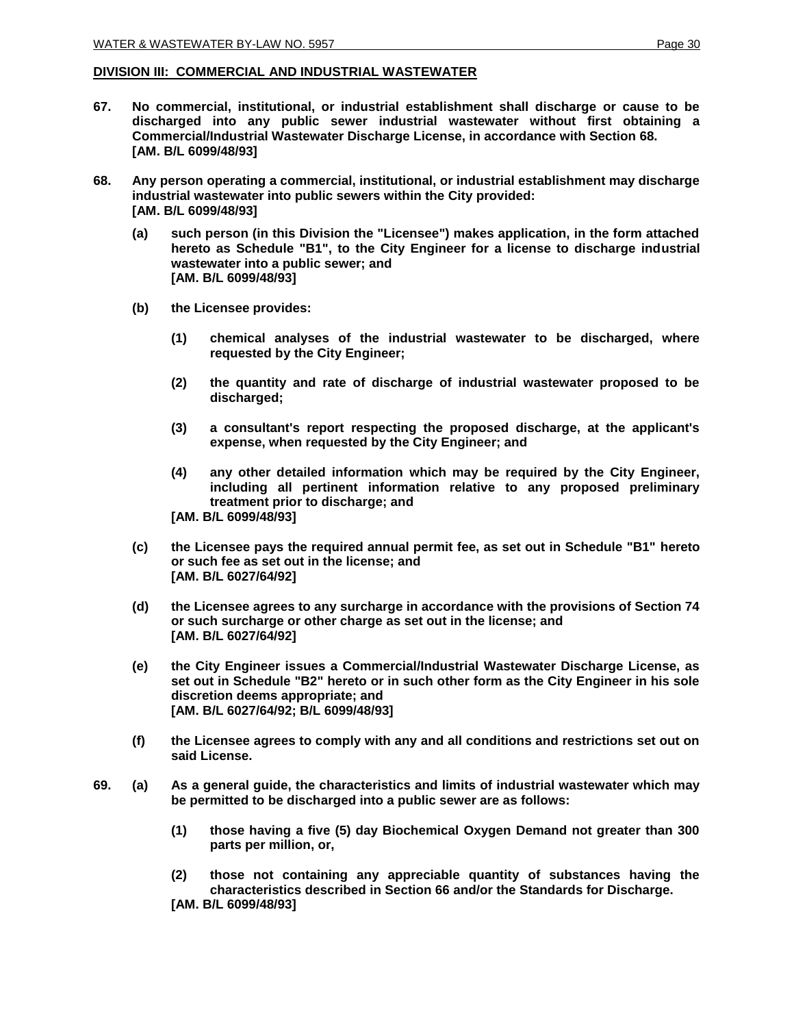#### **DIVISION III: COMMERCIAL AND INDUSTRIAL WASTEWATER**

- **67. No commercial, institutional, or industrial establishment shall discharge or cause to be discharged into any public sewer industrial wastewater without first obtaining a Commercial/Industrial Wastewater Discharge License, in accordance with Section 68. [AM. B/L 6099/48/93]**
- **68. Any person operating a commercial, institutional, or industrial establishment may discharge industrial wastewater into public sewers within the City provided: [AM. B/L 6099/48/93]**
	- **(a) such person (in this Division the "Licensee") makes application, in the form attached hereto as Schedule "B1", to the City Engineer for a license to discharge industrial wastewater into a public sewer; and [AM. B/L 6099/48/93]**
	- **(b) the Licensee provides:** 
		- **(1) chemical analyses of the industrial wastewater to be discharged, where requested by the City Engineer;**
		- **(2) the quantity and rate of discharge of industrial wastewater proposed to be discharged;**
		- **(3) a consultant's report respecting the proposed discharge, at the applicant's expense, when requested by the City Engineer; and**
		- **(4) any other detailed information which may be required by the City Engineer, including all pertinent information relative to any proposed preliminary treatment prior to discharge; and [AM. B/L 6099/48/93]**
	- **(c) the Licensee pays the required annual permit fee, as set out in Schedule "B1" hereto or such fee as set out in the license; and [AM. B/L 6027/64/92]**
	- **(d) the Licensee agrees to any surcharge in accordance with the provisions of Section 74 or such surcharge or other charge as set out in the license; and [AM. B/L 6027/64/92]**
	- **(e) the City Engineer issues a Commercial/Industrial Wastewater Discharge License, as set out in Schedule "B2" hereto or in such other form as the City Engineer in his sole discretion deems appropriate; and [AM. B/L 6027/64/92; B/L 6099/48/93]**
	- **(f) the Licensee agrees to comply with any and all conditions and restrictions set out on said License.**
- **69. (a) As a general guide, the characteristics and limits of industrial wastewater which may be permitted to be discharged into a public sewer are as follows:**
	- **(1) those having a five (5) day Biochemical Oxygen Demand not greater than 300 parts per million, or,**
	- **(2) those not containing any appreciable quantity of substances having the characteristics described in Section 66 and/or the Standards for Discharge. [AM. B/L 6099/48/93]**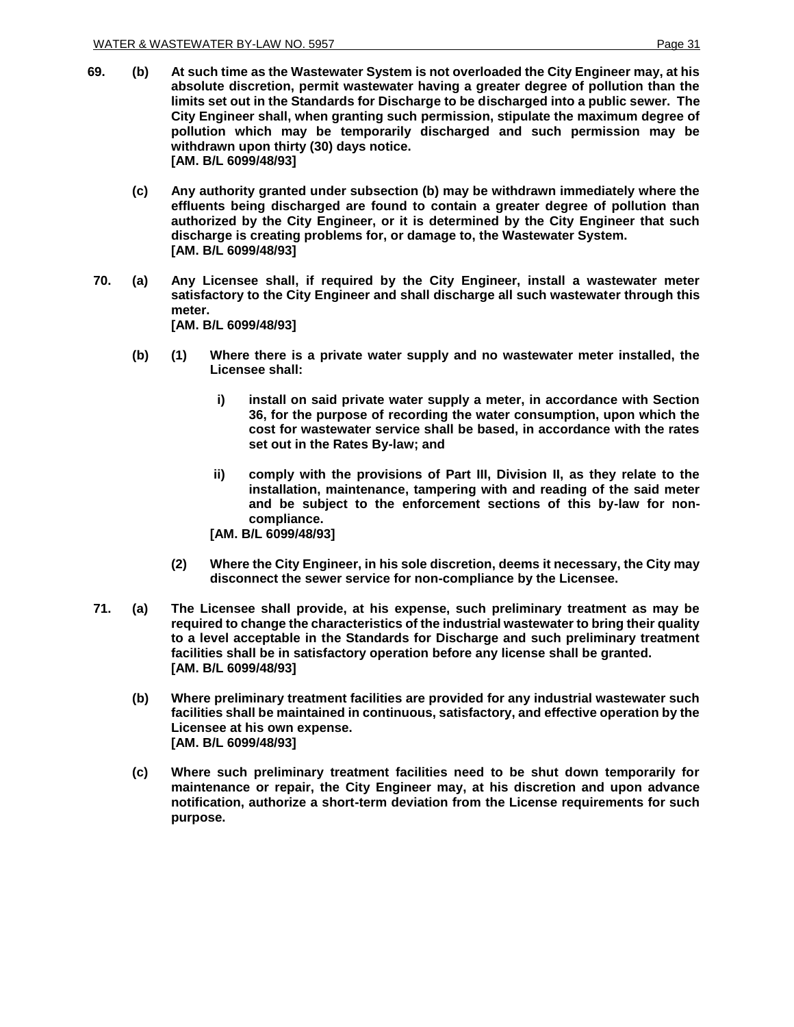- **69. (b) At such time as the Wastewater System is not overloaded the City Engineer may, at his absolute discretion, permit wastewater having a greater degree of pollution than the limits set out in the Standards for Discharge to be discharged into a public sewer. The City Engineer shall, when granting such permission, stipulate the maximum degree of pollution which may be temporarily discharged and such permission may be withdrawn upon thirty (30) days notice. [AM. B/L 6099/48/93]**
	- **(c) Any authority granted under subsection (b) may be withdrawn immediately where the effluents being discharged are found to contain a greater degree of pollution than authorized by the City Engineer, or it is determined by the City Engineer that such discharge is creating problems for, or damage to, the Wastewater System. [AM. B/L 6099/48/93]**
- **70. (a) Any Licensee shall, if required by the City Engineer, install a wastewater meter satisfactory to the City Engineer and shall discharge all such wastewater through this meter. [AM. B/L 6099/48/93]**
	- **(b) (1) Where there is a private water supply and no wastewater meter installed, the Licensee shall:**
		- **i) install on said private water supply a meter, in accordance with Section 36, for the purpose of recording the water consumption, upon which the cost for wastewater service shall be based, in accordance with the rates set out in the Rates By-law; and**
		- **ii) comply with the provisions of Part III, Division II, as they relate to the installation, maintenance, tampering with and reading of the said meter and be subject to the enforcement sections of this by-law for noncompliance.**
		- **[AM. B/L 6099/48/93]**
		- **(2) Where the City Engineer, in his sole discretion, deems it necessary, the City may disconnect the sewer service for non-compliance by the Licensee.**
- **71. (a) The Licensee shall provide, at his expense, such preliminary treatment as may be required to change the characteristics of the industrial wastewater to bring their quality to a level acceptable in the Standards for Discharge and such preliminary treatment facilities shall be in satisfactory operation before any license shall be granted. [AM. B/L 6099/48/93]**
	- **(b) Where preliminary treatment facilities are provided for any industrial wastewater such facilities shall be maintained in continuous, satisfactory, and effective operation by the Licensee at his own expense. [AM. B/L 6099/48/93]**
	- **(c) Where such preliminary treatment facilities need to be shut down temporarily for maintenance or repair, the City Engineer may, at his discretion and upon advance notification, authorize a short-term deviation from the License requirements for such purpose.**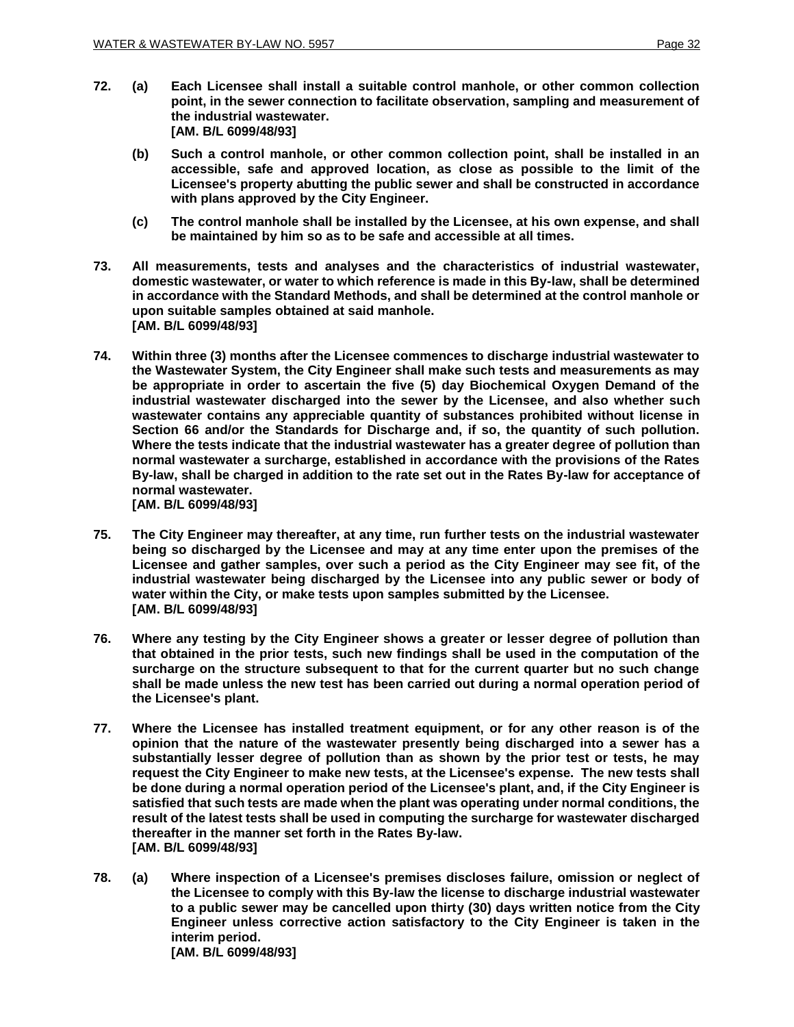- **72. (a) Each Licensee shall install a suitable control manhole, or other common collection point, in the sewer connection to facilitate observation, sampling and measurement of the industrial wastewater. [AM. B/L 6099/48/93]**
	- **(b) Such a control manhole, or other common collection point, shall be installed in an accessible, safe and approved location, as close as possible to the limit of the Licensee's property abutting the public sewer and shall be constructed in accordance with plans approved by the City Engineer.**
	- **(c) The control manhole shall be installed by the Licensee, at his own expense, and shall be maintained by him so as to be safe and accessible at all times.**
- **73. All measurements, tests and analyses and the characteristics of industrial wastewater, domestic wastewater, or water to which reference is made in this By-law, shall be determined in accordance with the Standard Methods, and shall be determined at the control manhole or upon suitable samples obtained at said manhole. [AM. B/L 6099/48/93]**
- **74. Within three (3) months after the Licensee commences to discharge industrial wastewater to the Wastewater System, the City Engineer shall make such tests and measurements as may be appropriate in order to ascertain the five (5) day Biochemical Oxygen Demand of the industrial wastewater discharged into the sewer by the Licensee, and also whether such wastewater contains any appreciable quantity of substances prohibited without license in Section 66 and/or the Standards for Discharge and, if so, the quantity of such pollution. Where the tests indicate that the industrial wastewater has a greater degree of pollution than normal wastewater a surcharge, established in accordance with the provisions of the Rates By-law, shall be charged in addition to the rate set out in the Rates By-law for acceptance of normal wastewater. [AM. B/L 6099/48/93]**
- **75. The City Engineer may thereafter, at any time, run further tests on the industrial wastewater being so discharged by the Licensee and may at any time enter upon the premises of the Licensee and gather samples, over such a period as the City Engineer may see fit, of the industrial wastewater being discharged by the Licensee into any public sewer or body of water within the City, or make tests upon samples submitted by the Licensee. [AM. B/L 6099/48/93]**
- **76. Where any testing by the City Engineer shows a greater or lesser degree of pollution than that obtained in the prior tests, such new findings shall be used in the computation of the surcharge on the structure subsequent to that for the current quarter but no such change shall be made unless the new test has been carried out during a normal operation period of the Licensee's plant.**
- **77. Where the Licensee has installed treatment equipment, or for any other reason is of the opinion that the nature of the wastewater presently being discharged into a sewer has a substantially lesser degree of pollution than as shown by the prior test or tests, he may request the City Engineer to make new tests, at the Licensee's expense. The new tests shall be done during a normal operation period of the Licensee's plant, and, if the City Engineer is satisfied that such tests are made when the plant was operating under normal conditions, the result of the latest tests shall be used in computing the surcharge for wastewater discharged thereafter in the manner set forth in the Rates By-law. [AM. B/L 6099/48/93]**
- **78. (a) Where inspection of a Licensee's premises discloses failure, omission or neglect of the Licensee to comply with this By-law the license to discharge industrial wastewater to a public sewer may be cancelled upon thirty (30) days written notice from the City Engineer unless corrective action satisfactory to the City Engineer is taken in the interim period. [AM. B/L 6099/48/93]**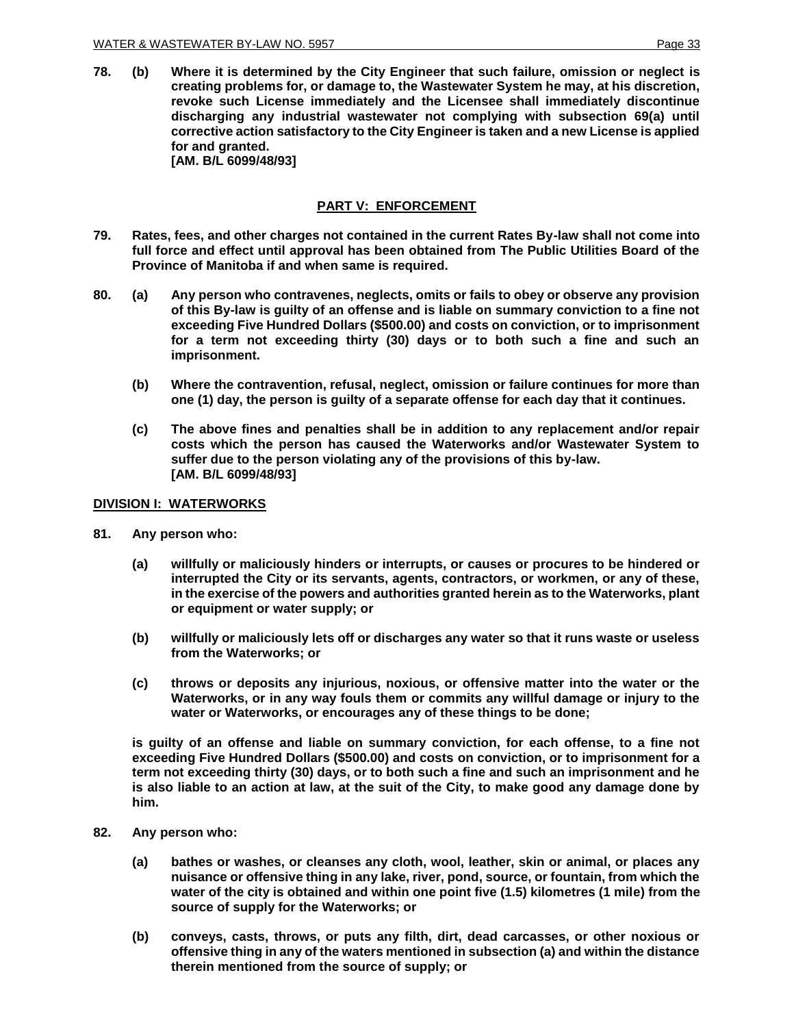**78. (b) Where it is determined by the City Engineer that such failure, omission or neglect is creating problems for, or damage to, the Wastewater System he may, at his discretion, revoke such License immediately and the Licensee shall immediately discontinue discharging any industrial wastewater not complying with subsection 69(a) until corrective action satisfactory to the City Engineer is taken and a new License is applied for and granted. [AM. B/L 6099/48/93]**

## **PART V: ENFORCEMENT**

- **79. Rates, fees, and other charges not contained in the current Rates By-law shall not come into full force and effect until approval has been obtained from The Public Utilities Board of the Province of Manitoba if and when same is required.**
- **80. (a) Any person who contravenes, neglects, omits or fails to obey or observe any provision of this By-law is guilty of an offense and is liable on summary conviction to a fine not exceeding Five Hundred Dollars (\$500.00) and costs on conviction, or to imprisonment for a term not exceeding thirty (30) days or to both such a fine and such an imprisonment.**
	- **(b) Where the contravention, refusal, neglect, omission or failure continues for more than one (1) day, the person is guilty of a separate offense for each day that it continues.**
	- **(c) The above fines and penalties shall be in addition to any replacement and/or repair costs which the person has caused the Waterworks and/or Wastewater System to suffer due to the person violating any of the provisions of this by-law. [AM. B/L 6099/48/93]**

#### **DIVISION I: WATERWORKS**

- **81. Any person who:**
	- **(a) willfully or maliciously hinders or interrupts, or causes or procures to be hindered or interrupted the City or its servants, agents, contractors, or workmen, or any of these, in the exercise of the powers and authorities granted herein as to the Waterworks, plant or equipment or water supply; or**
	- **(b) willfully or maliciously lets off or discharges any water so that it runs waste or useless from the Waterworks; or**
	- **(c) throws or deposits any injurious, noxious, or offensive matter into the water or the Waterworks, or in any way fouls them or commits any willful damage or injury to the water or Waterworks, or encourages any of these things to be done;**

**is guilty of an offense and liable on summary conviction, for each offense, to a fine not exceeding Five Hundred Dollars (\$500.00) and costs on conviction, or to imprisonment for a term not exceeding thirty (30) days, or to both such a fine and such an imprisonment and he is also liable to an action at law, at the suit of the City, to make good any damage done by him.**

- **82. Any person who:**
	- **(a) bathes or washes, or cleanses any cloth, wool, leather, skin or animal, or places any nuisance or offensive thing in any lake, river, pond, source, or fountain, from which the water of the city is obtained and within one point five (1.5) kilometres (1 mile) from the source of supply for the Waterworks; or**
	- **(b) conveys, casts, throws, or puts any filth, dirt, dead carcasses, or other noxious or offensive thing in any of the waters mentioned in subsection (a) and within the distance therein mentioned from the source of supply; or**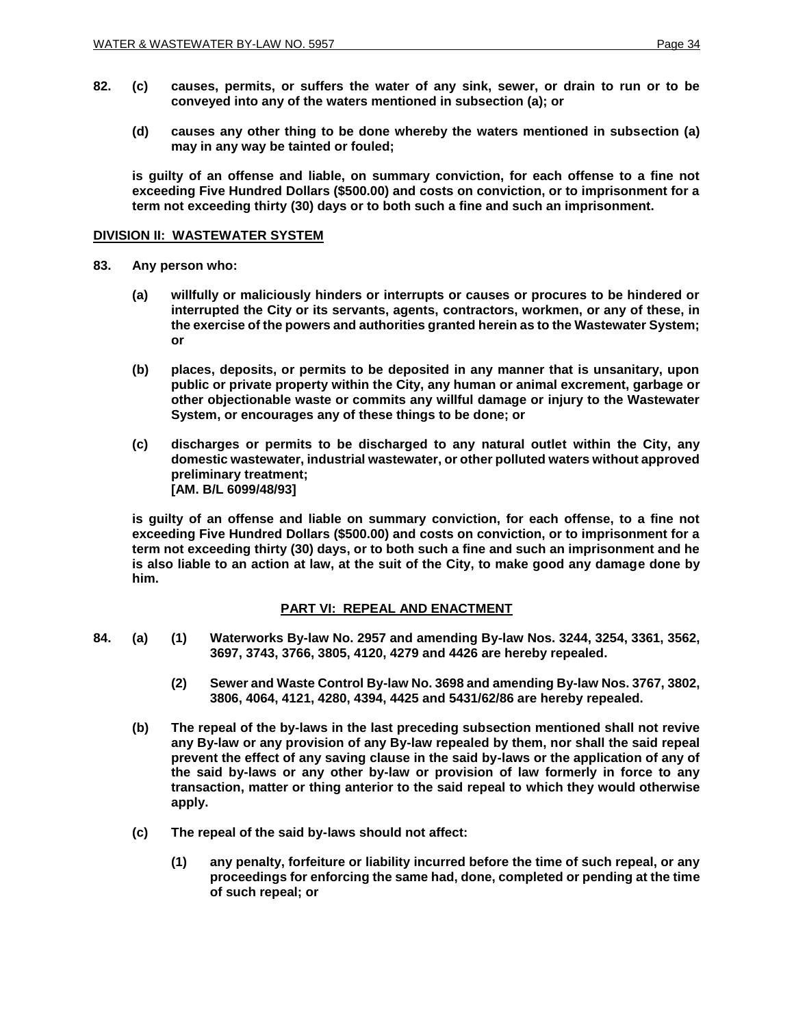- **82. (c) causes, permits, or suffers the water of any sink, sewer, or drain to run or to be conveyed into any of the waters mentioned in subsection (a); or**
	- **(d) causes any other thing to be done whereby the waters mentioned in subsection (a) may in any way be tainted or fouled;**

**is guilty of an offense and liable, on summary conviction, for each offense to a fine not exceeding Five Hundred Dollars (\$500.00) and costs on conviction, or to imprisonment for a term not exceeding thirty (30) days or to both such a fine and such an imprisonment.**

## **DIVISION II: WASTEWATER SYSTEM**

- **83. Any person who:**
	- **(a) willfully or maliciously hinders or interrupts or causes or procures to be hindered or interrupted the City or its servants, agents, contractors, workmen, or any of these, in the exercise of the powers and authorities granted herein as to the Wastewater System; or**
	- **(b) places, deposits, or permits to be deposited in any manner that is unsanitary, upon public or private property within the City, any human or animal excrement, garbage or other objectionable waste or commits any willful damage or injury to the Wastewater System, or encourages any of these things to be done; or**
	- **(c) discharges or permits to be discharged to any natural outlet within the City, any domestic wastewater, industrial wastewater, or other polluted waters without approved preliminary treatment; [AM. B/L 6099/48/93]**

**is guilty of an offense and liable on summary conviction, for each offense, to a fine not exceeding Five Hundred Dollars (\$500.00) and costs on conviction, or to imprisonment for a term not exceeding thirty (30) days, or to both such a fine and such an imprisonment and he is also liable to an action at law, at the suit of the City, to make good any damage done by him.**

## **PART VI: REPEAL AND ENACTMENT**

- **84. (a) (1) Waterworks By-law No. 2957 and amending By-law Nos. 3244, 3254, 3361, 3562, 3697, 3743, 3766, 3805, 4120, 4279 and 4426 are hereby repealed.**
	- **(2) Sewer and Waste Control By-law No. 3698 and amending By-law Nos. 3767, 3802, 3806, 4064, 4121, 4280, 4394, 4425 and 5431/62/86 are hereby repealed.**
	- **(b) The repeal of the by-laws in the last preceding subsection mentioned shall not revive any By-law or any provision of any By-law repealed by them, nor shall the said repeal prevent the effect of any saving clause in the said by-laws or the application of any of the said by-laws or any other by-law or provision of law formerly in force to any transaction, matter or thing anterior to the said repeal to which they would otherwise apply.**
	- **(c) The repeal of the said by-laws should not affect:**
		- **(1) any penalty, forfeiture or liability incurred before the time of such repeal, or any proceedings for enforcing the same had, done, completed or pending at the time of such repeal; or**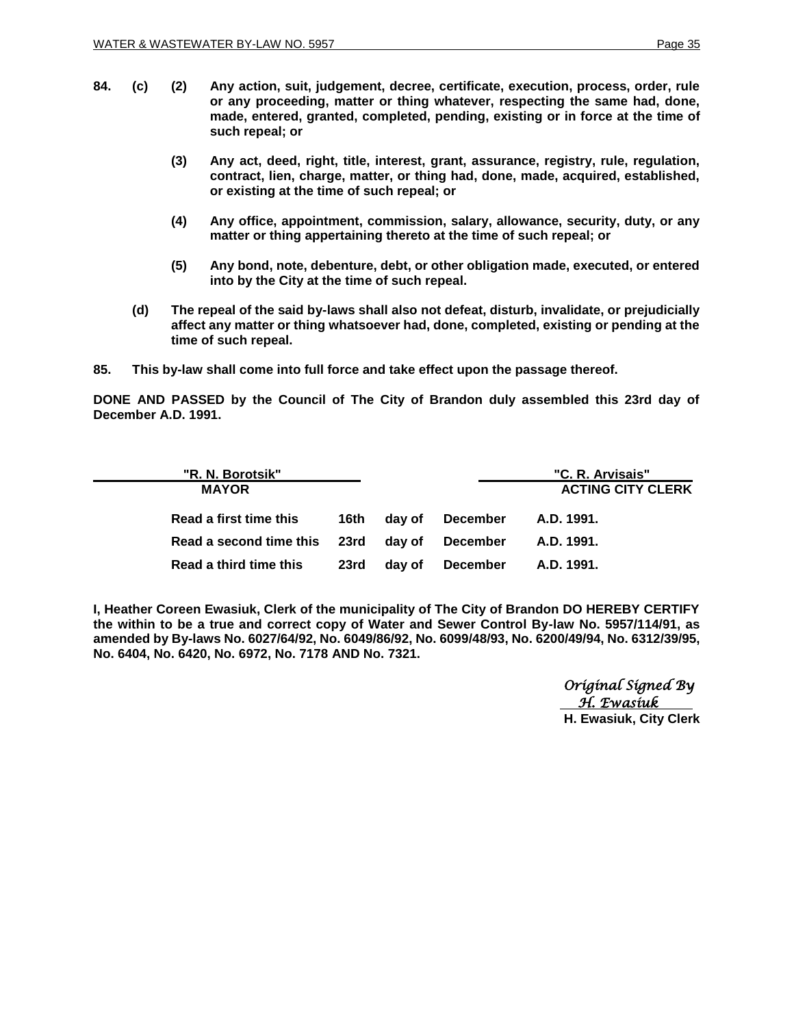- **84. (c) (2) Any action, suit, judgement, decree, certificate, execution, process, order, rule or any proceeding, matter or thing whatever, respecting the same had, done, made, entered, granted, completed, pending, existing or in force at the time of such repeal; or**
	- **(3) Any act, deed, right, title, interest, grant, assurance, registry, rule, regulation, contract, lien, charge, matter, or thing had, done, made, acquired, established, or existing at the time of such repeal; or**
	- **(4) Any office, appointment, commission, salary, allowance, security, duty, or any matter or thing appertaining thereto at the time of such repeal; or**
	- **(5) Any bond, note, debenture, debt, or other obligation made, executed, or entered into by the City at the time of such repeal.**
	- **(d) The repeal of the said by-laws shall also not defeat, disturb, invalidate, or prejudicially affect any matter or thing whatsoever had, done, completed, existing or pending at the time of such repeal.**
- **85. This by-law shall come into full force and take effect upon the passage thereof.**

**DONE AND PASSED by the Council of The City of Brandon duly assembled this 23rd day of December A.D. 1991.**

| "R. N. Borotsik"<br><b>MAYOR</b> |       |        |          | "C. R. Arvisais"<br><b>ACTING CITY CLERK</b> |
|----------------------------------|-------|--------|----------|----------------------------------------------|
| Read a first time this           | 16th. | dav of | December | A.D. 1991.                                   |
| Read a second time this 23rd     |       | day of | December | A.D. 1991.                                   |
| Read a third time this           | 23rd  | dav of | December | A.D. 1991.                                   |

**I, Heather Coreen Ewasiuk, Clerk of the municipality of The City of Brandon DO HEREBY CERTIFY the within to be a true and correct copy of Water and Sewer Control By-law No. 5957/114/91, as amended by By-laws No. 6027/64/92, No. 6049/86/92, No. 6099/48/93, No. 6200/49/94, No. 6312/39/95, No. 6404, No. 6420, No. 6972, No. 7178 AND No. 7321.**

> *Original Signed By*  *H. Ewasiuk* **H. Ewasiuk, City Clerk**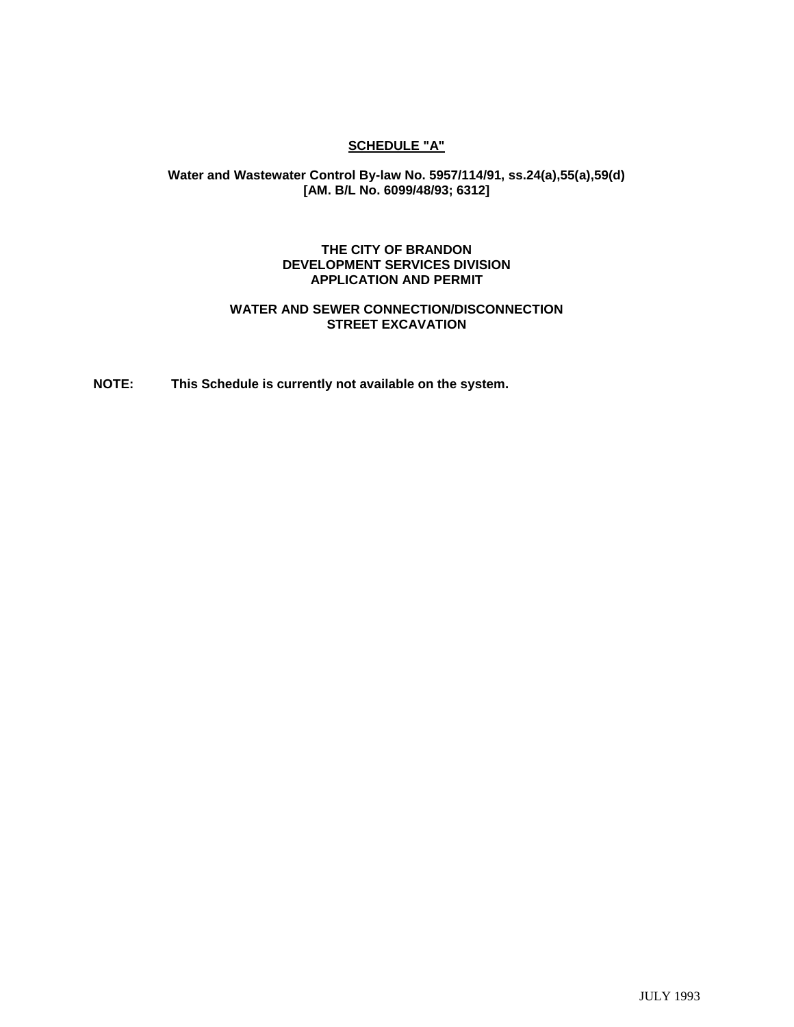## **SCHEDULE "A"**

## **Water and Wastewater Control By-law No. 5957/114/91, ss.24(a),55(a),59(d) [AM. B/L No. 6099/48/93; 6312]**

### **THE CITY OF BRANDON DEVELOPMENT SERVICES DIVISION APPLICATION AND PERMIT**

## **WATER AND SEWER CONNECTION/DISCONNECTION STREET EXCAVATION**

**NOTE: This Schedule is currently not available on the system.**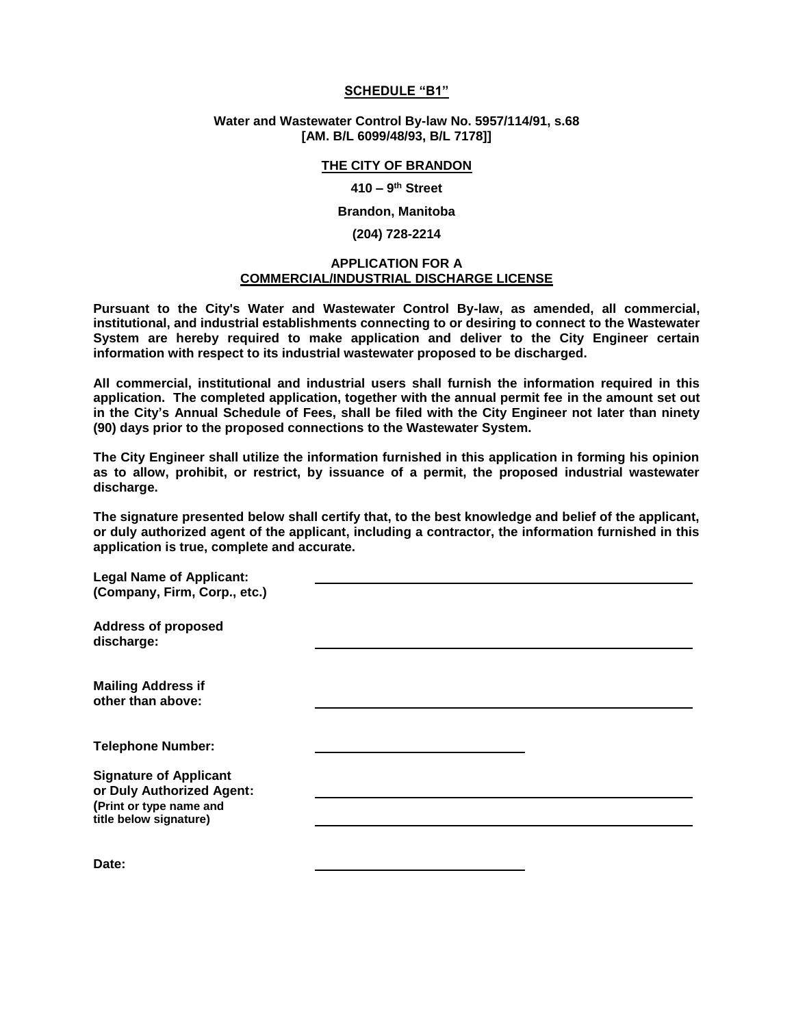#### **SCHEDULE "B1"**

#### **Water and Wastewater Control By-law No. 5957/114/91, s.68 [AM. B/L 6099/48/93, B/L 7178]]**

#### **THE CITY OF BRANDON**

#### **410 – 9 th Street**

#### **Brandon, Manitoba**

#### **(204) 728-2214**

#### **APPLICATION FOR A COMMERCIAL/INDUSTRIAL DISCHARGE LICENSE**

**Pursuant to the City's Water and Wastewater Control By-law, as amended, all commercial, institutional, and industrial establishments connecting to or desiring to connect to the Wastewater System are hereby required to make application and deliver to the City Engineer certain information with respect to its industrial wastewater proposed to be discharged.**

**All commercial, institutional and industrial users shall furnish the information required in this application. The completed application, together with the annual permit fee in the amount set out in the City's Annual Schedule of Fees, shall be filed with the City Engineer not later than ninety (90) days prior to the proposed connections to the Wastewater System.**

**The City Engineer shall utilize the information furnished in this application in forming his opinion as to allow, prohibit, or restrict, by issuance of a permit, the proposed industrial wastewater discharge.**

**The signature presented below shall certify that, to the best knowledge and belief of the applicant, or duly authorized agent of the applicant, including a contractor, the information furnished in this application is true, complete and accurate.**

**Legal Name of Applicant: (Company, Firm, Corp., etc.)**

**Address of proposed discharge:** 

**Mailing Address if other than above:** 

**Telephone Number:** 

**Signature of Applicant or Duly Authorized Agent: (Print or type name and title below signature)**

**Date:**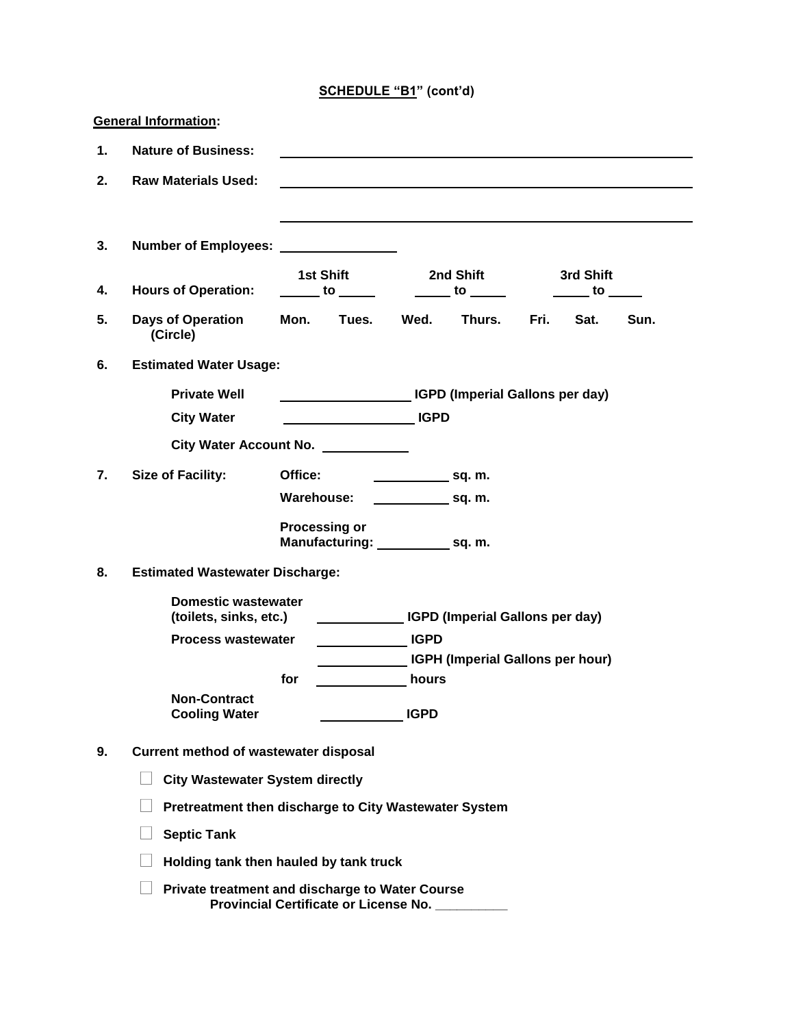|    | <b>General Information:</b>                                                                        |         |                                                                                                                     |                                 |                                                                                   |      |                                                                   |      |
|----|----------------------------------------------------------------------------------------------------|---------|---------------------------------------------------------------------------------------------------------------------|---------------------------------|-----------------------------------------------------------------------------------|------|-------------------------------------------------------------------|------|
| 1. | <b>Nature of Business:</b>                                                                         |         |                                                                                                                     |                                 |                                                                                   |      |                                                                   |      |
| 2. | <b>Raw Materials Used:</b>                                                                         |         |                                                                                                                     |                                 |                                                                                   |      |                                                                   |      |
|    |                                                                                                    |         |                                                                                                                     |                                 |                                                                                   |      |                                                                   |      |
| 3. | Number of Employees: _______________                                                               |         |                                                                                                                     |                                 |                                                                                   |      |                                                                   |      |
| 4. | <b>Hours of Operation:</b>                                                                         |         | 1st Shift<br>$\frac{1}{\sqrt{1-\frac{1}{2}}}\cos\left(\frac{1}{2}\right)$                                           |                                 | 2nd Shift<br>$\frac{1}{\sqrt{1-\frac{1}{2}}}$ to $\frac{1}{\sqrt{1-\frac{1}{2}}}$ |      | 3rd Shift<br>$\overline{\phantom{a}}$ to $\overline{\phantom{a}}$ |      |
| 5. | <b>Days of Operation</b><br>(Circle)                                                               | Mon.    | Tues.                                                                                                               | Wed.                            | Thurs.                                                                            | Fri. | Sat.                                                              | Sun. |
| 6. | <b>Estimated Water Usage:</b>                                                                      |         |                                                                                                                     |                                 |                                                                                   |      |                                                                   |      |
|    | <b>Private Well</b>                                                                                |         |                                                                                                                     |                                 | <b>IGPD (Imperial Gallons per day)</b>                                            |      |                                                                   |      |
|    | <b>City Water</b>                                                                                  |         |                                                                                                                     |                                 |                                                                                   |      |                                                                   |      |
|    | City Water Account No. ___________                                                                 |         |                                                                                                                     |                                 |                                                                                   |      |                                                                   |      |
| 7. | <b>Size of Facility:</b>                                                                           | Office: |                                                                                                                     | $\sim$ sq. m.                   |                                                                                   |      |                                                                   |      |
|    |                                                                                                    |         | Warehouse:                                                                                                          | $\overline{\phantom{a}}$ sq. m. |                                                                                   |      |                                                                   |      |
|    |                                                                                                    |         | <b>Processing or</b><br>Manufacturing: _______________ sq. m.                                                       |                                 |                                                                                   |      |                                                                   |      |
| 8. | <b>Estimated Wastewater Discharge:</b>                                                             |         |                                                                                                                     |                                 |                                                                                   |      |                                                                   |      |
|    | <b>Domestic wastewater</b><br>(toilets, sinks, etc.)                                               |         |                                                                                                                     |                                 | <b>COLORET CONSTRUSTED (Imperial Gallons per day)</b>                             |      |                                                                   |      |
|    | <b>Process wastewater</b>                                                                          |         | <b>Example 2</b> IGPD                                                                                               |                                 |                                                                                   |      |                                                                   |      |
|    |                                                                                                    | for     | <b>Example 19 Service Street Service Street Service Street Service Street Street Service Street Street Street S</b> |                                 | <b>IGPH (Imperial Gallons per hour)</b>                                           |      |                                                                   |      |
|    | <b>Non-Contract</b><br><b>Cooling Water</b>                                                        |         |                                                                                                                     | <b>IGPD</b>                     |                                                                                   |      |                                                                   |      |
| 9. | Current method of wastewater disposal                                                              |         |                                                                                                                     |                                 |                                                                                   |      |                                                                   |      |
|    | <b>City Wastewater System directly</b>                                                             |         |                                                                                                                     |                                 |                                                                                   |      |                                                                   |      |
|    | Pretreatment then discharge to City Wastewater System                                              |         |                                                                                                                     |                                 |                                                                                   |      |                                                                   |      |
|    | <b>Septic Tank</b>                                                                                 |         |                                                                                                                     |                                 |                                                                                   |      |                                                                   |      |
|    | Holding tank then hauled by tank truck                                                             |         |                                                                                                                     |                                 |                                                                                   |      |                                                                   |      |
|    | Private treatment and discharge to Water Course<br>Provincial Certificate or License No. _________ |         |                                                                                                                     |                                 |                                                                                   |      |                                                                   |      |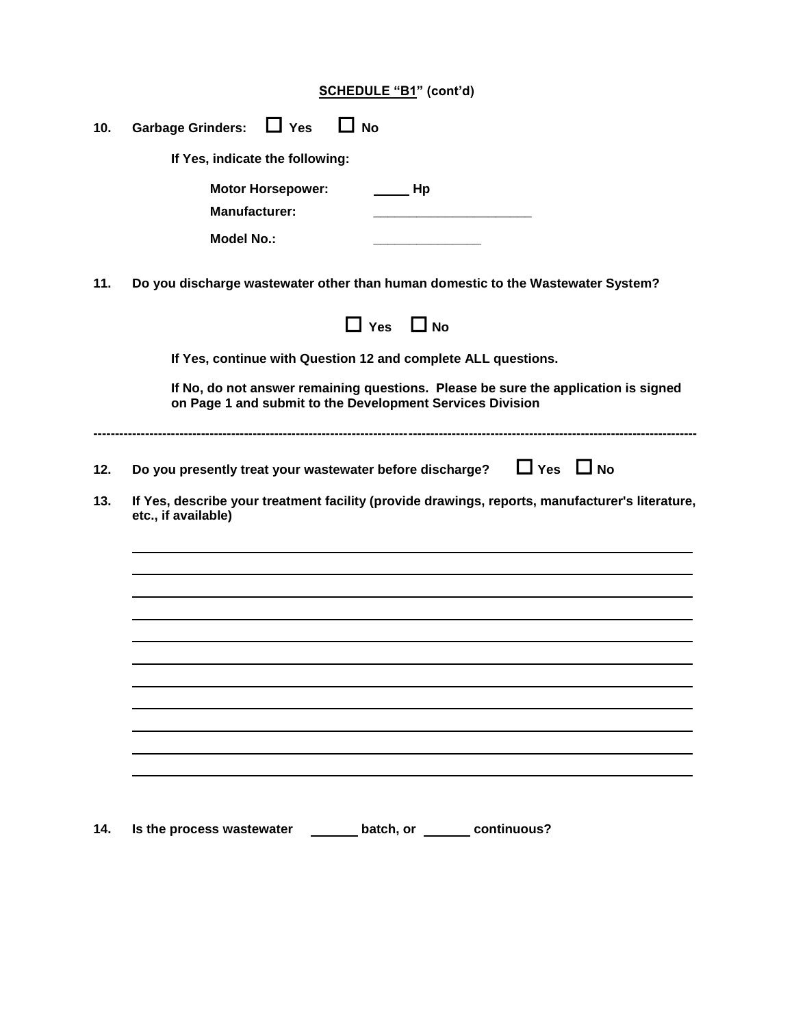|--|

| 10. | Garbage Grinders: LJ Yes<br>$\Box$ No                                                                                                           |
|-----|-------------------------------------------------------------------------------------------------------------------------------------------------|
|     | If Yes, indicate the following:                                                                                                                 |
|     | <b>Motor Horsepower:</b><br>$\qquad \qquad$ Hp<br><b>Manufacturer:</b><br>the contract of the contract of the contract of the contract of       |
|     | <b>Model No.:</b>                                                                                                                               |
| 11. | Do you discharge wastewater other than human domestic to the Wastewater System?                                                                 |
|     | $\Box$ Yes $\Box$ No                                                                                                                            |
|     | If Yes, continue with Question 12 and complete ALL questions.                                                                                   |
|     | If No, do not answer remaining questions. Please be sure the application is signed<br>on Page 1 and submit to the Development Services Division |
| 12. | Do you presently treat your wastewater before discharge? $\Box$ Yes $\Box$ No                                                                   |
| 13. | If Yes, describe your treatment facility (provide drawings, reports, manufacturer's literature,<br>etc., if available)                          |
|     |                                                                                                                                                 |
|     |                                                                                                                                                 |
|     |                                                                                                                                                 |
|     |                                                                                                                                                 |
|     |                                                                                                                                                 |
|     |                                                                                                                                                 |
|     |                                                                                                                                                 |
|     |                                                                                                                                                 |
| 14. | Is the process wastewater _________ batch, or ________ continuous?                                                                              |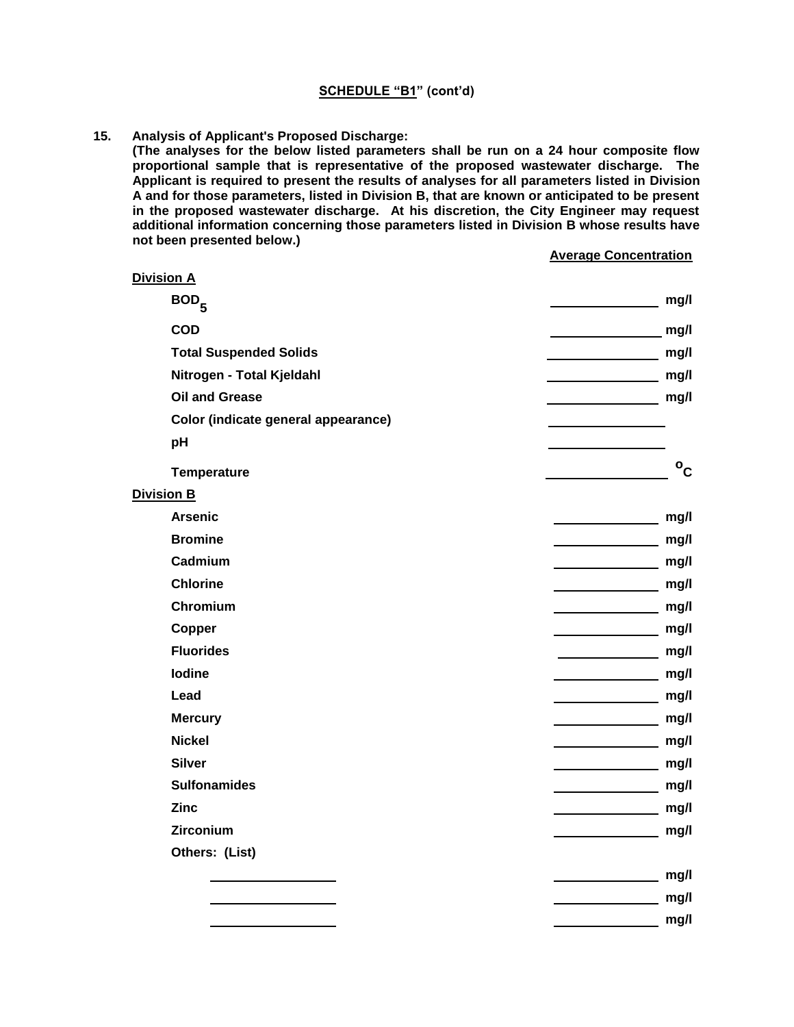**15. Analysis of Applicant's Proposed Discharge:** 

**(The analyses for the below listed parameters shall be run on a 24 hour composite flow proportional sample that is representative of the proposed wastewater discharge. The Applicant is required to present the results of analyses for all parameters listed in Division A and for those parameters, listed in Division B, that are known or anticipated to be present in the proposed wastewater discharge. At his discretion, the City Engineer may request additional information concerning those parameters listed in Division B whose results have not been presented below.)**

#### **Average Concentration**

| <b>Division A</b>                   |                      |
|-------------------------------------|----------------------|
| BOD <sub>5</sub>                    | mg/l                 |
| <b>COD</b>                          | mg/l                 |
| <b>Total Suspended Solids</b>       | mg/l                 |
| Nitrogen - Total Kjeldahl           | mg/l                 |
| <b>Oil and Grease</b>               | mg/l                 |
| Color (indicate general appearance) |                      |
| pH                                  |                      |
| Temperature                         | $\circ_{\mathsf{C}}$ |
| <b>Division B</b>                   |                      |
| <b>Arsenic</b>                      | mg/l                 |
| <b>Bromine</b>                      | mg/l                 |
| Cadmium                             | mg/l                 |
| <b>Chlorine</b>                     | mg/l                 |
| Chromium                            | mg/l                 |
| Copper                              | mg/l                 |
| <b>Fluorides</b>                    | mg/l                 |
| <b>lodine</b>                       | mg/l                 |
| Lead                                | mg/l                 |
| <b>Mercury</b>                      | mg/l                 |
| <b>Nickel</b>                       | mg/l                 |
| <b>Silver</b>                       | mg/l                 |
| <b>Sulfonamides</b>                 | mg/l                 |
| <b>Zinc</b>                         | mg/l                 |
| Zirconium                           | mg/l                 |
| Others: (List)                      |                      |
|                                     | mg/l                 |
|                                     | mg/l                 |
|                                     | mg/l                 |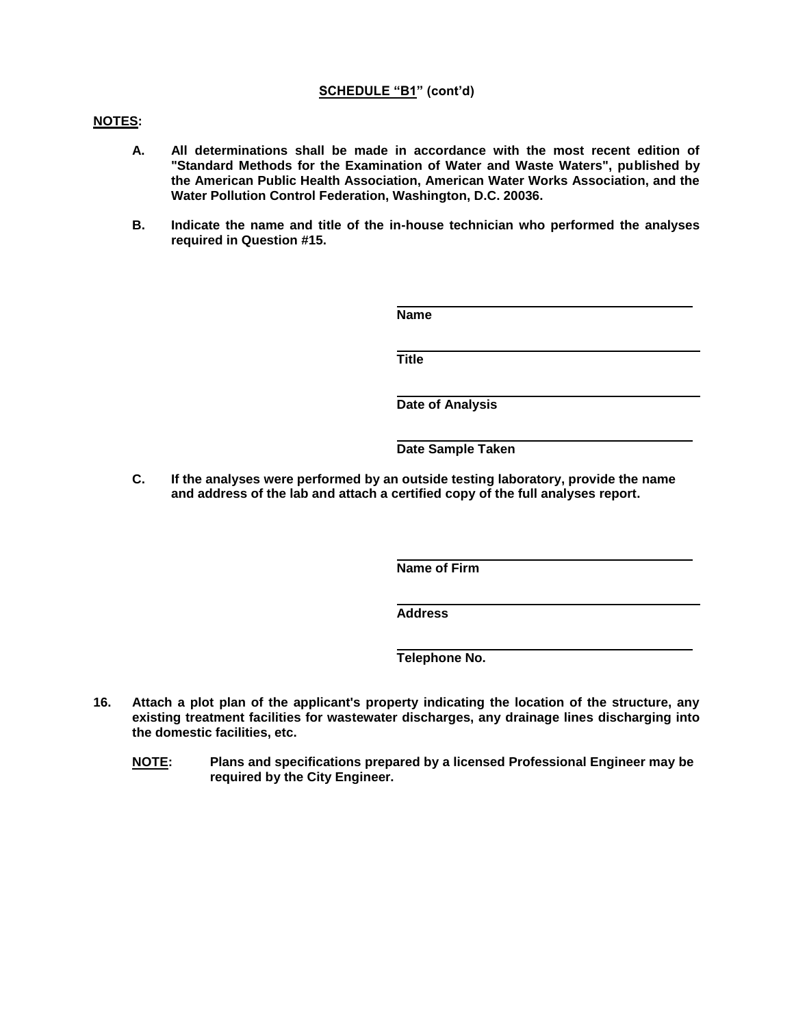## **NOTES:**

- **A. All determinations shall be made in accordance with the most recent edition of "Standard Methods for the Examination of Water and Waste Waters", published by the American Public Health Association, American Water Works Association, and the Water Pollution Control Federation, Washington, D.C. 20036.**
- **B. Indicate the name and title of the in-house technician who performed the analyses required in Question #15.**

| <b>Name</b>             |
|-------------------------|
| <b>Title</b>            |
| <b>Date of Analysis</b> |
| Date Sample Taken       |

**C. If the analyses were performed by an outside testing laboratory, provide the name and address of the lab and attach a certified copy of the full analyses report.**

**Name of Firm**

**Address**

**Telephone No.**

- **16. Attach a plot plan of the applicant's property indicating the location of the structure, any existing treatment facilities for wastewater discharges, any drainage lines discharging into the domestic facilities, etc.**
	- **NOTE: Plans and specifications prepared by a licensed Professional Engineer may be required by the City Engineer.**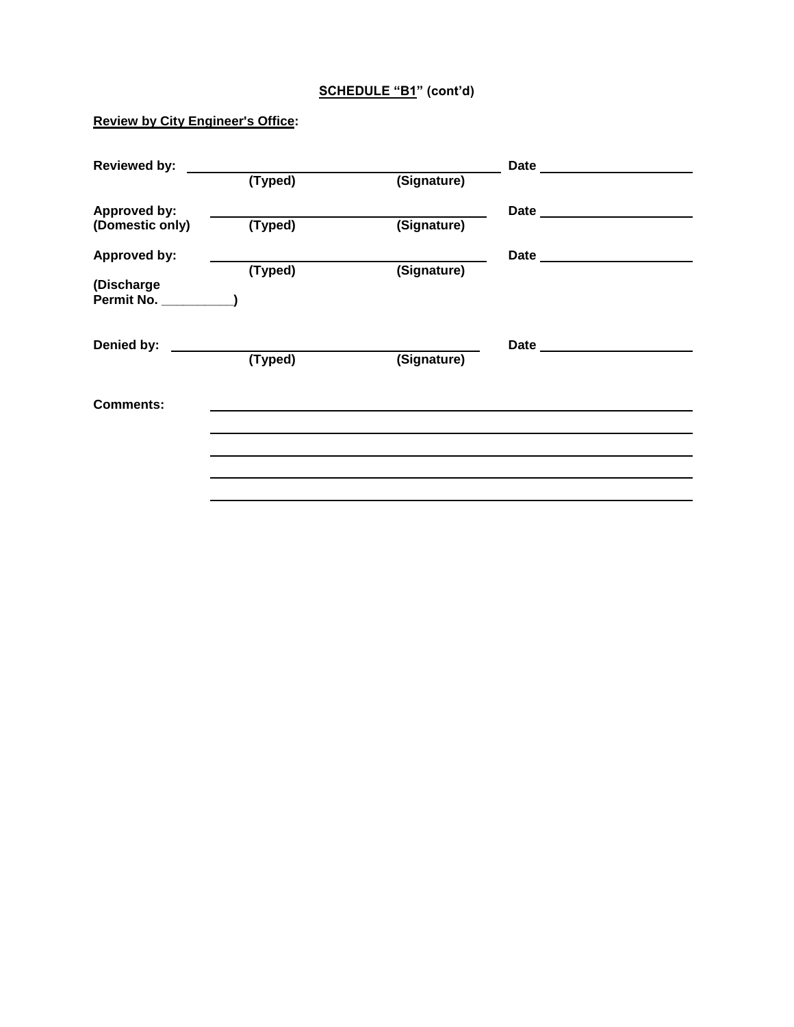## **Review by City Engineer's Office:**

| <b>Reviewed by:</b>      |         |             | <b>Date</b>            |  |
|--------------------------|---------|-------------|------------------------|--|
|                          | (Typed) | (Signature) |                        |  |
| <b>Approved by:</b>      |         |             | Date ____              |  |
| (Domestic only)          | (Typed) | (Signature) |                        |  |
| <b>Approved by:</b>      |         |             | <b>Date Example 20</b> |  |
| (Discharge<br>Permit No. | (Typed) | (Signature) |                        |  |
| Denied by:               | (Typed) | (Signature) | Date _____________     |  |
| <b>Comments:</b>         |         |             |                        |  |
|                          |         |             |                        |  |
|                          |         |             |                        |  |
|                          |         |             |                        |  |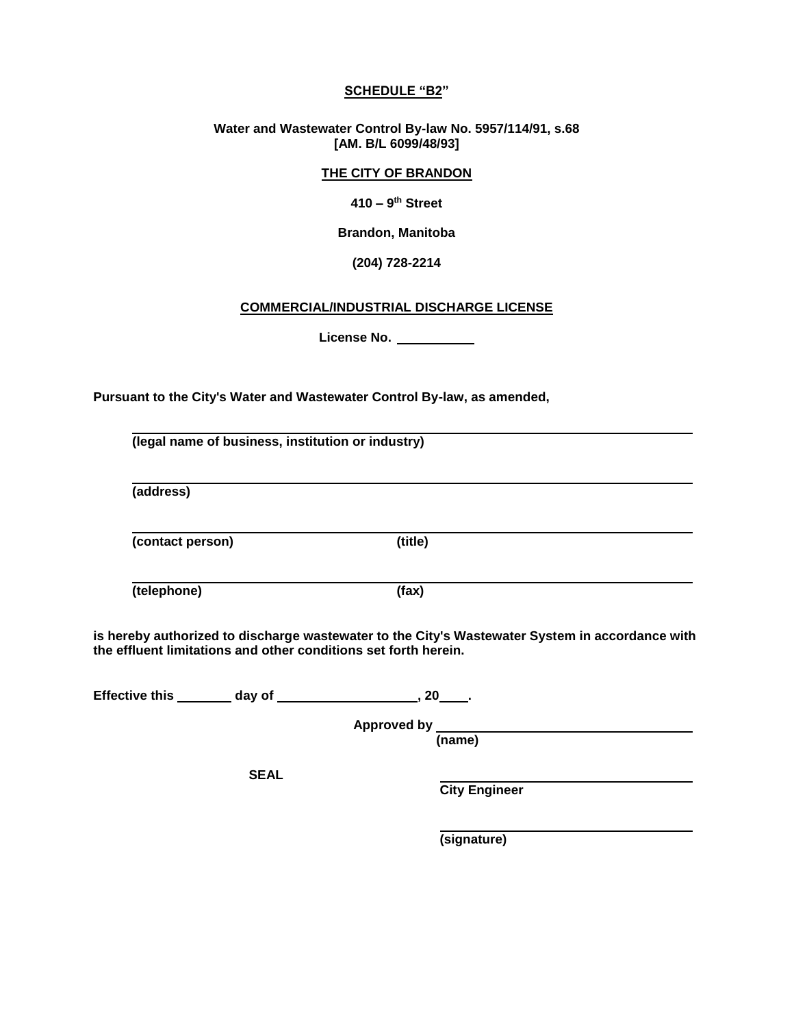## **SCHEDULE "B2"**

**Water and Wastewater Control By-law No. 5957/114/91, s.68 [AM. B/L 6099/48/93]**

## **THE CITY OF BRANDON**

**410 – 9 th Street**

**Brandon, Manitoba**

#### **(204) 728-2214**

#### **COMMERCIAL/INDUSTRIAL DISCHARGE LICENSE**

**License No.** 

**Pursuant to the City's Water and Wastewater Control By-law, as amended,**

**(legal name of business, institution or industry) (address) (contact person) (title) (telephone) (fax)**

**is hereby authorized to discharge wastewater to the City's Wastewater System in accordance with the effluent limitations and other conditions set forth herein.** 

**Effective this day of , 20 .**

 **Approved by (name)**

**SEAL** 

 **City Engineer**

 **(signature)**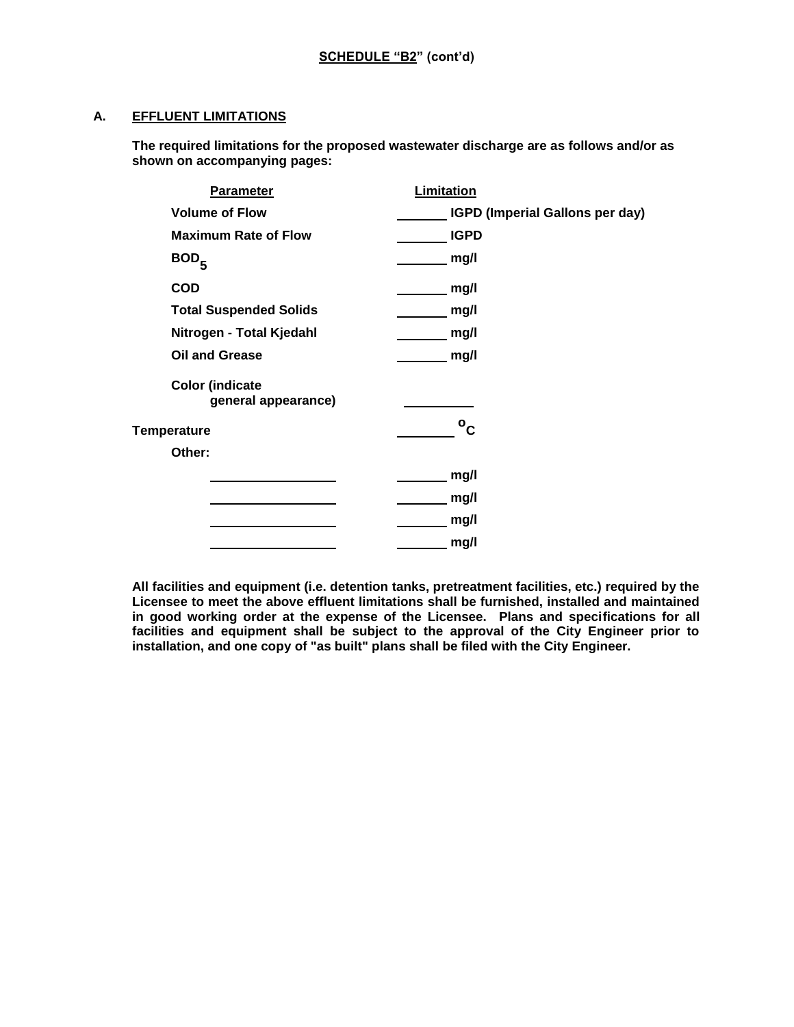## **A. EFFLUENT LIMITATIONS**

**The required limitations for the proposed wastewater discharge are as follows and/or as shown on accompanying pages:**

| <b>Parameter</b>                              | Limitation                      |
|-----------------------------------------------|---------------------------------|
| <b>Volume of Flow</b>                         | IGPD (Imperial Gallons per day) |
| <b>Maximum Rate of Flow</b>                   | <b>IGPD</b>                     |
| BOD <sub>5</sub>                              | mg/l                            |
| <b>COD</b>                                    | mg/l                            |
| <b>Total Suspended Solids</b>                 | mg/l                            |
| Nitrogen - Total Kjedahl                      | mg/l                            |
| <b>Oil and Grease</b>                         | mg/l                            |
| <b>Color (indicate</b><br>general appearance) |                                 |
| Temperature                                   | $\rm ^o$ <sub>C</sub>           |
| Other:                                        |                                 |
|                                               | mg/l                            |
|                                               | mg/l                            |
|                                               | mg/l                            |
|                                               | mg/l                            |

**All facilities and equipment (i.e. detention tanks, pretreatment facilities, etc.) required by the Licensee to meet the above effluent limitations shall be furnished, installed and maintained in good working order at the expense of the Licensee. Plans and specifications for all facilities and equipment shall be subject to the approval of the City Engineer prior to installation, and one copy of "as built" plans shall be filed with the City Engineer.**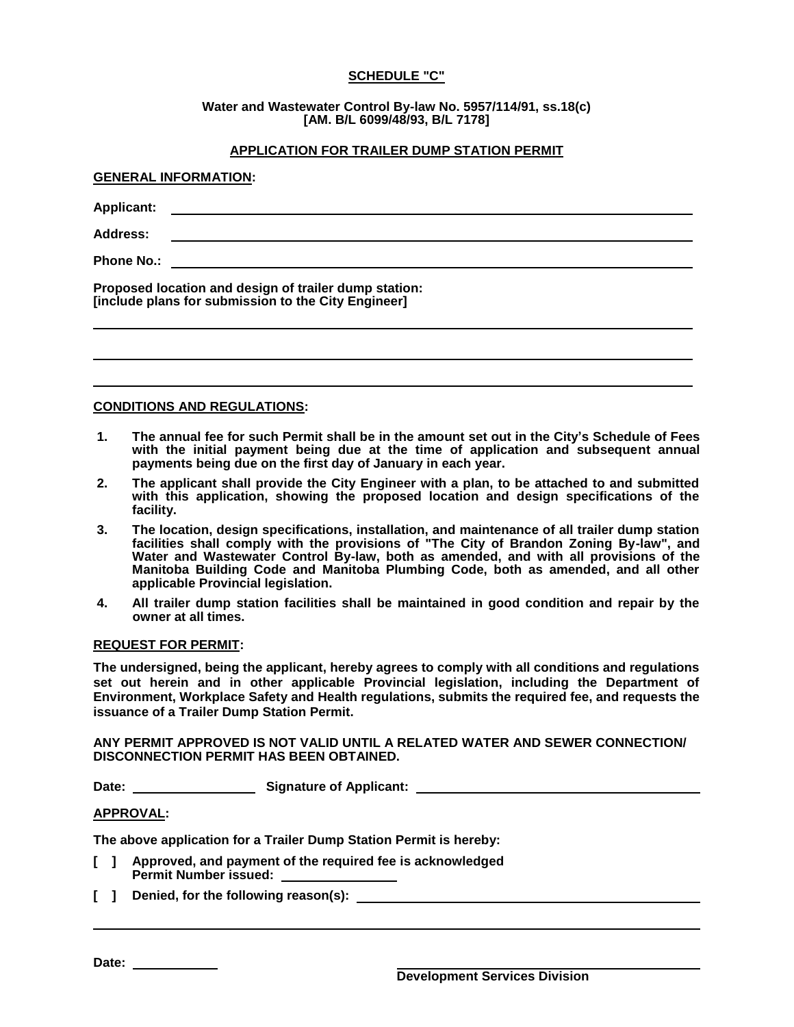## **SCHEDULE "C"**

**Water and Wastewater Control By-law No. 5957/114/91, ss.18(c) [AM. B/L 6099/48/93, B/L 7178]**

## **APPLICATION FOR TRAILER DUMP STATION PERMIT**

# **GENERAL INFORMATION: Applicant: Address: Phone No.:**

**Proposed location and design of trailer dump station: [include plans for submission to the City Engineer]**

## **CONDITIONS AND REGULATIONS:**

- **1. The annual fee for such Permit shall be in the amount set out in the City's Schedule of Fees** with the initial payment being due at the time of application and subsequent annual **payments being due on the first day of January in each year.**
- **2. The applicant shall provide the City Engineer with a plan, to be attached to and submitted with this application, showing the proposed location and design specifications of the facility.**
- **3. The location, design specifications, installation, and maintenance of all trailer dump station facilities shall comply with the provisions of "The City of Brandon Zoning By-law", and Water and Wastewater Control By-law, both as amended, and with all provisions of the Manitoba Building Code and Manitoba Plumbing Code, both as amended, and all other applicable Provincial legislation.**
- **4. All trailer dump station facilities shall be maintained in good condition and repair by the owner at all times.**

## **REQUEST FOR PERMIT:**

**The undersigned, being the applicant, hereby agrees to comply with all conditions and regulations set out herein and in other applicable Provincial legislation, including the Department of Environment, Workplace Safety and Health regulations, submits the required fee, and requests the issuance of a Trailer Dump Station Permit.**

## **ANY PERMIT APPROVED IS NOT VALID UNTIL A RELATED WATER AND SEWER CONNECTION/ DISCONNECTION PERMIT HAS BEEN OBTAINED.**

**Date: Signature of Applicant:** 

#### **APPROVAL:**

**The above application for a Trailer Dump Station Permit is hereby:**

- **[ ] Approved, and payment of the required fee is acknowledged Permit Number issued:**
- **[ ] Denied, for the following reason(s):**

Date: \_\_\_\_\_\_\_\_\_